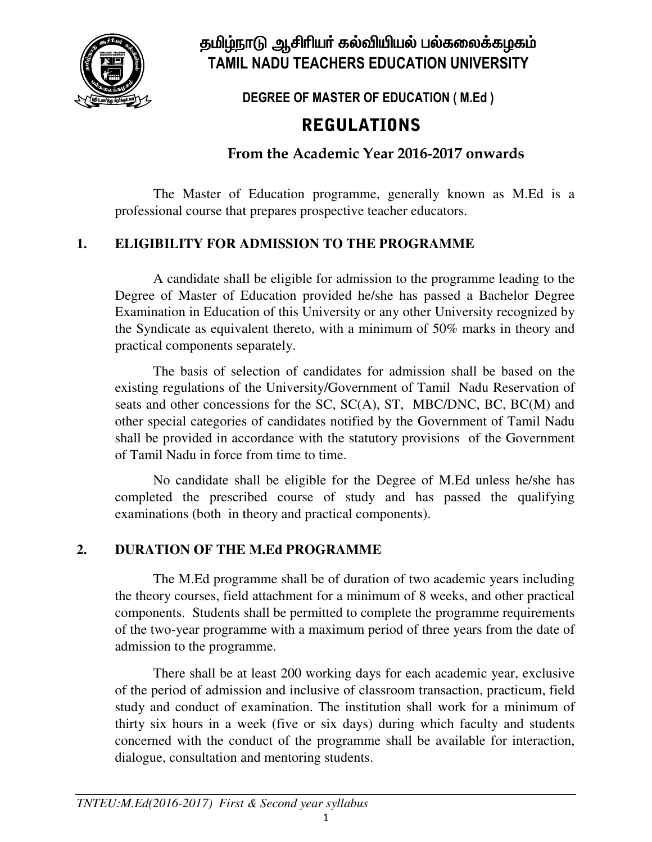

தமிழ்நாடு ஆசிரியர் கல்வியியல் பல்கலைக்கழகம் **TAMIL NADU TEACHERS EDUCATION UNIVERSITY NADU** 

DEGREE OF MASTER OF EDUCATION ( M.Ed )

# REGULATIONS

 **From the Academic Year 2016-2017 onwards 2017** 

The Master of Education programme, generally known as M.Ed is a professional course that prepares prospective teacher educators.

# **1. ELIGIBILITY FOR ADMISSION TO THE PROGRAMME**

A candidate shall be eligible for admission to the programme leading to the Degree of Master of Education provided he/she has passed a Bachelor Degree Examination in Education of this University or any other University recognized by the Syndicate as equivalent thereto, with a minimum of 50% marks in theory and<br>practical components separately.<br>The basis of selection of candidates for admission shall be based on the practical components separately. University recognized by<br>50% marks in theory and

The basis of selection of candidates for admission shall be based on the existing regulations of the University/Government of Tamil Nadu Reservation of seats and other concessions for the  $SC$ ,  $SC(A)$ ,  $ST$ ,  $MBC/DNC$ ,  $BC$ , other special categories of candidates notified by the Government of Tamil Nadu shall be provided in accordance with the statutory provisions of the Government of Tamil Nadu in force from time to time. ies of candidates notified by the Government of Tamil Nadu<br>accordance with the statutory provisions of the Government<br>ce from time to time.<br>shall be eligible for the Degree of M.Ed unless he/she has admission shall be based on the<br>at of Tamil Nadu Reservation of<br>ST, MBC/DNC, BC, BC(M) and

No candidate shall be eligible for the Degree of M.Ed unless he/she has completed the prescribed course of study and has passed the qualifying examinations (both in theory and practical components). examinations (both in theory and practical components).

# **2. DURATION OF THE M.Ed PROGRAMME**

The M.Ed programme shall be of duration of two academic years including the theory courses, field attachment for a minimum of 8 weeks, and other practical components. Students shall be permitted to complete the programme requirements of the two-year programme with a maximum period of three years from the date of admission to the programme. wo-year programme with a maximum period of three years from the date of<br>ion to the programme.<br>There shall be at least 200 working days for each academic year, exclusive

of the period of admission and inclusive of classroom transaction, practicum, field study and conduct of examination. The institution shall work for a minimum of thirty six hours in a week (five or six days) during which faculty and students concerned with the conduct of the programme shall be available for interaction, dialogue, consultation and mentoring students. of examination. The institution shall work for a minimum of a week (five or six days) during which faculty and students conduct of the programme shall be available for interaction,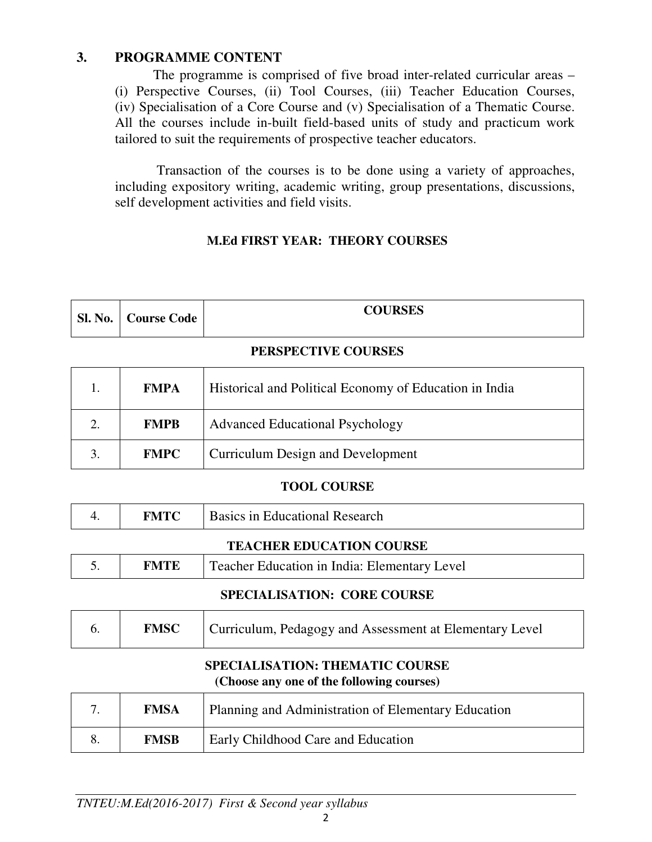### **3. PROGRAMME CONTENT**

The programme is comprised of five broad inter-related curricular areas – (i) Perspective Courses, (ii) Tool Courses, (iii) Teacher Education Courses, (iv) Specialisation of a Core Course and (v) Specialisation of a Thematic Course. All the courses include in-built field-based units of study and practicum work tailored to suit the requirements of prospective teacher educators.

 Transaction of the courses is to be done using a variety of approaches, including expository writing, academic writing, group presentations, discussions, self development activities and field visits.

# **M.Ed FIRST YEAR: THEORY COURSES**

| <b>Sl. No.</b> | <b>Course Code</b> | <b>COURSES</b> |
|----------------|--------------------|----------------|
|                |                    |                |

### **PERSPECTIVE COURSES**

|    | <b>FMPA</b> | Historical and Political Economy of Education in India |
|----|-------------|--------------------------------------------------------|
|    | <b>FMPB</b> | <b>Advanced Educational Psychology</b>                 |
| 3. | <b>FMPC</b> | <b>Curriculum Design and Development</b>               |

### **TOOL COURSE**

| FMTC- | <b>Basics in Educational Research</b> |
|-------|---------------------------------------|
|       | <b>TEACHER EDUCATION COURSE</b>       |

|  | <b>FMTE</b> | Teacher Education in India: Elementary Level |
|--|-------------|----------------------------------------------|
|--|-------------|----------------------------------------------|

### **SPECIALISATION: CORE COURSE**

|  | <b>FMSC</b> | Curriculum, Pedagogy and Assessment at Elementary Level |
|--|-------------|---------------------------------------------------------|
|--|-------------|---------------------------------------------------------|

### **SPECIALISATION: THEMATIC COURSE (Choose any one of the following courses)**

| <b>FMSA</b> | Planning and Administration of Elementary Education |
|-------------|-----------------------------------------------------|
| <b>FMSB</b> | Early Childhood Care and Education                  |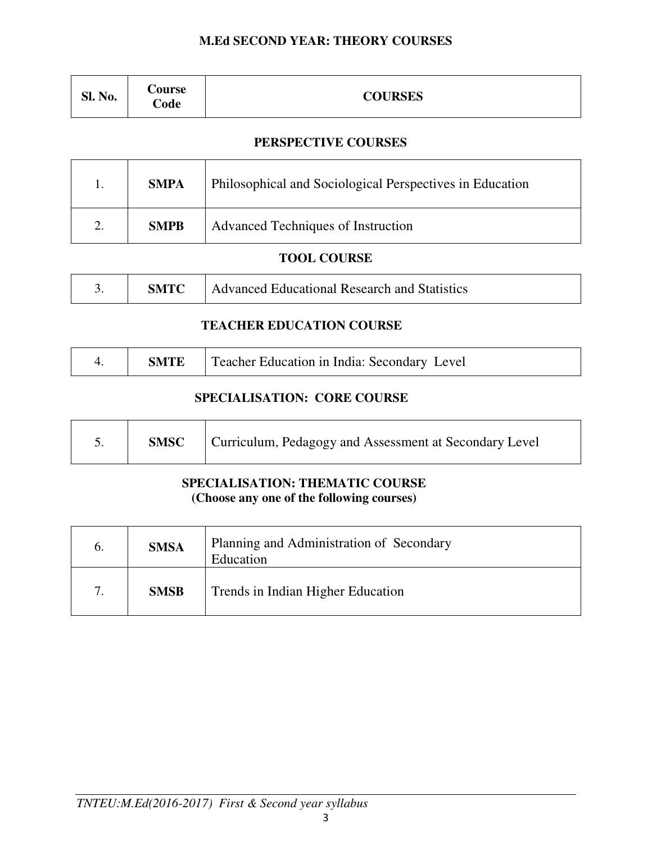### **M.Ed SECOND YEAR: THEORY COURSES**

| Sl. No. | <b>Course</b><br><b>Code</b> | <b>COURSES</b> |
|---------|------------------------------|----------------|
|---------|------------------------------|----------------|

### **PERSPECTIVE COURSES**

| <b>SMPA</b> | Philosophical and Sociological Perspectives in Education |
|-------------|----------------------------------------------------------|
| <b>SMPB</b> | Advanced Techniques of Instruction                       |

### **TOOL COURSE**

|  | <b>SMTC</b> | Advanced Educational Research and Statistics |
|--|-------------|----------------------------------------------|
|--|-------------|----------------------------------------------|

### **TEACHER EDUCATION COURSE**

|  |  | <b>SMTE</b>   Teacher Education in India: Secondary Level |
|--|--|-----------------------------------------------------------|
|--|--|-----------------------------------------------------------|

### **SPECIALISATION: CORE COURSE**

|  | <b>SMSC</b> | Curriculum, Pedagogy and Assessment at Secondary Level |
|--|-------------|--------------------------------------------------------|
|--|-------------|--------------------------------------------------------|

### **SPECIALISATION: THEMATIC COURSE (Choose any one of the following courses)**

| O. | <b>SMSA</b> | Planning and Administration of Secondary<br>Education |
|----|-------------|-------------------------------------------------------|
|    | <b>SMSB</b> | Trends in Indian Higher Education                     |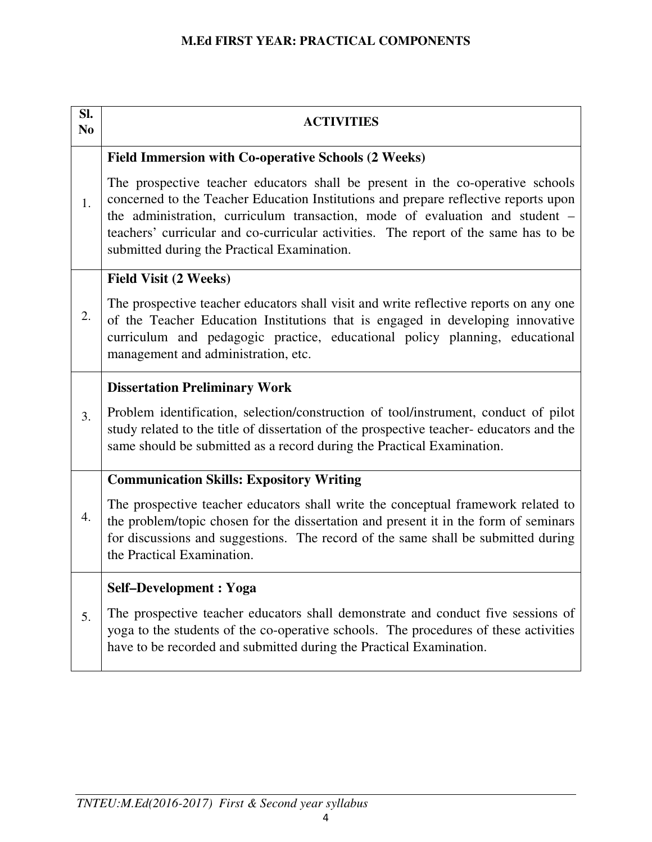### **M.Ed FIRST YEAR: PRACTICAL COMPONENTS**

| SI.<br>N <sub>0</sub> | <b>ACTIVITIES</b>                                                                                                                                                                                                                                                                                                                                                                           |
|-----------------------|---------------------------------------------------------------------------------------------------------------------------------------------------------------------------------------------------------------------------------------------------------------------------------------------------------------------------------------------------------------------------------------------|
|                       | <b>Field Immersion with Co-operative Schools (2 Weeks)</b>                                                                                                                                                                                                                                                                                                                                  |
| 1.                    | The prospective teacher educators shall be present in the co-operative schools<br>concerned to the Teacher Education Institutions and prepare reflective reports upon<br>the administration, curriculum transaction, mode of evaluation and student -<br>teachers' curricular and co-curricular activities. The report of the same has to be<br>submitted during the Practical Examination. |
|                       | <b>Field Visit (2 Weeks)</b>                                                                                                                                                                                                                                                                                                                                                                |
| 2.                    | The prospective teacher educators shall visit and write reflective reports on any one<br>of the Teacher Education Institutions that is engaged in developing innovative<br>curriculum and pedagogic practice, educational policy planning, educational<br>management and administration, etc.                                                                                               |
|                       | <b>Dissertation Preliminary Work</b>                                                                                                                                                                                                                                                                                                                                                        |
| 3.                    | Problem identification, selection/construction of tool/instrument, conduct of pilot<br>study related to the title of dissertation of the prospective teacher-educators and the<br>same should be submitted as a record during the Practical Examination.                                                                                                                                    |
|                       | <b>Communication Skills: Expository Writing</b>                                                                                                                                                                                                                                                                                                                                             |
| $\overline{4}$ .      | The prospective teacher educators shall write the conceptual framework related to<br>the problem/topic chosen for the dissertation and present it in the form of seminars<br>for discussions and suggestions. The record of the same shall be submitted during<br>the Practical Examination.                                                                                                |
|                       | <b>Self-Development: Yoga</b>                                                                                                                                                                                                                                                                                                                                                               |
| 5.                    | The prospective teacher educators shall demonstrate and conduct five sessions of<br>yoga to the students of the co-operative schools. The procedures of these activities<br>have to be recorded and submitted during the Practical Examination.                                                                                                                                             |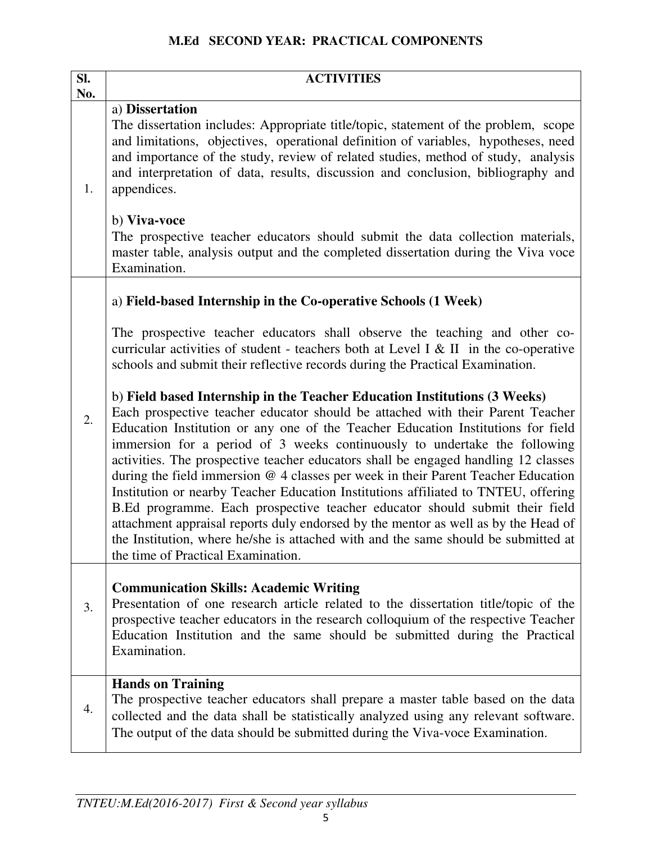| SI.<br>No. | <b>ACTIVITIES</b>                                                                                                                                                                                                                                                                                                                                                                                                                                                                                                                                                                                                                                                                                                                                                                                                                                                                                                                                                                                                                                                                                                                                     |
|------------|-------------------------------------------------------------------------------------------------------------------------------------------------------------------------------------------------------------------------------------------------------------------------------------------------------------------------------------------------------------------------------------------------------------------------------------------------------------------------------------------------------------------------------------------------------------------------------------------------------------------------------------------------------------------------------------------------------------------------------------------------------------------------------------------------------------------------------------------------------------------------------------------------------------------------------------------------------------------------------------------------------------------------------------------------------------------------------------------------------------------------------------------------------|
| 1.         | a) Dissertation<br>The dissertation includes: Appropriate title/topic, statement of the problem, scope<br>and limitations, objectives, operational definition of variables, hypotheses, need<br>and importance of the study, review of related studies, method of study, analysis<br>and interpretation of data, results, discussion and conclusion, bibliography and<br>appendices.<br>b) Viva-voce<br>The prospective teacher educators should submit the data collection materials,<br>master table, analysis output and the completed dissertation during the Viva voce                                                                                                                                                                                                                                                                                                                                                                                                                                                                                                                                                                           |
|            | Examination.<br>a) Field-based Internship in the Co-operative Schools (1 Week)                                                                                                                                                                                                                                                                                                                                                                                                                                                                                                                                                                                                                                                                                                                                                                                                                                                                                                                                                                                                                                                                        |
| 2.         | The prospective teacher educators shall observe the teaching and other co-<br>curricular activities of student - teachers both at Level I & II in the co-operative<br>schools and submit their reflective records during the Practical Examination.<br>b) Field based Internship in the Teacher Education Institutions (3 Weeks)<br>Each prospective teacher educator should be attached with their Parent Teacher<br>Education Institution or any one of the Teacher Education Institutions for field<br>immersion for a period of 3 weeks continuously to undertake the following<br>activities. The prospective teacher educators shall be engaged handling 12 classes<br>during the field immersion @ 4 classes per week in their Parent Teacher Education<br>Institution or nearby Teacher Education Institutions affiliated to TNTEU, offering<br>B.Ed programme. Each prospective teacher educator should submit their field<br>attachment appraisal reports duly endorsed by the mentor as well as by the Head of<br>the Institution, where he/she is attached with and the same should be submitted at<br>the time of Practical Examination. |
| 3.         | <b>Communication Skills: Academic Writing</b><br>Presentation of one research article related to the dissertation title/topic of the<br>prospective teacher educators in the research colloquium of the respective Teacher<br>Education Institution and the same should be submitted during the Practical<br>Examination.                                                                                                                                                                                                                                                                                                                                                                                                                                                                                                                                                                                                                                                                                                                                                                                                                             |
| 4.         | <b>Hands on Training</b><br>The prospective teacher educators shall prepare a master table based on the data<br>collected and the data shall be statistically analyzed using any relevant software.<br>The output of the data should be submitted during the Viva-voce Examination.                                                                                                                                                                                                                                                                                                                                                                                                                                                                                                                                                                                                                                                                                                                                                                                                                                                                   |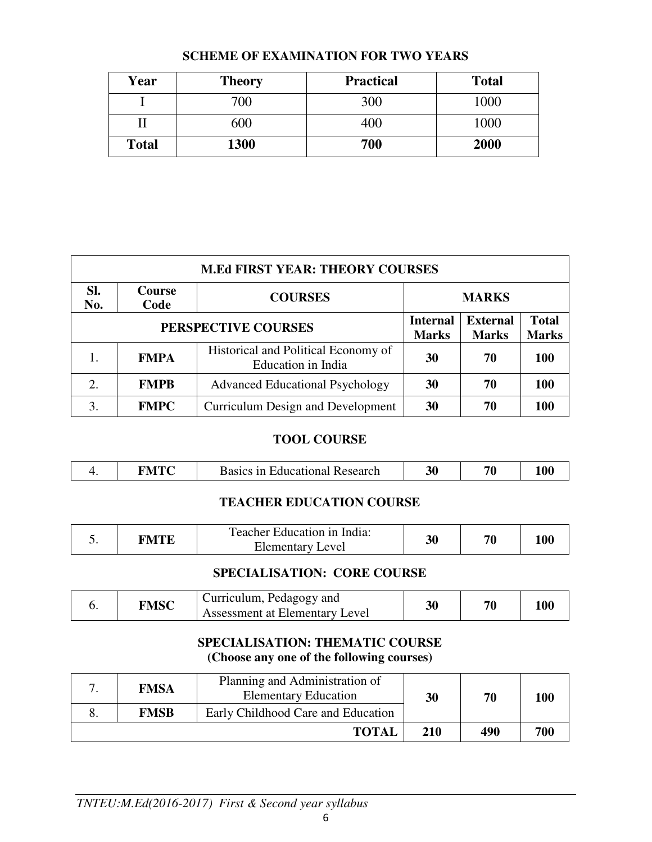| Year         | <b>Theory</b> | <b>Practical</b> | <b>Total</b> |
|--------------|---------------|------------------|--------------|
|              | 700           | 300              | 1000         |
|              | 600           | 400              | 1000         |
| <b>Total</b> | 1300          | 700              | 2000         |

### **SCHEME OF EXAMINATION FOR TWO YEARS**

| <b>M.Ed FIRST YEAR: THEORY COURSES</b> |                       |                                                           |                                 |                                 |                              |  |  |
|----------------------------------------|-----------------------|-----------------------------------------------------------|---------------------------------|---------------------------------|------------------------------|--|--|
| Sl.<br>No.                             | <b>Course</b><br>Code | <b>COURSES</b>                                            | <b>MARKS</b>                    |                                 |                              |  |  |
| PERSPECTIVE COURSES                    |                       |                                                           | <b>Internal</b><br><b>Marks</b> | <b>External</b><br><b>Marks</b> | <b>Total</b><br><b>Marks</b> |  |  |
|                                        | <b>FMPA</b>           | Historical and Political Economy of<br>Education in India | 30                              | 70                              | 100                          |  |  |
| 2.                                     | <b>FMPB</b>           | <b>Advanced Educational Psychology</b>                    | 30                              | 70                              | <b>100</b>                   |  |  |
| 3.                                     | <b>FMPC</b>           | Curriculum Design and Development                         | 30                              | 70                              | 100                          |  |  |

### **TOOL COURSE**

|  |  |  | <b>Basics</b><br>i Educational Research<br>1n | .3U |  |  |
|--|--|--|-----------------------------------------------|-----|--|--|
|--|--|--|-----------------------------------------------|-----|--|--|

### **TEACHER EDUCATION COURSE**

|  | TMTF : | Teacher Education in India:<br>evel<br>Elementary I | 30 | 70 |  |
|--|--------|-----------------------------------------------------|----|----|--|
|--|--------|-----------------------------------------------------|----|----|--|

### **SPECIALISATION: CORE COURSE**

|  | FMSC | Curriculum, Pedagogy and<br>Assessment at Elementary Level | 30 | 70 | 100 |
|--|------|------------------------------------------------------------|----|----|-----|
|--|------|------------------------------------------------------------|----|----|-----|

### **SPECIALISATION: THEMATIC COURSE (Choose any one of the following courses)**

| <b>FMSA</b> | Planning and Administration of<br><b>Elementary Education</b> | 30  | 70  | 100 |
|-------------|---------------------------------------------------------------|-----|-----|-----|
| <b>FMSB</b> | Early Childhood Care and Education                            |     |     |     |
|             | <b>TOTAL</b>                                                  | 210 | 490 | 700 |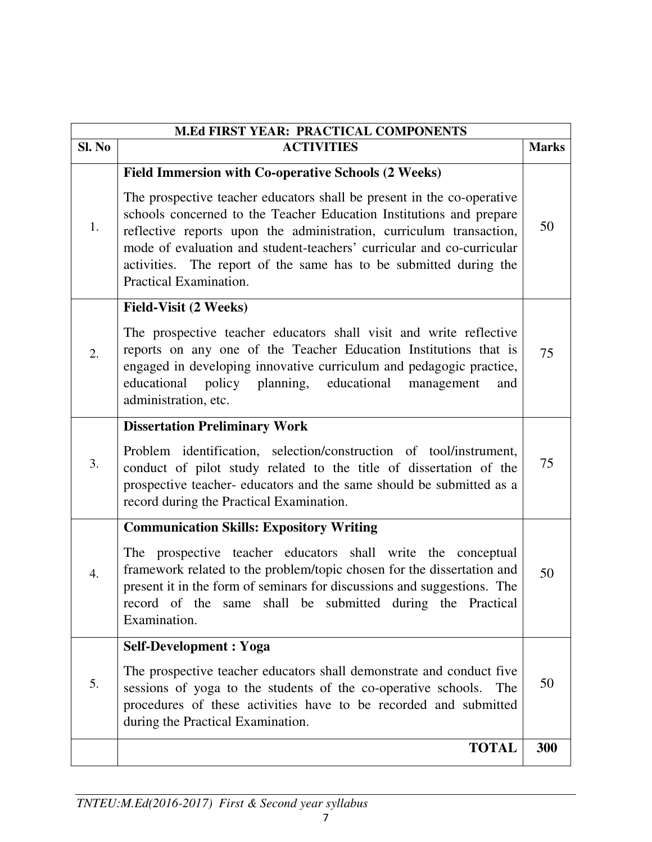|                  | <b>M.Ed FIRST YEAR: PRACTICAL COMPONENTS</b>                                                                                                                                                                                                                                                                                                                                                                                                               |              |  |  |  |
|------------------|------------------------------------------------------------------------------------------------------------------------------------------------------------------------------------------------------------------------------------------------------------------------------------------------------------------------------------------------------------------------------------------------------------------------------------------------------------|--------------|--|--|--|
| Sl. No           | <b>ACTIVITIES</b>                                                                                                                                                                                                                                                                                                                                                                                                                                          | <b>Marks</b> |  |  |  |
| 1.               | <b>Field Immersion with Co-operative Schools (2 Weeks)</b><br>The prospective teacher educators shall be present in the co-operative<br>schools concerned to the Teacher Education Institutions and prepare<br>reflective reports upon the administration, curriculum transaction,<br>mode of evaluation and student-teachers' curricular and co-curricular<br>activities. The report of the same has to be submitted during the<br>Practical Examination. | 50           |  |  |  |
| 2.               | <b>Field-Visit (2 Weeks)</b><br>The prospective teacher educators shall visit and write reflective<br>reports on any one of the Teacher Education Institutions that is<br>engaged in developing innovative curriculum and pedagogic practice,<br>educational policy planning, educational<br>management<br>and<br>administration, etc.                                                                                                                     | 75           |  |  |  |
| 3.               | <b>Dissertation Preliminary Work</b><br>Problem identification, selection/construction of tool/instrument,<br>conduct of pilot study related to the title of dissertation of the<br>prospective teacher- educators and the same should be submitted as a<br>record during the Practical Examination.                                                                                                                                                       | 75           |  |  |  |
| $\overline{4}$ . | <b>Communication Skills: Expository Writing</b><br>The prospective teacher educators shall write the conceptual<br>framework related to the problem/topic chosen for the dissertation and<br>present it in the form of seminars for discussions and suggestions. The<br>record of the<br>same shall be submitted during the Practical<br>Examination.                                                                                                      | 50           |  |  |  |
| 5.               | <b>Self-Development: Yoga</b><br>The prospective teacher educators shall demonstrate and conduct five<br>sessions of yoga to the students of the co-operative schools.<br>The<br>procedures of these activities have to be recorded and submitted<br>during the Practical Examination.                                                                                                                                                                     | 50           |  |  |  |
|                  | <b>TOTAL</b>                                                                                                                                                                                                                                                                                                                                                                                                                                               | 300          |  |  |  |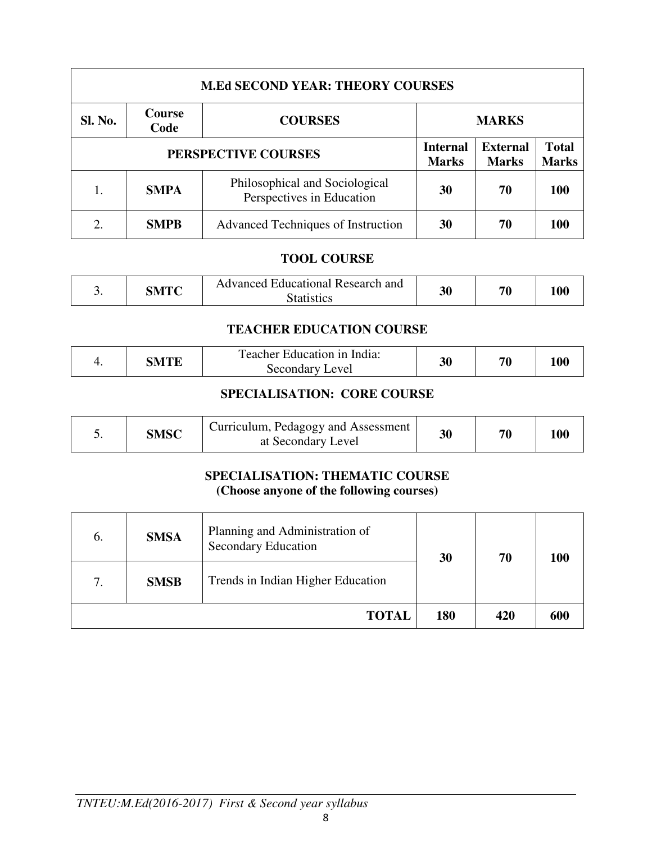| <b>M.Ed SECOND YEAR: THEORY COURSES</b> |                       |                                                             |                                 |                                 |                              |  |  |
|-----------------------------------------|-----------------------|-------------------------------------------------------------|---------------------------------|---------------------------------|------------------------------|--|--|
| Sl. No.                                 | <b>Course</b><br>Code | <b>COURSES</b>                                              | <b>MARKS</b>                    |                                 |                              |  |  |
| PERSPECTIVE COURSES                     |                       |                                                             | <b>Internal</b><br><b>Marks</b> | <b>External</b><br><b>Marks</b> | <b>Total</b><br><b>Marks</b> |  |  |
|                                         | <b>SMPA</b>           | Philosophical and Sociological<br>Perspectives in Education | 30                              | 70                              | 100                          |  |  |
|                                         | <b>SMPB</b>           | Advanced Techniques of Instruction                          | 30                              | 70                              | 100                          |  |  |

### **TOOL COURSE**

| <u>.</u> | SMTC | <b>Advanced Educational Research and</b><br>Statistics | 30 | $\pi$ |  |
|----------|------|--------------------------------------------------------|----|-------|--|
|----------|------|--------------------------------------------------------|----|-------|--|

# **TEACHER EDUCATION COURSE**

|  | $\gamma$ of $\Gamma$ | l'eacher Education in India:<br>evel<br>Secondary | 30 | 70 | 1 A A |  |
|--|----------------------|---------------------------------------------------|----|----|-------|--|
|--|----------------------|---------------------------------------------------|----|----|-------|--|

# **SPECIALISATION: CORE COURSE**

|  | <b>SMSC</b> | Curriculum, Pedagogy and Assessment 1<br>at Secondary Level |  | 70 | 100 |  |
|--|-------------|-------------------------------------------------------------|--|----|-----|--|
|--|-------------|-------------------------------------------------------------|--|----|-----|--|

#### **SPECIALISATION: THEMATIC COURSE (Choose anyone of the following courses)**

| 6. | <b>SMSA</b> | Planning and Administration of<br><b>Secondary Education</b> |     | 30  | 70  | 100 |
|----|-------------|--------------------------------------------------------------|-----|-----|-----|-----|
| 7. | <b>SMSB</b> | Trends in Indian Higher Education                            |     |     |     |     |
|    |             | <b>TOTAL</b>                                                 | 180 | 420 | 600 |     |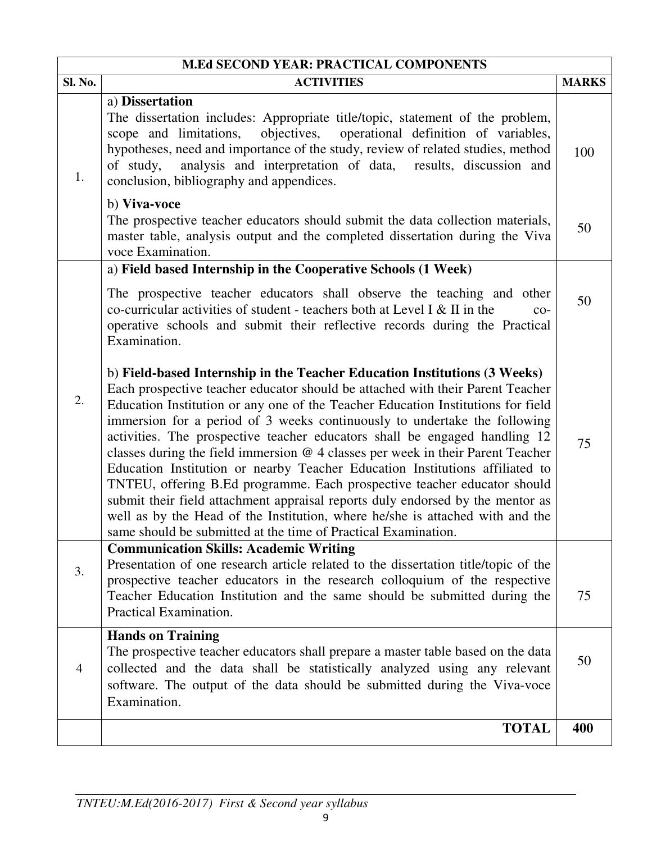| <b>M.Ed SECOND YEAR: PRACTICAL COMPONENTS</b> |                                                                                                                                                                                                                                                                                                                                                                                                                                                                                                                                                                                                                                                                                                                                                                                                                                                                                                  |              |  |
|-----------------------------------------------|--------------------------------------------------------------------------------------------------------------------------------------------------------------------------------------------------------------------------------------------------------------------------------------------------------------------------------------------------------------------------------------------------------------------------------------------------------------------------------------------------------------------------------------------------------------------------------------------------------------------------------------------------------------------------------------------------------------------------------------------------------------------------------------------------------------------------------------------------------------------------------------------------|--------------|--|
| Sl. No.                                       | <b>ACTIVITIES</b>                                                                                                                                                                                                                                                                                                                                                                                                                                                                                                                                                                                                                                                                                                                                                                                                                                                                                | <b>MARKS</b> |  |
| 1.                                            | a) Dissertation<br>The dissertation includes: Appropriate title/topic, statement of the problem,<br>objectives,<br>operational definition of variables,<br>scope and limitations,<br>hypotheses, need and importance of the study, review of related studies, method<br>analysis and interpretation of data, results, discussion and<br>of study,<br>conclusion, bibliography and appendices.<br>b) Viva-voce<br>The prospective teacher educators should submit the data collection materials,                                                                                                                                                                                                                                                                                                                                                                                                  | 100          |  |
|                                               | master table, analysis output and the completed dissertation during the Viva<br>voce Examination.                                                                                                                                                                                                                                                                                                                                                                                                                                                                                                                                                                                                                                                                                                                                                                                                | 50           |  |
|                                               | a) Field based Internship in the Cooperative Schools (1 Week)<br>The prospective teacher educators shall observe the teaching and other<br>co-curricular activities of student - teachers both at Level I & II in the<br>$CO-$<br>operative schools and submit their reflective records during the Practical<br>Examination.                                                                                                                                                                                                                                                                                                                                                                                                                                                                                                                                                                     | 50           |  |
| 2.                                            | b) Field-based Internship in the Teacher Education Institutions (3 Weeks)<br>Each prospective teacher educator should be attached with their Parent Teacher<br>Education Institution or any one of the Teacher Education Institutions for field<br>immersion for a period of 3 weeks continuously to undertake the following<br>activities. The prospective teacher educators shall be engaged handling 12<br>classes during the field immersion $@$ 4 classes per week in their Parent Teacher<br>Education Institution or nearby Teacher Education Institutions affiliated to<br>TNTEU, offering B.Ed programme. Each prospective teacher educator should<br>submit their field attachment appraisal reports duly endorsed by the mentor as<br>well as by the Head of the Institution, where he/she is attached with and the<br>same should be submitted at the time of Practical Examination. | 75           |  |
| 3.                                            | <b>Communication Skills: Academic Writing</b><br>Presentation of one research article related to the dissertation title/topic of the<br>prospective teacher educators in the research colloquium of the respective<br>Teacher Education Institution and the same should be submitted during the<br>Practical Examination.                                                                                                                                                                                                                                                                                                                                                                                                                                                                                                                                                                        | 75           |  |
| $\overline{4}$                                | <b>Hands on Training</b><br>The prospective teacher educators shall prepare a master table based on the data<br>collected and the data shall be statistically analyzed using any relevant<br>software. The output of the data should be submitted during the Viva-voce<br>Examination.                                                                                                                                                                                                                                                                                                                                                                                                                                                                                                                                                                                                           | 50           |  |
|                                               | <b>TOTAL</b>                                                                                                                                                                                                                                                                                                                                                                                                                                                                                                                                                                                                                                                                                                                                                                                                                                                                                     | 400          |  |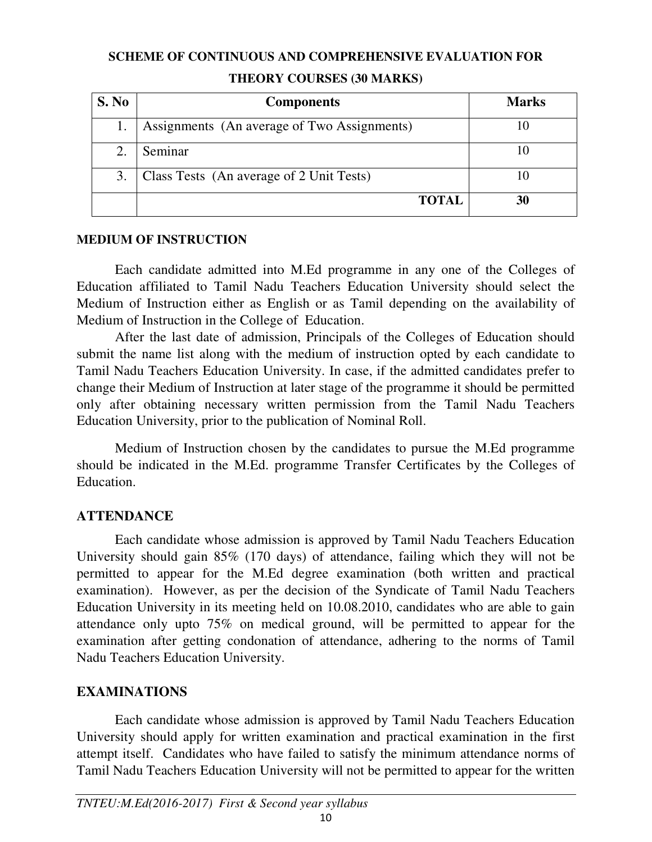### **SCHEME OF CONTINUOUS AND COMPREHENSIVE EVALUATION FOR**

| S. No | <b>Components</b>                           | <b>Marks</b> |  |
|-------|---------------------------------------------|--------------|--|
|       | Assignments (An average of Two Assignments) |              |  |
|       | Seminar                                     | 10           |  |
| 3.    | Class Tests (An average of 2 Unit Tests)    |              |  |
|       | <b>TOTAL</b>                                | 30           |  |

### **THEORY COURSES (30 MARKS)**

### **MEDIUM OF INSTRUCTION**

Each candidate admitted into M.Ed programme in any one of the Colleges of Education affiliated to Tamil Nadu Teachers Education University should select the Medium of Instruction either as English or as Tamil depending on the availability of Medium of Instruction in the College of Education.

After the last date of admission, Principals of the Colleges of Education should submit the name list along with the medium of instruction opted by each candidate to Tamil Nadu Teachers Education University. In case, if the admitted candidates prefer to change their Medium of Instruction at later stage of the programme it should be permitted only after obtaining necessary written permission from the Tamil Nadu Teachers Education University, prior to the publication of Nominal Roll.

Medium of Instruction chosen by the candidates to pursue the M.Ed programme should be indicated in the M.Ed. programme Transfer Certificates by the Colleges of Education.

# **ATTENDANCE**

Each candidate whose admission is approved by Tamil Nadu Teachers Education University should gain 85% (170 days) of attendance, failing which they will not be permitted to appear for the M.Ed degree examination (both written and practical examination). However, as per the decision of the Syndicate of Tamil Nadu Teachers Education University in its meeting held on 10.08.2010, candidates who are able to gain attendance only upto 75% on medical ground, will be permitted to appear for the examination after getting condonation of attendance, adhering to the norms of Tamil Nadu Teachers Education University.

# **EXAMINATIONS**

 Each candidate whose admission is approved by Tamil Nadu Teachers Education University should apply for written examination and practical examination in the first attempt itself. Candidates who have failed to satisfy the minimum attendance norms of Tamil Nadu Teachers Education University will not be permitted to appear for the written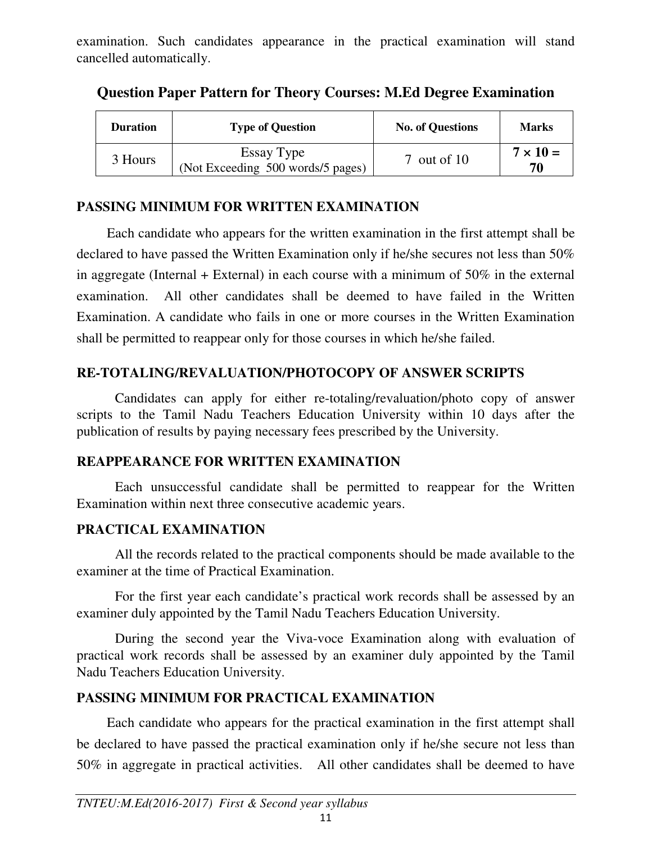examination. Such candidates appearance in the practical examination will stand cancelled automatically.

| <b>Duration</b> | <b>Type of Question</b>                         | <b>No. of Questions</b> | <b>Marks</b>          |
|-----------------|-------------------------------------------------|-------------------------|-----------------------|
| 3 Hours         | Essay Type<br>(Not Exceeding 500 words/5 pages) | $7$ out of $10$         | $7 \times 10 =$<br>70 |

**Question Paper Pattern for Theory Courses: M.Ed Degree Examination** 

# **PASSING MINIMUM FOR WRITTEN EXAMINATION**

Each candidate who appears for the written examination in the first attempt shall be declared to have passed the Written Examination only if he/she secures not less than 50% in aggregate (Internal + External) in each course with a minimum of  $50\%$  in the external examination. All other candidates shall be deemed to have failed in the Written Examination. A candidate who fails in one or more courses in the Written Examination shall be permitted to reappear only for those courses in which he/she failed.

# **RE-TOTALING/REVALUATION/PHOTOCOPY OF ANSWER SCRIPTS**

Candidates can apply for either re-totaling/revaluation/photo copy of answer scripts to the Tamil Nadu Teachers Education University within 10 days after the publication of results by paying necessary fees prescribed by the University.

# **REAPPEARANCE FOR WRITTEN EXAMINATION**

Each unsuccessful candidate shall be permitted to reappear for the Written Examination within next three consecutive academic years.

# **PRACTICAL EXAMINATION**

All the records related to the practical components should be made available to the examiner at the time of Practical Examination.

For the first year each candidate's practical work records shall be assessed by an examiner duly appointed by the Tamil Nadu Teachers Education University.

During the second year the Viva-voce Examination along with evaluation of practical work records shall be assessed by an examiner duly appointed by the Tamil Nadu Teachers Education University.

# **PASSING MINIMUM FOR PRACTICAL EXAMINATION**

Each candidate who appears for the practical examination in the first attempt shall be declared to have passed the practical examination only if he/she secure not less than 50% in aggregate in practical activities. All other candidates shall be deemed to have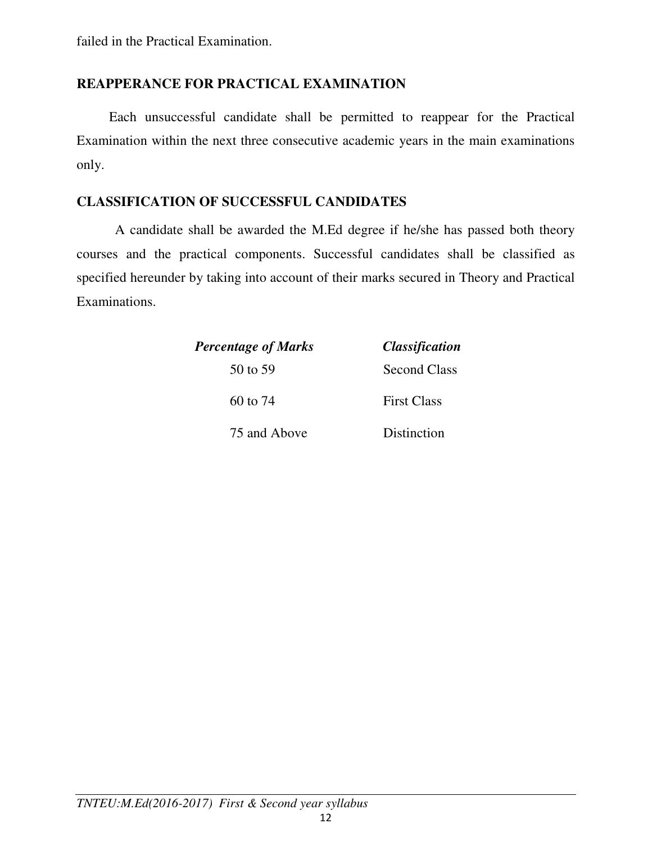# **REAPPERANCE FOR PRACTICAL EXAMINATION**

 Each unsuccessful candidate shall be permitted to reappear for the Practical Examination within the next three consecutive academic years in the main examinations only.

# **CLASSIFICATION OF SUCCESSFUL CANDIDATES**

 A candidate shall be awarded the M.Ed degree if he/she has passed both theory courses and the practical components. Successful candidates shall be classified as specified hereunder by taking into account of their marks secured in Theory and Practical Examinations.

| <b>Percentage of Marks</b> | <i><b>Classification</b></i> |  |  |
|----------------------------|------------------------------|--|--|
| 50 to 59                   | Second Class                 |  |  |
| 60 to $74$                 | <b>First Class</b>           |  |  |
| 75 and Above               | Distinction                  |  |  |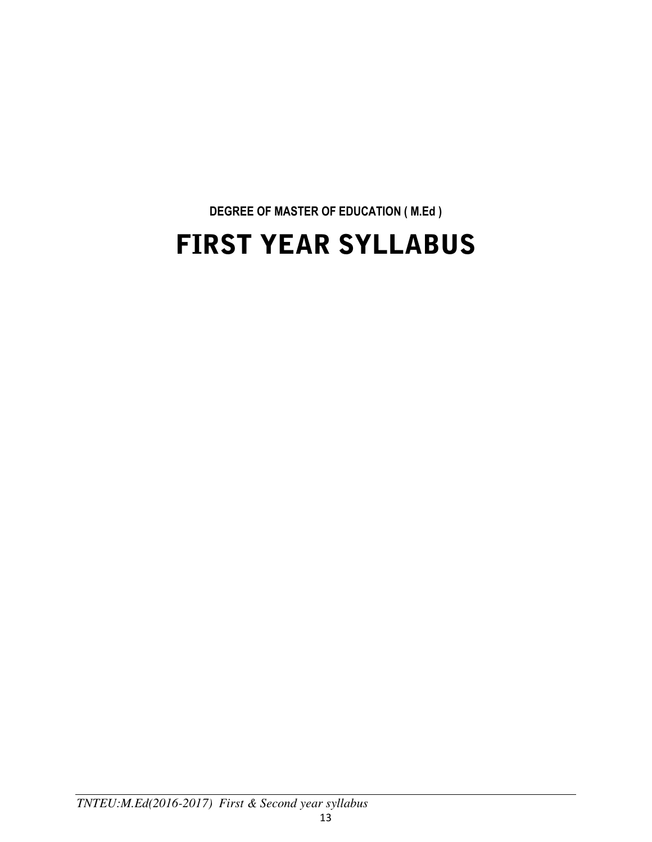# **DEGREE OF MASTER OF EDUCATION ( M.Ed )**  FIRST YEAR SYLLABUS

*TNTEU:M.Ed(2016-2017) First & Second year syllabus*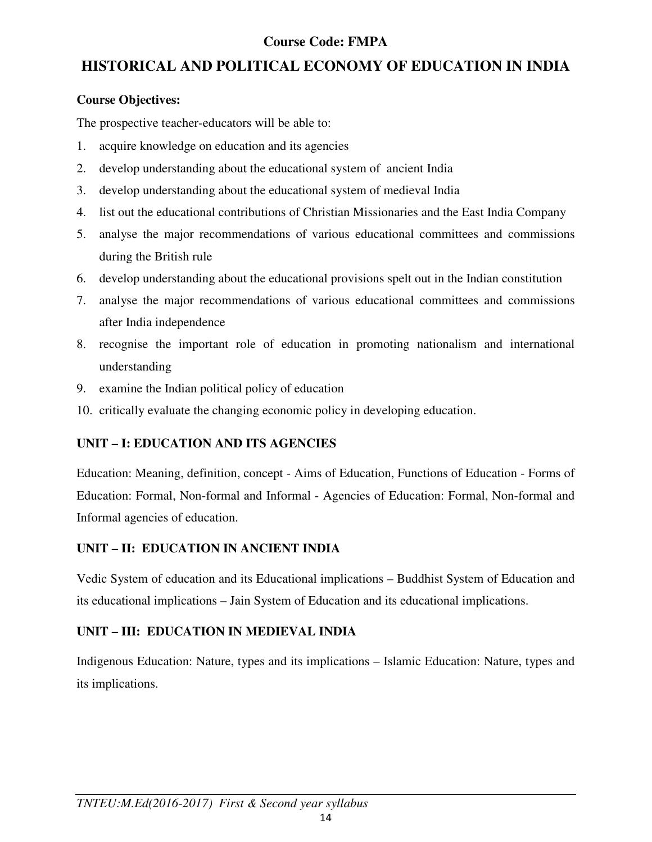# **Course Code: FMPA**

# **HISTORICAL AND POLITICAL ECONOMY OF EDUCATION IN INDIA**

# **Course Objectives:**

The prospective teacher-educators will be able to:

- 1. acquire knowledge on education and its agencies
- 2. develop understanding about the educational system of ancient India
- 3. develop understanding about the educational system of medieval India
- 4. list out the educational contributions of Christian Missionaries and the East India Company
- 5. analyse the major recommendations of various educational committees and commissions during the British rule
- 6. develop understanding about the educational provisions spelt out in the Indian constitution
- 7. analyse the major recommendations of various educational committees and commissions after India independence
- 8. recognise the important role of education in promoting nationalism and international understanding
- 9. examine the Indian political policy of education
- 10. critically evaluate the changing economic policy in developing education.

# **UNIT – I: EDUCATION AND ITS AGENCIES**

Education: Meaning, definition, concept - Aims of Education, Functions of Education - Forms of Education: Formal, Non-formal and Informal - Agencies of Education: Formal, Non-formal and Informal agencies of education.

# **UNIT – II: EDUCATION IN ANCIENT INDIA**

Vedic System of education and its Educational implications – Buddhist System of Education and its educational implications – Jain System of Education and its educational implications.

# **UNIT – III: EDUCATION IN MEDIEVAL INDIA**

Indigenous Education: Nature, types and its implications – Islamic Education: Nature, types and its implications.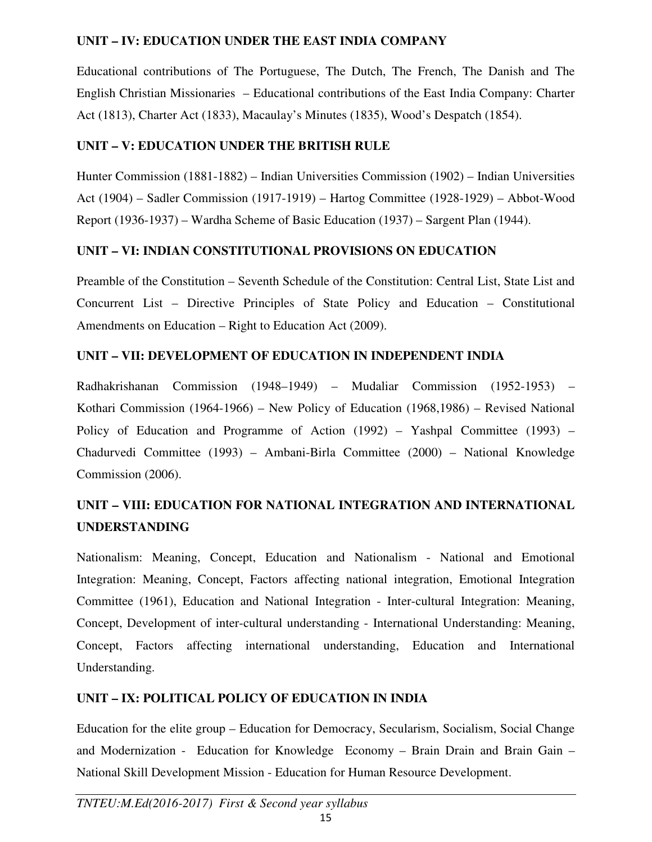### **UNIT – IV: EDUCATION UNDER THE EAST INDIA COMPANY**

Educational contributions of The Portuguese, The Dutch, The French, The Danish and The English Christian Missionaries – Educational contributions of the East India Company: Charter Act (1813), Charter Act (1833), Macaulay's Minutes (1835), Wood's Despatch (1854).

# **UNIT – V: EDUCATION UNDER THE BRITISH RULE**

Hunter Commission (1881-1882) – Indian Universities Commission (1902) – Indian Universities Act (1904) – Sadler Commission (1917-1919) – Hartog Committee (1928-1929) – Abbot-Wood Report (1936-1937) – Wardha Scheme of Basic Education (1937) – Sargent Plan (1944).

# **UNIT – VI: INDIAN CONSTITUTIONAL PROVISIONS ON EDUCATION**

Preamble of the Constitution – Seventh Schedule of the Constitution: Central List, State List and Concurrent List – Directive Principles of State Policy and Education – Constitutional Amendments on Education – Right to Education Act (2009).

# **UNIT – VII: DEVELOPMENT OF EDUCATION IN INDEPENDENT INDIA**

Radhakrishanan Commission (1948–1949) – Mudaliar Commission (1952-1953) – Kothari Commission (1964-1966) – New Policy of Education (1968,1986) – Revised National Policy of Education and Programme of Action (1992) – Yashpal Committee (1993) – Chadurvedi Committee (1993) – Ambani-Birla Committee (2000) – National Knowledge Commission (2006).

# **UNIT – VIII: EDUCATION FOR NATIONAL INTEGRATION AND INTERNATIONAL UNDERSTANDING**

Nationalism: Meaning, Concept, Education and Nationalism - National and Emotional Integration: Meaning, Concept, Factors affecting national integration, Emotional Integration Committee (1961), Education and National Integration - Inter-cultural Integration: Meaning, Concept, Development of inter-cultural understanding - International Understanding: Meaning, Concept, Factors affecting international understanding, Education and International Understanding.

# **UNIT – IX: POLITICAL POLICY OF EDUCATION IN INDIA**

Education for the elite group – Education for Democracy, Secularism, Socialism, Social Change and Modernization - Education for Knowledge Economy – Brain Drain and Brain Gain – National Skill Development Mission - Education for Human Resource Development.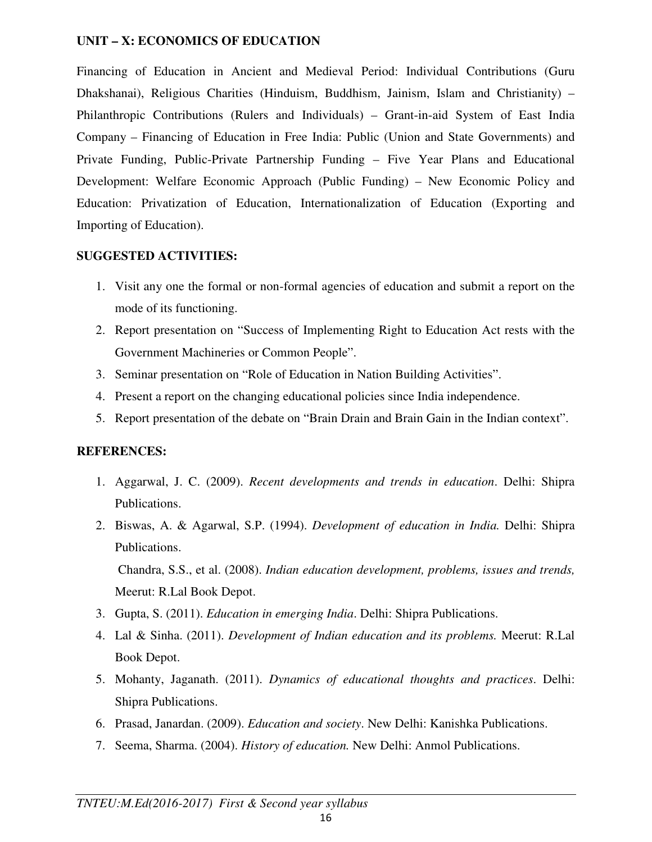#### **UNIT – X: ECONOMICS OF EDUCATION**

Financing of Education in Ancient and Medieval Period: Individual Contributions (Guru Dhakshanai), Religious Charities (Hinduism, Buddhism, Jainism, Islam and Christianity) – Philanthropic Contributions (Rulers and Individuals) – Grant-in-aid System of East India Company – Financing of Education in Free India: Public (Union and State Governments) and Private Funding, Public-Private Partnership Funding – Five Year Plans and Educational Development: Welfare Economic Approach (Public Funding) – New Economic Policy and Education: Privatization of Education, Internationalization of Education (Exporting and Importing of Education).

### **SUGGESTED ACTIVITIES:**

- 1. Visit any one the formal or non-formal agencies of education and submit a report on the mode of its functioning.
- 2. Report presentation on "Success of Implementing Right to Education Act rests with the Government Machineries or Common People".
- 3. Seminar presentation on "Role of Education in Nation Building Activities".
- 4. Present a report on the changing educational policies since India independence.
- 5. Report presentation of the debate on "Brain Drain and Brain Gain in the Indian context".

### **REFERENCES:**

- 1. Aggarwal, J. C. (2009). *Recent developments and trends in education*. Delhi: Shipra Publications.
- 2. Biswas, A. & Agarwal, S.P. (1994). *Development of education in India.* Delhi: Shipra Publications.

Chandra, S.S., et al. (2008). *Indian education development, problems, issues and trends,* Meerut: R.Lal Book Depot.

- 3. Gupta, S. (2011). *Education in emerging India*. Delhi: Shipra Publications.
- 4. Lal & Sinha. (2011). *Development of Indian education and its problems.* Meerut: R.Lal Book Depot.
- 5. Mohanty, Jaganath. (2011). *Dynamics of educational thoughts and practices*. Delhi: Shipra Publications.
- 6. Prasad, Janardan. (2009). *Education and society*. New Delhi: Kanishka Publications.
- 7. Seema, Sharma. (2004). *History of education.* New Delhi: Anmol Publications.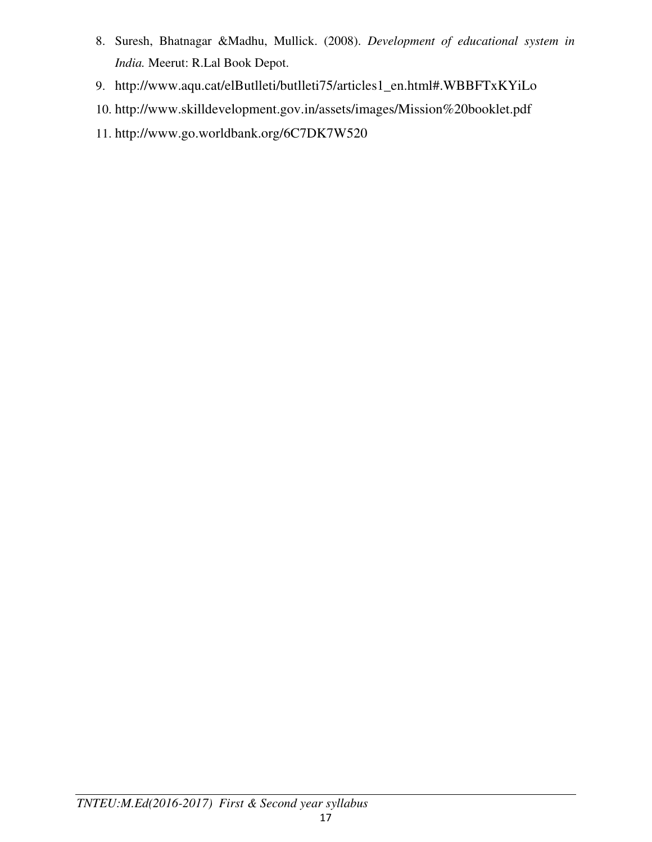- 8. Suresh, Bhatnagar &Madhu, Mullick. (2008). *Development of educational system in India.* Meerut: R.Lal Book Depot.
- 9. http://www.aqu.cat/elButlleti/butlleti75/articles1\_en.html#.WBBFTxKYiLo
- 10. http://www.skilldevelopment.gov.in/assets/images/Mission%20booklet.pdf
- 11. http://www.go.worldbank.org/6C7DK7W520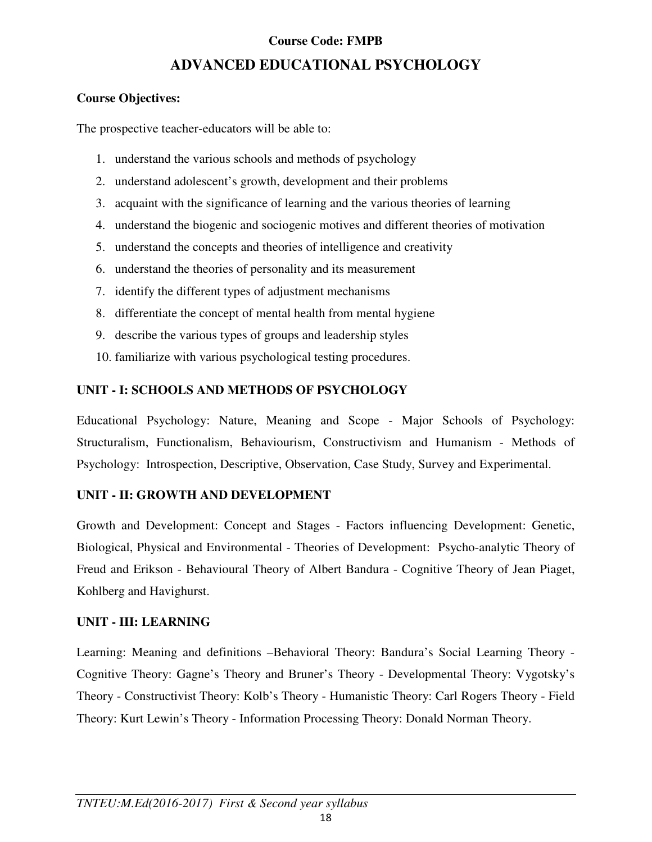### **Course Code: FMPB**

# **ADVANCED EDUCATIONAL PSYCHOLOGY**

### **Course Objectives:**

The prospective teacher-educators will be able to:

- 1. understand the various schools and methods of psychology
- 2. understand adolescent's growth, development and their problems
- 3. acquaint with the significance of learning and the various theories of learning
- 4. understand the biogenic and sociogenic motives and different theories of motivation
- 5. understand the concepts and theories of intelligence and creativity
- 6. understand the theories of personality and its measurement
- 7. identify the different types of adjustment mechanisms
- 8. differentiate the concept of mental health from mental hygiene
- 9. describe the various types of groups and leadership styles
- 10. familiarize with various psychological testing procedures.

# **UNIT - I: SCHOOLS AND METHODS OF PSYCHOLOGY**

Educational Psychology: Nature, Meaning and Scope - Major Schools of Psychology: Structuralism, Functionalism, Behaviourism, Constructivism and Humanism - Methods of Psychology: Introspection, Descriptive, Observation, Case Study, Survey and Experimental.

# **UNIT - II: GROWTH AND DEVELOPMENT**

Growth and Development: Concept and Stages - Factors influencing Development: Genetic, Biological, Physical and Environmental - Theories of Development: Psycho-analytic Theory of Freud and Erikson - Behavioural Theory of Albert Bandura - Cognitive Theory of Jean Piaget, Kohlberg and Havighurst.

# **UNIT - III: LEARNING**

Learning: Meaning and definitions –Behavioral Theory: Bandura's Social Learning Theory - Cognitive Theory: Gagne's Theory and Bruner's Theory - Developmental Theory: Vygotsky's Theory - Constructivist Theory: Kolb's Theory - Humanistic Theory: Carl Rogers Theory - Field Theory: Kurt Lewin's Theory - Information Processing Theory: Donald Norman Theory.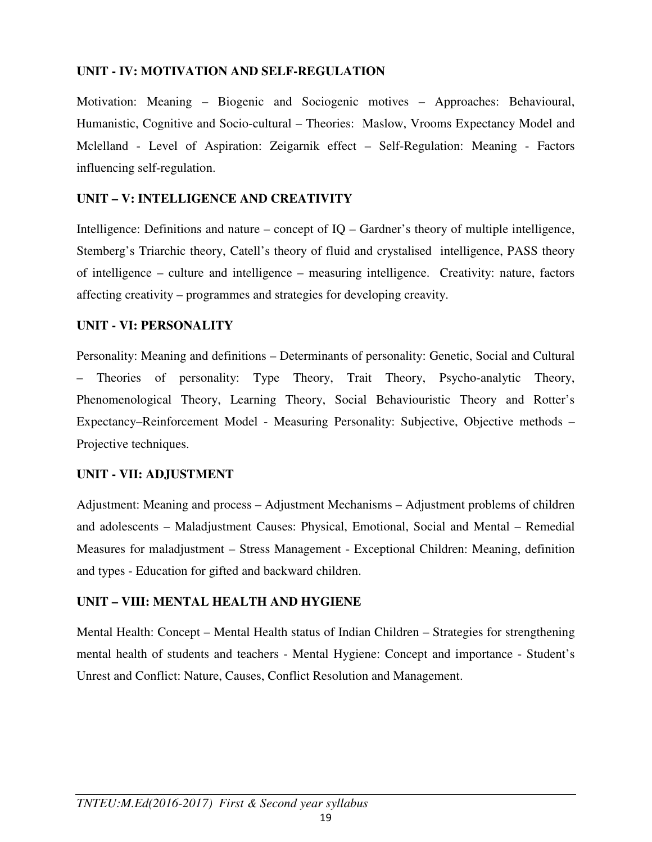### **UNIT - IV: MOTIVATION AND SELF-REGULATION**

Motivation: Meaning – Biogenic and Sociogenic motives – Approaches: Behavioural, Humanistic, Cognitive and Socio-cultural – Theories: Maslow, Vrooms Expectancy Model and Mclelland - Level of Aspiration: Zeigarnik effect – Self-Regulation: Meaning - Factors influencing self-regulation.

### **UNIT – V: INTELLIGENCE AND CREATIVITY**

Intelligence: Definitions and nature – concept of IQ – Gardner's theory of multiple intelligence, Stemberg's Triarchic theory, Catell's theory of fluid and crystalised intelligence, PASS theory of intelligence – culture and intelligence – measuring intelligence. Creativity: nature, factors affecting creativity – programmes and strategies for developing creavity.

### **UNIT - VI: PERSONALITY**

Personality: Meaning and definitions – Determinants of personality: Genetic, Social and Cultural – Theories of personality: Type Theory, Trait Theory, Psycho-analytic Theory, Phenomenological Theory, Learning Theory, Social Behaviouristic Theory and Rotter's Expectancy–Reinforcement Model - Measuring Personality: Subjective, Objective methods – Projective techniques.

### **UNIT - VII: ADJUSTMENT**

Adjustment: Meaning and process – Adjustment Mechanisms – Adjustment problems of children and adolescents – Maladjustment Causes: Physical, Emotional, Social and Mental – Remedial Measures for maladjustment – Stress Management - Exceptional Children: Meaning, definition and types - Education for gifted and backward children.

### **UNIT – VIII: MENTAL HEALTH AND HYGIENE**

Mental Health: Concept – Mental Health status of Indian Children – Strategies for strengthening mental health of students and teachers - Mental Hygiene: Concept and importance - Student's Unrest and Conflict: Nature, Causes, Conflict Resolution and Management.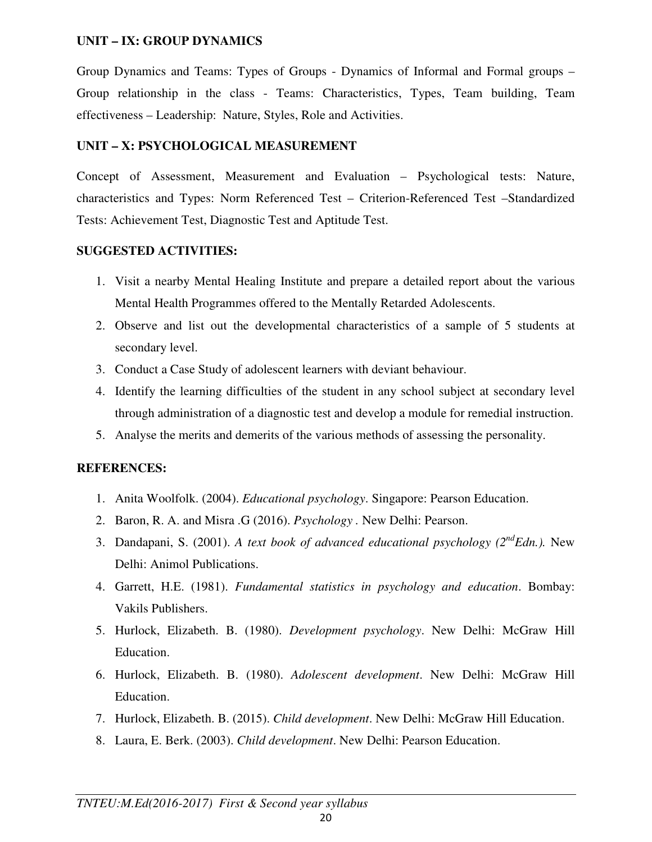### **UNIT – IX: GROUP DYNAMICS**

Group Dynamics and Teams: Types of Groups - Dynamics of Informal and Formal groups – Group relationship in the class - Teams: Characteristics, Types, Team building, Team effectiveness – Leadership: Nature, Styles, Role and Activities.

### **UNIT – X: PSYCHOLOGICAL MEASUREMENT**

Concept of Assessment, Measurement and Evaluation – Psychological tests: Nature, characteristics and Types: Norm Referenced Test – Criterion-Referenced Test –Standardized Tests: Achievement Test, Diagnostic Test and Aptitude Test.

### **SUGGESTED ACTIVITIES:**

- 1. Visit a nearby Mental Healing Institute and prepare a detailed report about the various Mental Health Programmes offered to the Mentally Retarded Adolescents.
- 2. Observe and list out the developmental characteristics of a sample of 5 students at secondary level.
- 3. Conduct a Case Study of adolescent learners with deviant behaviour.
- 4. Identify the learning difficulties of the student in any school subject at secondary level through administration of a diagnostic test and develop a module for remedial instruction.
- 5. Analyse the merits and demerits of the various methods of assessing the personality.

### **REFERENCES:**

- 1. Anita Woolfolk. (2004). *Educational psychology*. Singapore: Pearson Education.
- 2. Baron, R. A. and Misra .G (2016). *Psychology .* New Delhi: Pearson.
- 3. Dandapani, S. (2001). *A text book of advanced educational psychology (2ndEdn.).* New Delhi: Animol Publications.
- 4. Garrett, H.E. (1981). *Fundamental statistics in psychology and education*. Bombay: Vakils Publishers.
- 5. Hurlock, Elizabeth. B. (1980). *Development psychology*. New Delhi: McGraw Hill Education.
- 6. Hurlock, Elizabeth. B. (1980). *Adolescent development*. New Delhi: McGraw Hill Education.
- 7. Hurlock, Elizabeth. B. (2015). *Child development*. New Delhi: McGraw Hill Education.
- 8. Laura, E. Berk. (2003). *Child development*. New Delhi: Pearson Education.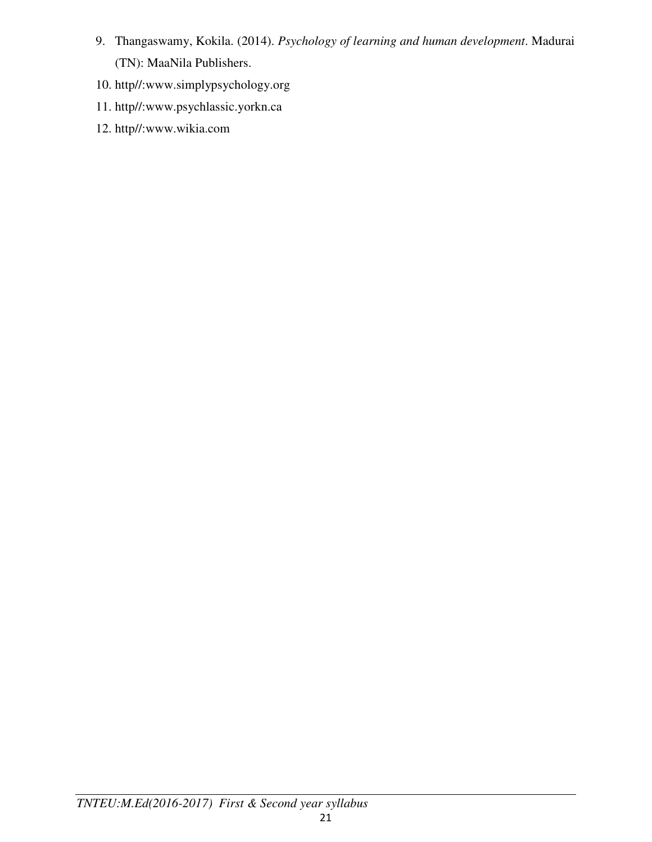- 9. Thangaswamy, Kokila. (2014). *Psychology of learning and human development*. Madurai (TN): MaaNila Publishers.
- 10. http//:www.simplypsychology.org
- 11. http//:www.psychlassic.yorkn.ca
- 12. http//:www.wikia.com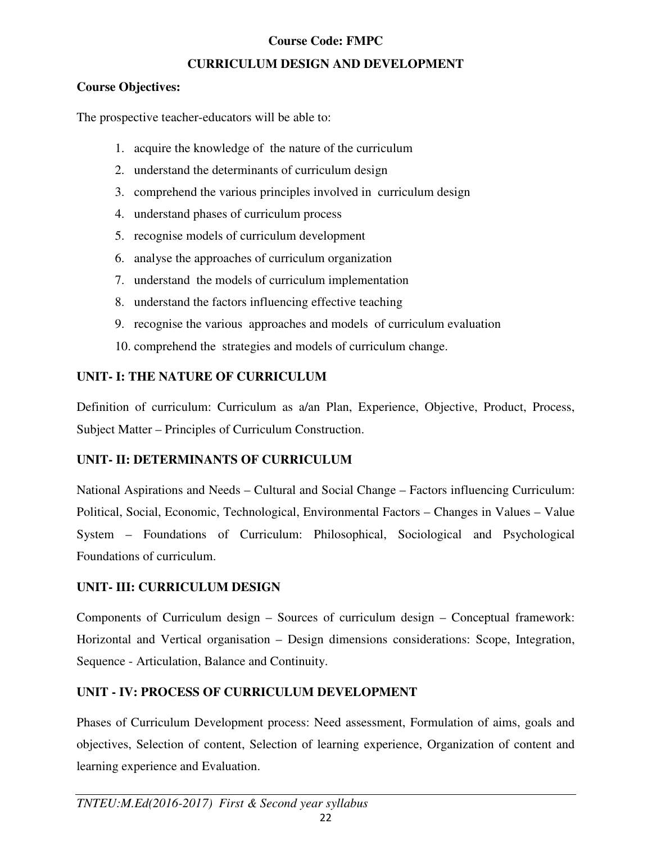### **Course Code: FMPC**

### **CURRICULUM DESIGN AND DEVELOPMENT**

### **Course Objectives:**

The prospective teacher-educators will be able to:

- 1. acquire the knowledge of the nature of the curriculum
- 2. understand the determinants of curriculum design
- 3. comprehend the various principles involved in curriculum design
- 4. understand phases of curriculum process
- 5. recognise models of curriculum development
- 6. analyse the approaches of curriculum organization
- 7. understand the models of curriculum implementation
- 8. understand the factors influencing effective teaching
- 9. recognise the various approaches and models of curriculum evaluation
- 10. comprehend the strategies and models of curriculum change.

### **UNIT- I: THE NATURE OF CURRICULUM**

Definition of curriculum: Curriculum as a/an Plan, Experience, Objective, Product, Process, Subject Matter – Principles of Curriculum Construction.

### **UNIT- II: DETERMINANTS OF CURRICULUM**

National Aspirations and Needs – Cultural and Social Change – Factors influencing Curriculum: Political, Social, Economic, Technological, Environmental Factors – Changes in Values – Value System – Foundations of Curriculum: Philosophical, Sociological and Psychological Foundations of curriculum.

### **UNIT- III: CURRICULUM DESIGN**

Components of Curriculum design – Sources of curriculum design – Conceptual framework: Horizontal and Vertical organisation – Design dimensions considerations: Scope, Integration, Sequence - Articulation, Balance and Continuity.

### **UNIT - IV: PROCESS OF CURRICULUM DEVELOPMENT**

Phases of Curriculum Development process: Need assessment, Formulation of aims, goals and objectives, Selection of content, Selection of learning experience, Organization of content and learning experience and Evaluation.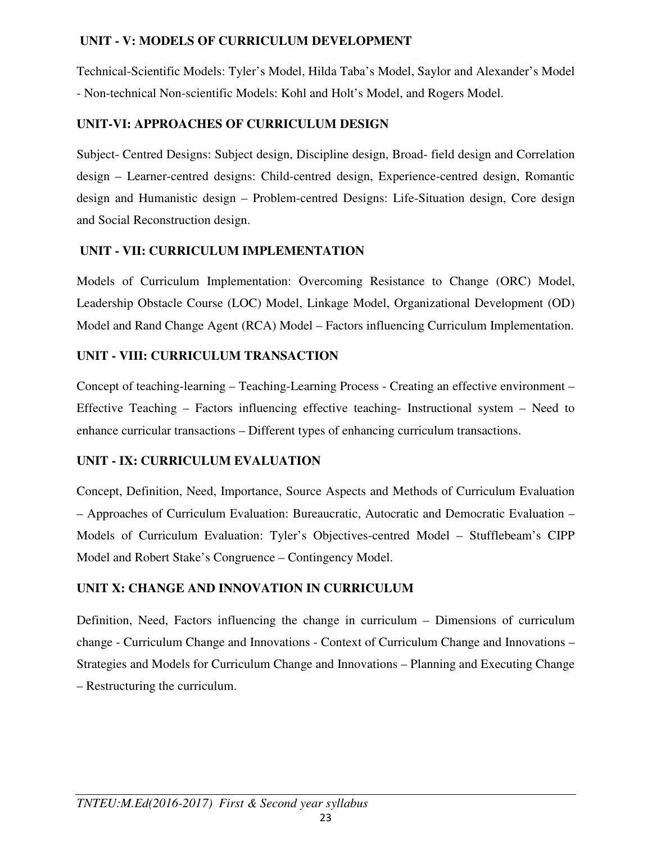# **UNIT - V: MODELS OF CURRICULUM DEVELOPMENT**

Technical-Scientific Models: Tyler's Model, Hilda Taba's Model, Saylor and Alexander's Model - Non-technical Non-scientific Models: Kohl and Holt's Model, and Rogers Model.

# **UNIT-VI: APPROACHES OF CURRICULUM DESIGN**

Subject- Centred Designs: Subject design, Discipline design, Broad- field design and Correlation design – Learner-centred designs: Child-centred design, Experience-centred design, Romantic design and Humanistic design – Problem-centred Designs: Life-Situation design, Core design and Social Reconstruction design.

# **UNIT - VII: CURRICULUM IMPLEMENTATION**

Models of Curriculum Implementation: Overcoming Resistance to Change (ORC) Model, Leadership Obstacle Course (LOC) Model, Linkage Model, Organizational Development (OD) Model and Rand Change Agent (RCA) Model – Factors influencing Curriculum Implementation.

# **UNIT - VIII: CURRICULUM TRANSACTION**

Concept of teaching-learning – Teaching-Learning Process - Creating an effective environment – Effective Teaching – Factors influencing effective teaching- Instructional system – Need to enhance curricular transactions – Different types of enhancing curriculum transactions.

# **UNIT - IX: CURRICULUM EVALUATION**

Concept, Definition, Need, Importance, Source Aspects and Methods of Curriculum Evaluation – Approaches of Curriculum Evaluation: Bureaucratic, Autocratic and Democratic Evaluation – Models of Curriculum Evaluation: Tyler's Objectives-centred Model – Stufflebeam's CIPP Model and Robert Stake's Congruence – Contingency Model.

# **UNIT X: CHANGE AND INNOVATION IN CURRICULUM**

Definition, Need, Factors influencing the change in curriculum – Dimensions of curriculum change - Curriculum Change and Innovations - Context of Curriculum Change and Innovations – Strategies and Models for Curriculum Change and Innovations – Planning and Executing Change – Restructuring the curriculum.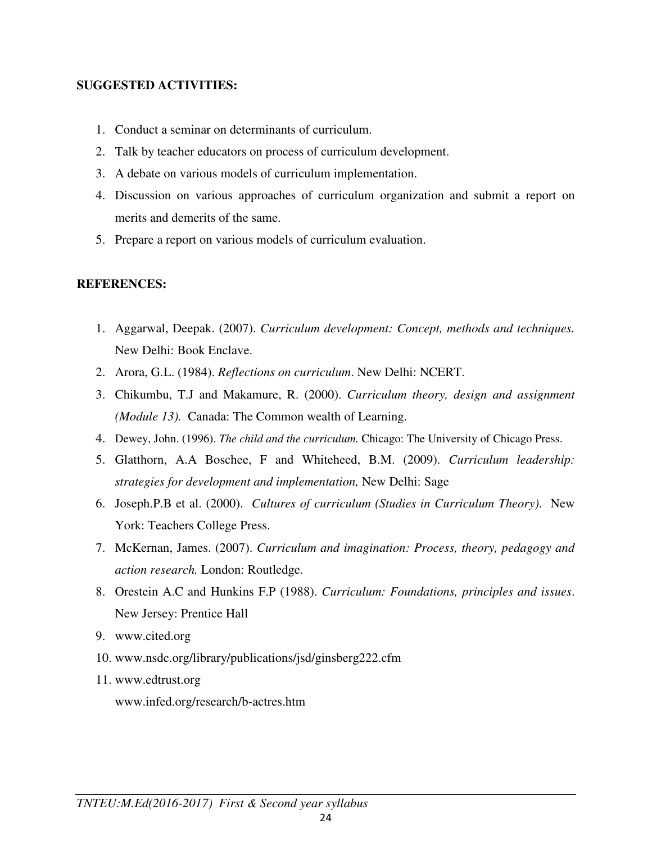### **SUGGESTED ACTIVITIES:**

- 1. Conduct a seminar on determinants of curriculum.
- 2. Talk by teacher educators on process of curriculum development.
- 3. A debate on various models of curriculum implementation.
- 4. Discussion on various approaches of curriculum organization and submit a report on merits and demerits of the same.
- 5. Prepare a report on various models of curriculum evaluation.

### **REFERENCES:**

- 1. Aggarwal, Deepak. (2007). *Curriculum development: Concept, methods and techniques.* New Delhi: Book Enclave.
- 2. Arora, G.L. (1984). *Reflections on curriculum*. New Delhi: NCERT.
- 3. Chikumbu, T.J and Makamure, R. (2000). *Curriculum theory, design and assignment (Module 13).* Canada: The Common wealth of Learning.
- 4. Dewey, John. (1996). *The child and the curriculum.* Chicago: The University of Chicago Press.
- 5. Glatthorn, A.A Boschee, F and Whiteheed, B.M. (2009). *Curriculum leadership: strategies for development and implementation,* New Delhi: Sage
- 6. Joseph.P.B et al. (2000). *Cultures of curriculum (Studies in Curriculum Theory)*. New York: Teachers College Press.
- 7. McKernan, James. (2007). *Curriculum and imagination: Process, theory, pedagogy and action research.* London: Routledge.
- 8. Orestein A.C and Hunkins F.P (1988). *Curriculum: Foundations, principles and issues*. New Jersey: Prentice Hall
- 9. www.cited.org
- 10. www.nsdc.org/library/publications/jsd/ginsberg222.cfm
- 11. www.edtrust.org

www.infed.org/research/b-actres.htm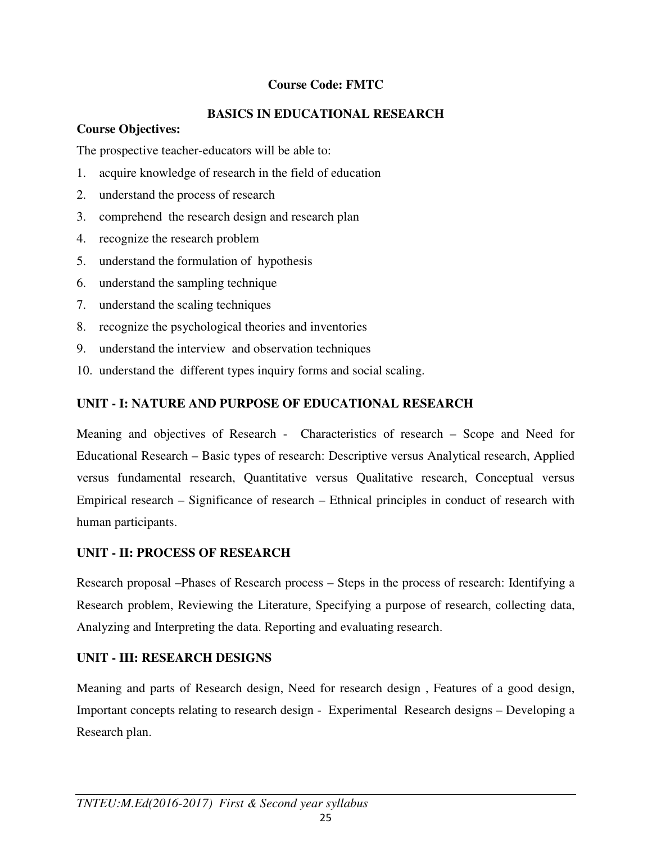# **Course Code: FMTC**

# **BASICS IN EDUCATIONAL RESEARCH**

### **Course Objectives:**

The prospective teacher-educators will be able to:

- 1. acquire knowledge of research in the field of education
- 2. understand the process of research
- 3. comprehend the research design and research plan
- 4. recognize the research problem
- 5. understand the formulation of hypothesis
- 6. understand the sampling technique
- 7. understand the scaling techniques
- 8. recognize the psychological theories and inventories
- 9. understand the interview and observation techniques
- 10. understand the different types inquiry forms and social scaling.

# **UNIT - I: NATURE AND PURPOSE OF EDUCATIONAL RESEARCH**

Meaning and objectives of Research - Characteristics of research – Scope and Need for Educational Research – Basic types of research: Descriptive versus Analytical research, Applied versus fundamental research, Quantitative versus Qualitative research, Conceptual versus Empirical research – Significance of research – Ethnical principles in conduct of research with human participants.

# **UNIT - II: PROCESS OF RESEARCH**

Research proposal –Phases of Research process – Steps in the process of research: Identifying a Research problem, Reviewing the Literature, Specifying a purpose of research, collecting data, Analyzing and Interpreting the data. Reporting and evaluating research.

# **UNIT - III: RESEARCH DESIGNS**

Meaning and parts of Research design, Need for research design , Features of a good design, Important concepts relating to research design - Experimental Research designs – Developing a Research plan.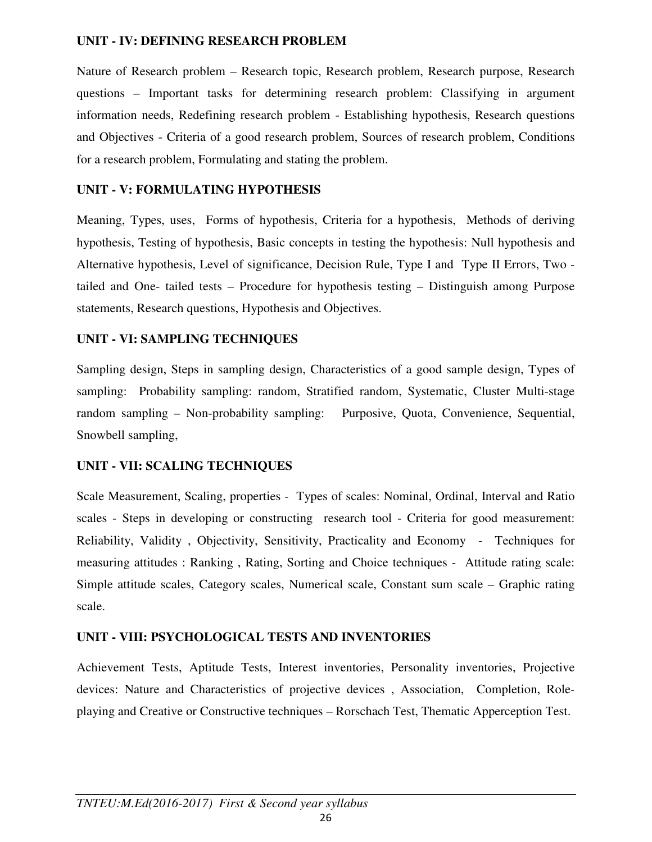### **UNIT - IV: DEFINING RESEARCH PROBLEM**

Nature of Research problem – Research topic, Research problem, Research purpose, Research questions – Important tasks for determining research problem: Classifying in argument information needs, Redefining research problem - Establishing hypothesis, Research questions and Objectives - Criteria of a good research problem, Sources of research problem, Conditions for a research problem, Formulating and stating the problem.

### **UNIT - V: FORMULATING HYPOTHESIS**

Meaning, Types, uses, Forms of hypothesis, Criteria for a hypothesis, Methods of deriving hypothesis, Testing of hypothesis, Basic concepts in testing the hypothesis: Null hypothesis and Alternative hypothesis, Level of significance, Decision Rule, Type I and Type II Errors, Two tailed and One- tailed tests – Procedure for hypothesis testing – Distinguish among Purpose statements, Research questions, Hypothesis and Objectives.

### **UNIT - VI: SAMPLING TECHNIQUES**

Sampling design, Steps in sampling design, Characteristics of a good sample design, Types of sampling: Probability sampling: random, Stratified random, Systematic, Cluster Multi-stage random sampling – Non-probability sampling: Purposive, Quota, Convenience, Sequential, Snowbell sampling,

### **UNIT - VII: SCALING TECHNIQUES**

Scale Measurement, Scaling, properties - Types of scales: Nominal, Ordinal, Interval and Ratio scales - Steps in developing or constructing research tool - Criteria for good measurement: Reliability, Validity , Objectivity, Sensitivity, Practicality and Economy - Techniques for measuring attitudes : Ranking , Rating, Sorting and Choice techniques - Attitude rating scale: Simple attitude scales, Category scales, Numerical scale, Constant sum scale – Graphic rating scale.

### **UNIT - VIII: PSYCHOLOGICAL TESTS AND INVENTORIES**

Achievement Tests, Aptitude Tests, Interest inventories, Personality inventories, Projective devices: Nature and Characteristics of projective devices , Association, Completion, Roleplaying and Creative or Constructive techniques – Rorschach Test, Thematic Apperception Test.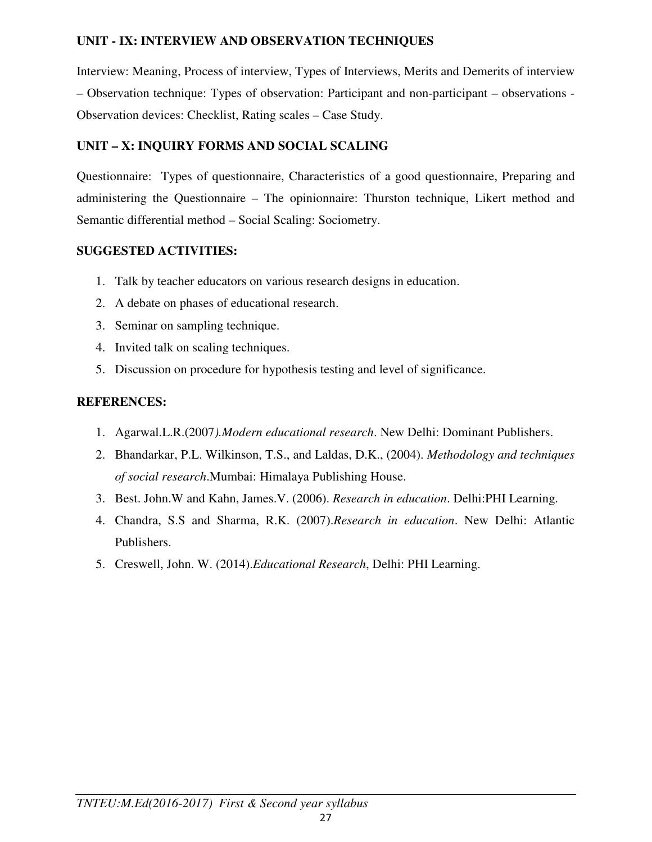### **UNIT - IX: INTERVIEW AND OBSERVATION TECHNIQUES**

Interview: Meaning, Process of interview, Types of Interviews, Merits and Demerits of interview – Observation technique: Types of observation: Participant and non-participant – observations - Observation devices: Checklist, Rating scales – Case Study.

### **UNIT – X: INQUIRY FORMS AND SOCIAL SCALING**

Questionnaire: Types of questionnaire, Characteristics of a good questionnaire, Preparing and administering the Questionnaire – The opinionnaire: Thurston technique, Likert method and Semantic differential method – Social Scaling: Sociometry.

# **SUGGESTED ACTIVITIES:**

- 1. Talk by teacher educators on various research designs in education.
- 2. A debate on phases of educational research.
- 3. Seminar on sampling technique.
- 4. Invited talk on scaling techniques.
- 5. Discussion on procedure for hypothesis testing and level of significance.

# **REFERENCES:**

- 1. Agarwal.L.R.(2007*).Modern educational research*. New Delhi: Dominant Publishers.
- 2. Bhandarkar, P.L. Wilkinson, T.S., and Laldas, D.K., (2004). *Methodology and techniques of social research*.Mumbai: Himalaya Publishing House.
- 3. Best. John.W and Kahn, James.V. (2006). *Research in education*. Delhi:PHI Learning.
- 4. Chandra, S.S and Sharma, R.K. (2007).*Research in education*. New Delhi: Atlantic Publishers.
- 5. Creswell, John. W. (2014).*Educational Research*, Delhi: PHI Learning.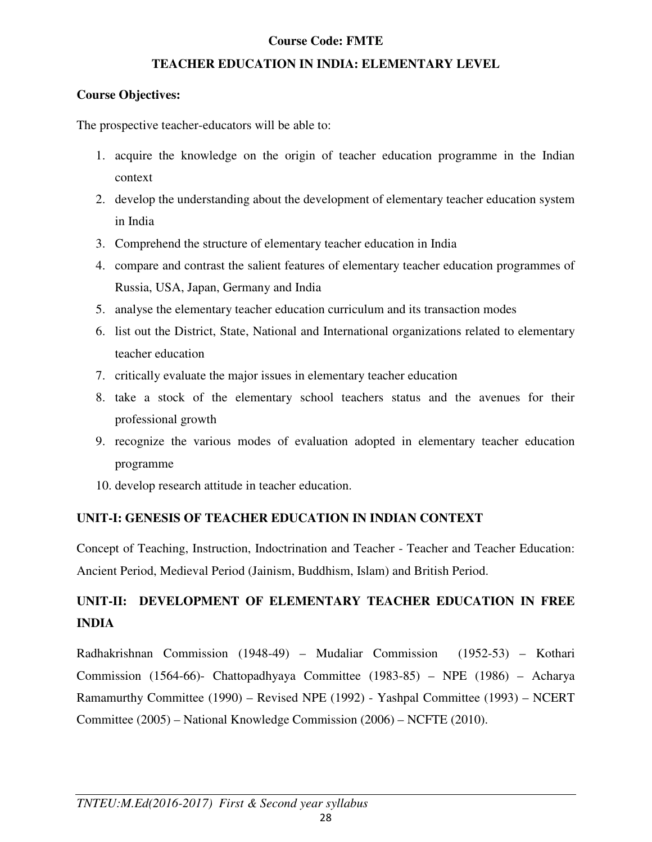### **Course Code: FMTE**

### **TEACHER EDUCATION IN INDIA: ELEMENTARY LEVEL**

### **Course Objectives:**

The prospective teacher-educators will be able to:

- 1. acquire the knowledge on the origin of teacher education programme in the Indian context
- 2. develop the understanding about the development of elementary teacher education system in India
- 3. Comprehend the structure of elementary teacher education in India
- 4. compare and contrast the salient features of elementary teacher education programmes of Russia, USA, Japan, Germany and India
- 5. analyse the elementary teacher education curriculum and its transaction modes
- 6. list out the District, State, National and International organizations related to elementary teacher education
- 7. critically evaluate the major issues in elementary teacher education
- 8. take a stock of the elementary school teachers status and the avenues for their professional growth
- 9. recognize the various modes of evaluation adopted in elementary teacher education programme
- 10. develop research attitude in teacher education.

# **UNIT-I: GENESIS OF TEACHER EDUCATION IN INDIAN CONTEXT**

Concept of Teaching, Instruction, Indoctrination and Teacher - Teacher and Teacher Education: Ancient Period, Medieval Period (Jainism, Buddhism, Islam) and British Period.

# **UNIT-II: DEVELOPMENT OF ELEMENTARY TEACHER EDUCATION IN FREE INDIA**

Radhakrishnan Commission (1948-49) – Mudaliar Commission (1952-53) – Kothari Commission (1564-66)- Chattopadhyaya Committee (1983-85) – NPE (1986) – Acharya Ramamurthy Committee (1990) – Revised NPE (1992) - Yashpal Committee (1993) – NCERT Committee (2005) – National Knowledge Commission (2006) – NCFTE (2010).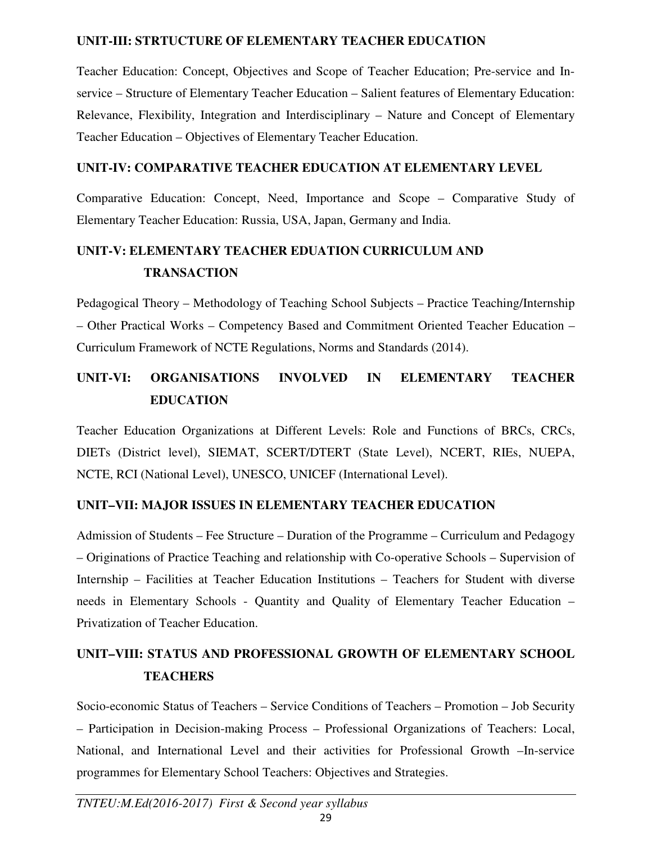### **UNIT-III: STRTUCTURE OF ELEMENTARY TEACHER EDUCATION**

Teacher Education: Concept, Objectives and Scope of Teacher Education; Pre-service and Inservice – Structure of Elementary Teacher Education – Salient features of Elementary Education: Relevance, Flexibility, Integration and Interdisciplinary – Nature and Concept of Elementary Teacher Education – Objectives of Elementary Teacher Education.

### **UNIT-IV: COMPARATIVE TEACHER EDUCATION AT ELEMENTARY LEVEL**

Comparative Education: Concept, Need, Importance and Scope – Comparative Study of Elementary Teacher Education: Russia, USA, Japan, Germany and India.

# **UNIT-V: ELEMENTARY TEACHER EDUATION CURRICULUM AND TRANSACTION**

Pedagogical Theory – Methodology of Teaching School Subjects – Practice Teaching/Internship – Other Practical Works – Competency Based and Commitment Oriented Teacher Education – Curriculum Framework of NCTE Regulations, Norms and Standards (2014).

# **UNIT-VI: ORGANISATIONS INVOLVED IN ELEMENTARY TEACHER EDUCATION**

Teacher Education Organizations at Different Levels: Role and Functions of BRCs, CRCs, DIETs (District level), SIEMAT, SCERT/DTERT (State Level), NCERT, RIEs, NUEPA, NCTE, RCI (National Level), UNESCO, UNICEF (International Level).

# **UNIT–VII: MAJOR ISSUES IN ELEMENTARY TEACHER EDUCATION**

Admission of Students – Fee Structure – Duration of the Programme – Curriculum and Pedagogy – Originations of Practice Teaching and relationship with Co-operative Schools – Supervision of Internship – Facilities at Teacher Education Institutions – Teachers for Student with diverse needs in Elementary Schools - Quantity and Quality of Elementary Teacher Education – Privatization of Teacher Education.

# **UNIT–VIII: STATUS AND PROFESSIONAL GROWTH OF ELEMENTARY SCHOOL TEACHERS**

Socio-economic Status of Teachers – Service Conditions of Teachers – Promotion – Job Security – Participation in Decision-making Process – Professional Organizations of Teachers: Local, National, and International Level and their activities for Professional Growth –In-service programmes for Elementary School Teachers: Objectives and Strategies.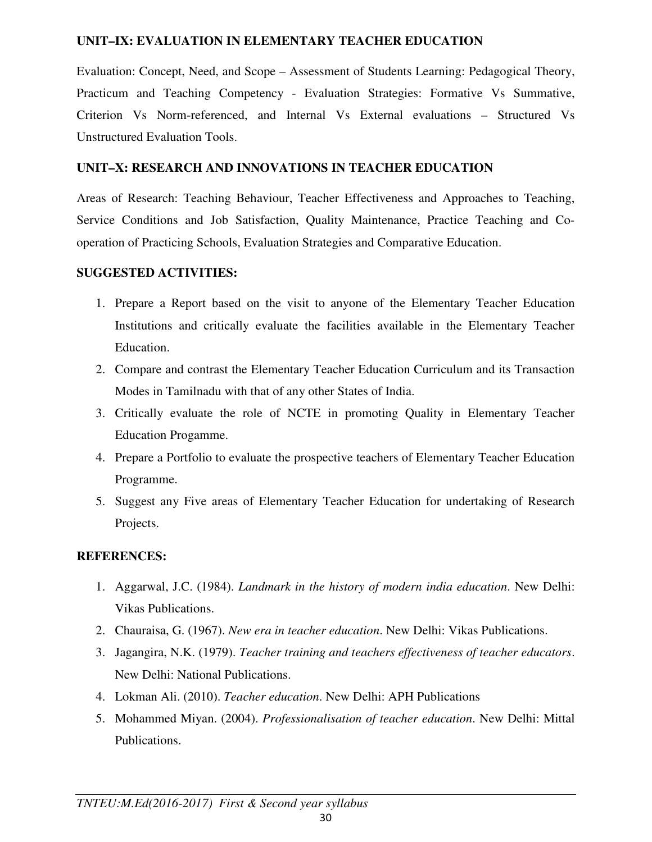### **UNIT–IX: EVALUATION IN ELEMENTARY TEACHER EDUCATION**

Evaluation: Concept, Need, and Scope – Assessment of Students Learning: Pedagogical Theory, Practicum and Teaching Competency - Evaluation Strategies: Formative Vs Summative, Criterion Vs Norm-referenced, and Internal Vs External evaluations – Structured Vs Unstructured Evaluation Tools.

### **UNIT–X: RESEARCH AND INNOVATIONS IN TEACHER EDUCATION**

Areas of Research: Teaching Behaviour, Teacher Effectiveness and Approaches to Teaching, Service Conditions and Job Satisfaction, Quality Maintenance, Practice Teaching and Cooperation of Practicing Schools, Evaluation Strategies and Comparative Education.

### **SUGGESTED ACTIVITIES:**

- 1. Prepare a Report based on the visit to anyone of the Elementary Teacher Education Institutions and critically evaluate the facilities available in the Elementary Teacher Education.
- 2. Compare and contrast the Elementary Teacher Education Curriculum and its Transaction Modes in Tamilnadu with that of any other States of India.
- 3. Critically evaluate the role of NCTE in promoting Quality in Elementary Teacher Education Progamme.
- 4. Prepare a Portfolio to evaluate the prospective teachers of Elementary Teacher Education Programme.
- 5. Suggest any Five areas of Elementary Teacher Education for undertaking of Research Projects.

### **REFERENCES:**

- 1. Aggarwal, J.C. (1984). *Landmark in the history of modern india education*. New Delhi: Vikas Publications.
- 2. Chauraisa, G. (1967). *New era in teacher education*. New Delhi: Vikas Publications.
- 3. Jagangira, N.K. (1979). *Teacher training and teachers effectiveness of teacher educators*. New Delhi: National Publications.
- 4. Lokman Ali. (2010). *Teacher education*. New Delhi: APH Publications
- 5. Mohammed Miyan. (2004). *Professionalisation of teacher education*. New Delhi: Mittal Publications.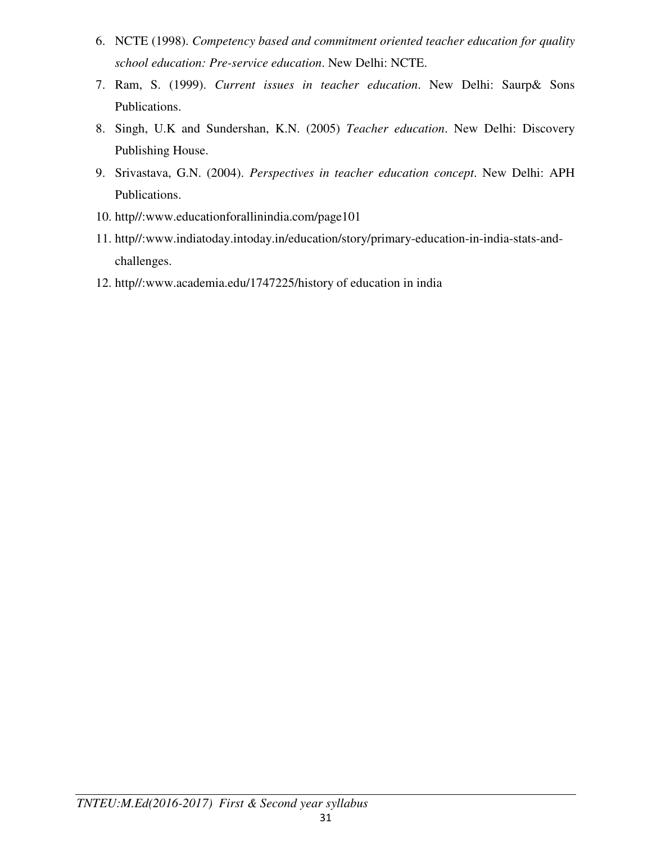- 6. NCTE (1998). *Competency based and commitment oriented teacher education for quality school education: Pre-service education*. New Delhi: NCTE.
- 7. Ram, S. (1999). *Current issues in teacher education*. New Delhi: Saurp& Sons Publications.
- 8. Singh, U.K and Sundershan, K.N. (2005) *Teacher education*. New Delhi: Discovery Publishing House.
- 9. Srivastava, G.N. (2004). *Perspectives in teacher education concept*. New Delhi: APH Publications.
- 10. http//:www.educationforallinindia.com/page101
- 11. http//:www.indiatoday.intoday.in/education/story/primary-education-in-india-stats-andchallenges.
- 12. http//:www.academia.edu/1747225/history of education in india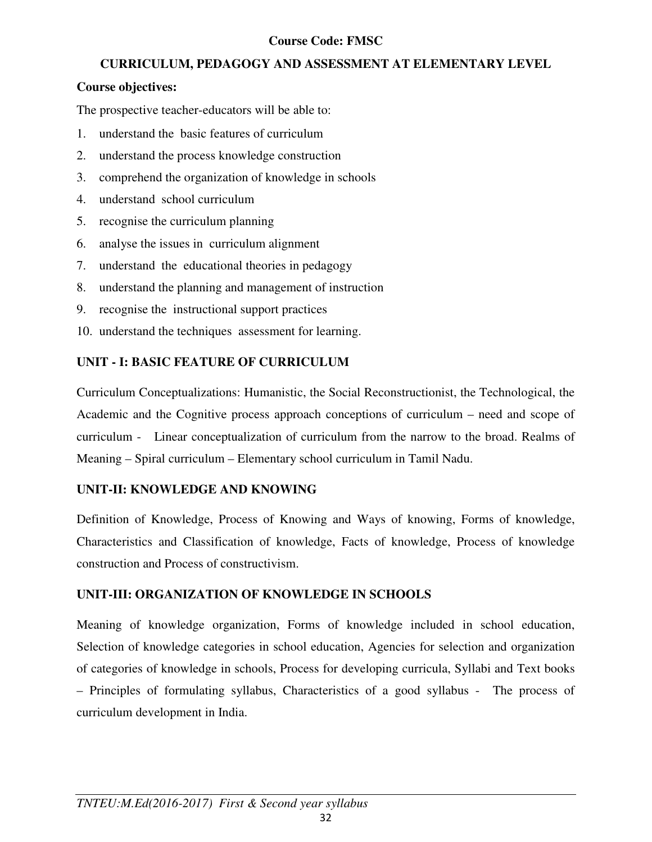### **Course Code: FMSC**

### **CURRICULUM, PEDAGOGY AND ASSESSMENT AT ELEMENTARY LEVEL**

### **Course objectives:**

The prospective teacher-educators will be able to:

- 1. understand the basic features of curriculum
- 2. understand the process knowledge construction
- 3. comprehend the organization of knowledge in schools
- 4. understand school curriculum
- 5. recognise the curriculum planning
- 6. analyse the issues in curriculum alignment
- 7. understand the educational theories in pedagogy
- 8. understand the planning and management of instruction
- 9. recognise the instructional support practices
- 10. understand the techniques assessment for learning.

# **UNIT - I: BASIC FEATURE OF CURRICULUM**

Curriculum Conceptualizations: Humanistic, the Social Reconstructionist, the Technological, the Academic and the Cognitive process approach conceptions of curriculum – need and scope of curriculum - Linear conceptualization of curriculum from the narrow to the broad. Realms of Meaning – Spiral curriculum – Elementary school curriculum in Tamil Nadu.

### **UNIT-II: KNOWLEDGE AND KNOWING**

Definition of Knowledge, Process of Knowing and Ways of knowing, Forms of knowledge, Characteristics and Classification of knowledge, Facts of knowledge, Process of knowledge construction and Process of constructivism.

# **UNIT-III: ORGANIZATION OF KNOWLEDGE IN SCHOOLS**

Meaning of knowledge organization, Forms of knowledge included in school education, Selection of knowledge categories in school education, Agencies for selection and organization of categories of knowledge in schools, Process for developing curricula, Syllabi and Text books – Principles of formulating syllabus, Characteristics of a good syllabus - The process of curriculum development in India.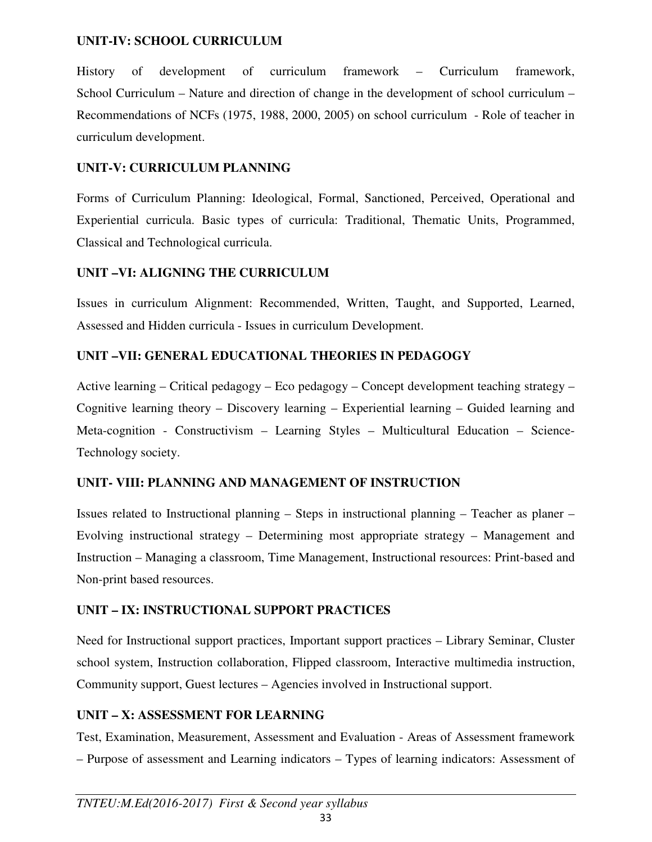### **UNIT-IV: SCHOOL CURRICULUM**

History of development of curriculum framework – Curriculum framework, School Curriculum – Nature and direction of change in the development of school curriculum – Recommendations of NCFs (1975, 1988, 2000, 2005) on school curriculum - Role of teacher in curriculum development.

### **UNIT-V: CURRICULUM PLANNING**

Forms of Curriculum Planning: Ideological, Formal, Sanctioned, Perceived, Operational and Experiential curricula. Basic types of curricula: Traditional, Thematic Units, Programmed, Classical and Technological curricula.

### **UNIT –VI: ALIGNING THE CURRICULUM**

Issues in curriculum Alignment: Recommended, Written, Taught, and Supported, Learned, Assessed and Hidden curricula - Issues in curriculum Development.

### **UNIT –VII: GENERAL EDUCATIONAL THEORIES IN PEDAGOGY**

Active learning – Critical pedagogy – Eco pedagogy – Concept development teaching strategy – Cognitive learning theory – Discovery learning – Experiential learning – Guided learning and Meta-cognition - Constructivism – Learning Styles – Multicultural Education – Science-Technology society.

### **UNIT- VIII: PLANNING AND MANAGEMENT OF INSTRUCTION**

Issues related to Instructional planning – Steps in instructional planning – Teacher as planer – Evolving instructional strategy – Determining most appropriate strategy – Management and Instruction – Managing a classroom, Time Management, Instructional resources: Print-based and Non-print based resources.

### **UNIT – IX: INSTRUCTIONAL SUPPORT PRACTICES**

Need for Instructional support practices, Important support practices – Library Seminar, Cluster school system, Instruction collaboration, Flipped classroom, Interactive multimedia instruction, Community support, Guest lectures – Agencies involved in Instructional support.

### **UNIT – X: ASSESSMENT FOR LEARNING**

Test, Examination, Measurement, Assessment and Evaluation - Areas of Assessment framework – Purpose of assessment and Learning indicators – Types of learning indicators: Assessment of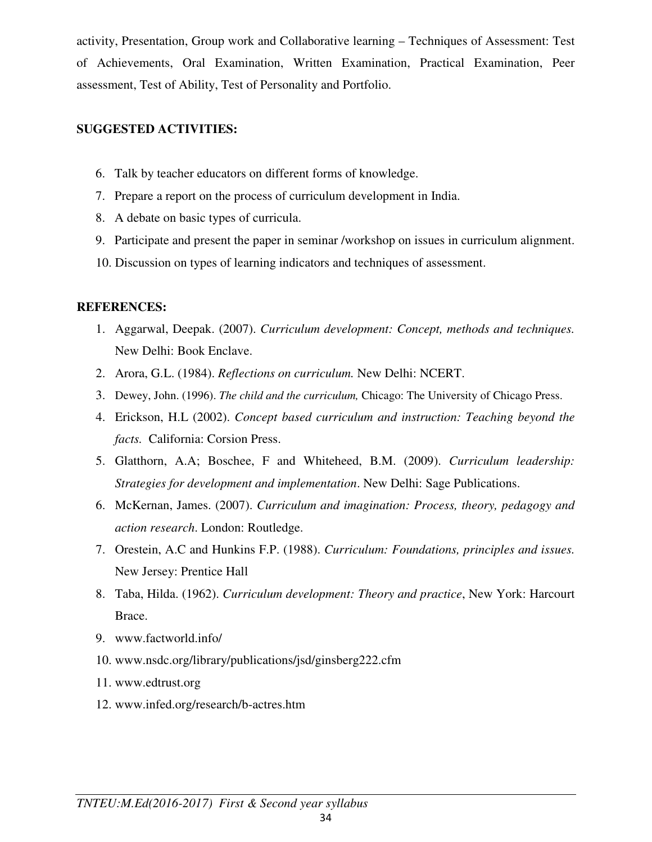activity, Presentation, Group work and Collaborative learning – Techniques of Assessment: Test of Achievements, Oral Examination, Written Examination, Practical Examination, Peer assessment, Test of Ability, Test of Personality and Portfolio.

### **SUGGESTED ACTIVITIES:**

- 6. Talk by teacher educators on different forms of knowledge.
- 7. Prepare a report on the process of curriculum development in India.
- 8. A debate on basic types of curricula.
- 9. Participate and present the paper in seminar /workshop on issues in curriculum alignment.
- 10. Discussion on types of learning indicators and techniques of assessment.

### **REFERENCES:**

- 1. Aggarwal, Deepak. (2007). *Curriculum development: Concept, methods and techniques.*  New Delhi: Book Enclave.
- 2. Arora, G.L. (1984). *Reflections on curriculum.* New Delhi: NCERT.
- 3. Dewey, John. (1996). *The child and the curriculum,* Chicago: The University of Chicago Press.
- 4. Erickson, H.L (2002). *Concept based curriculum and instruction: Teaching beyond the facts.* California: Corsion Press.
- 5. Glatthorn, A.A; Boschee, F and Whiteheed, B.M. (2009). *Curriculum leadership: Strategies for development and implementation*. New Delhi: Sage Publications.
- 6. McKernan, James. (2007). *Curriculum and imagination: Process, theory, pedagogy and action research*. London: Routledge.
- 7. Orestein, A.C and Hunkins F.P. (1988). *Curriculum: Foundations, principles and issues.* New Jersey: Prentice Hall
- 8. Taba, Hilda. (1962). *Curriculum development: Theory and practice*, New York: Harcourt Brace.
- 9. www.factworld.info/
- 10. www.nsdc.org/library/publications/jsd/ginsberg222.cfm
- 11. www.edtrust.org
- 12. www.infed.org/research/b-actres.htm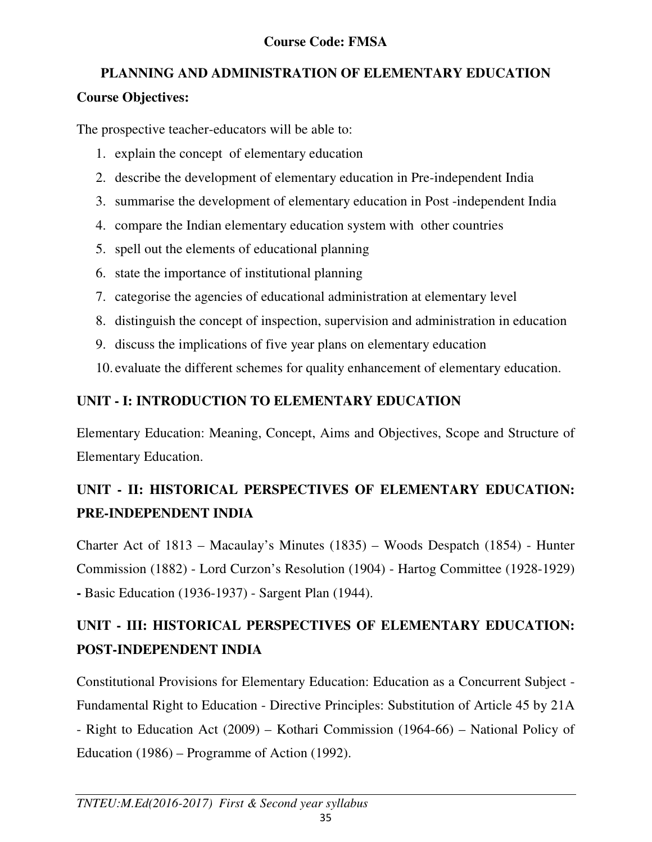# **PLANNING AND ADMINISTRATION OF ELEMENTARY EDUCATION**

# **Course Objectives:**

The prospective teacher-educators will be able to:

- 1. explain the concept of elementary education
- 2. describe the development of elementary education in Pre-independent India
- 3. summarise the development of elementary education in Post -independent India
- 4. compare the Indian elementary education system with other countries
- 5. spell out the elements of educational planning
- 6. state the importance of institutional planning
- 7. categorise the agencies of educational administration at elementary level
- 8. distinguish the concept of inspection, supervision and administration in education
- 9. discuss the implications of five year plans on elementary education

10. evaluate the different schemes for quality enhancement of elementary education.

# **UNIT - I: INTRODUCTION TO ELEMENTARY EDUCATION**

Elementary Education: Meaning, Concept, Aims and Objectives, Scope and Structure of Elementary Education.

# **UNIT - II: HISTORICAL PERSPECTIVES OF ELEMENTARY EDUCATION: PRE-INDEPENDENT INDIA**

Charter Act of 1813 – Macaulay's Minutes (1835) – Woods Despatch (1854) - Hunter Commission (1882) - Lord Curzon's Resolution (1904) - Hartog Committee (1928-1929) **-** Basic Education (1936-1937) - Sargent Plan (1944).

# **UNIT - III: HISTORICAL PERSPECTIVES OF ELEMENTARY EDUCATION: POST-INDEPENDENT INDIA**

Constitutional Provisions for Elementary Education: Education as a Concurrent Subject - Fundamental Right to Education - Directive Principles: Substitution of Article 45 by 21A - Right to Education Act (2009) – Kothari Commission (1964-66) – National Policy of Education (1986) – Programme of Action (1992).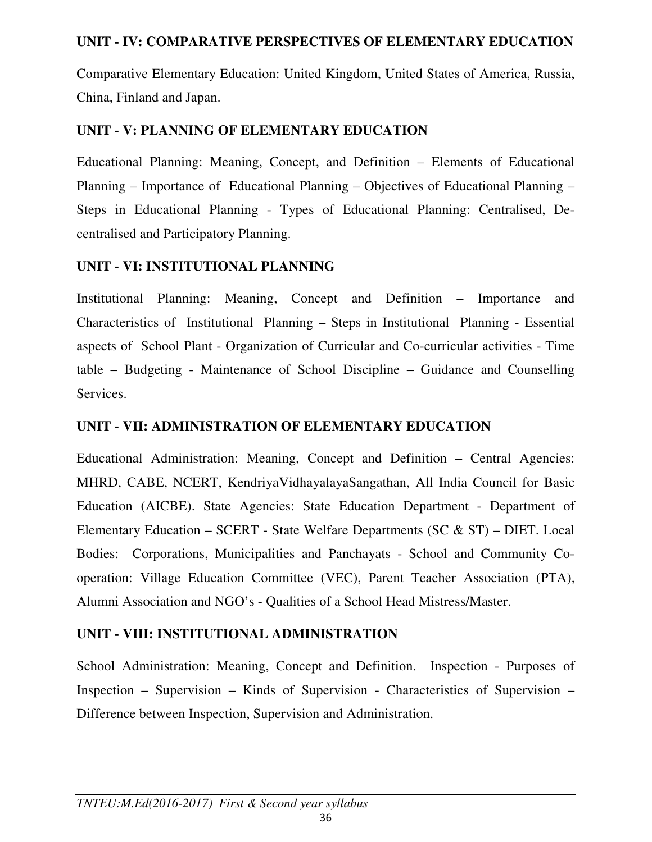# **UNIT - IV: COMPARATIVE PERSPECTIVES OF ELEMENTARY EDUCATION**

Comparative Elementary Education: United Kingdom, United States of America, Russia, China, Finland and Japan.

# **UNIT - V: PLANNING OF ELEMENTARY EDUCATION**

Educational Planning: Meaning, Concept, and Definition – Elements of Educational Planning – Importance of Educational Planning – Objectives of Educational Planning – Steps in Educational Planning - Types of Educational Planning: Centralised, Decentralised and Participatory Planning.

# **UNIT - VI: INSTITUTIONAL PLANNING**

Institutional Planning: Meaning, Concept and Definition – Importance and Characteristics of Institutional Planning – Steps in Institutional Planning - Essential aspects of School Plant - Organization of Curricular and Co-curricular activities - Time table – Budgeting - Maintenance of School Discipline – Guidance and Counselling Services.

# **UNIT - VII: ADMINISTRATION OF ELEMENTARY EDUCATION**

Educational Administration: Meaning, Concept and Definition – Central Agencies: MHRD, CABE, NCERT, KendriyaVidhayalayaSangathan, All India Council for Basic Education (AICBE). State Agencies: State Education Department - Department of Elementary Education – SCERT - State Welfare Departments (SC & ST) – DIET. Local Bodies: Corporations, Municipalities and Panchayats - School and Community Cooperation: Village Education Committee (VEC), Parent Teacher Association (PTA), Alumni Association and NGO's - Qualities of a School Head Mistress/Master.

# **UNIT - VIII: INSTITUTIONAL ADMINISTRATION**

School Administration: Meaning, Concept and Definition. Inspection - Purposes of Inspection – Supervision – Kinds of Supervision - Characteristics of Supervision – Difference between Inspection, Supervision and Administration.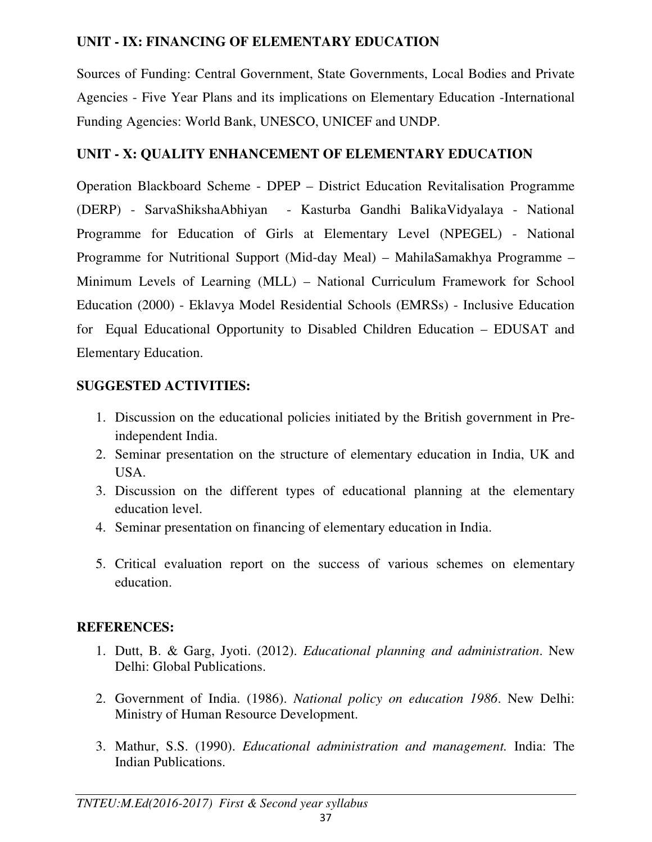# **UNIT - IX: FINANCING OF ELEMENTARY EDUCATION**

Sources of Funding: Central Government, State Governments, Local Bodies and Private Agencies - Five Year Plans and its implications on Elementary Education -International Funding Agencies: World Bank, UNESCO, UNICEF and UNDP.

# **UNIT - X: QUALITY ENHANCEMENT OF ELEMENTARY EDUCATION**

Operation Blackboard Scheme - DPEP – District Education Revitalisation Programme (DERP) - SarvaShikshaAbhiyan - Kasturba Gandhi BalikaVidyalaya - National Programme for Education of Girls at Elementary Level (NPEGEL) - National Programme for Nutritional Support (Mid-day Meal) – MahilaSamakhya Programme – Minimum Levels of Learning (MLL) – National Curriculum Framework for School Education (2000) - Eklavya Model Residential Schools (EMRSs) - Inclusive Education for Equal Educational Opportunity to Disabled Children Education – EDUSAT and Elementary Education.

# **SUGGESTED ACTIVITIES:**

- 1. Discussion on the educational policies initiated by the British government in Preindependent India.
- 2. Seminar presentation on the structure of elementary education in India, UK and USA.
- 3. Discussion on the different types of educational planning at the elementary education level.
- 4. Seminar presentation on financing of elementary education in India.
- 5. Critical evaluation report on the success of various schemes on elementary education.

# **REFERENCES:**

- 1. Dutt, B. & Garg, Jyoti. (2012). *Educational planning and administration*. New Delhi: Global Publications.
- 2. Government of India. (1986). *National policy on education 1986*. New Delhi: Ministry of Human Resource Development.
- 3. Mathur, S.S. (1990). *Educational administration and management.* India: The Indian Publications.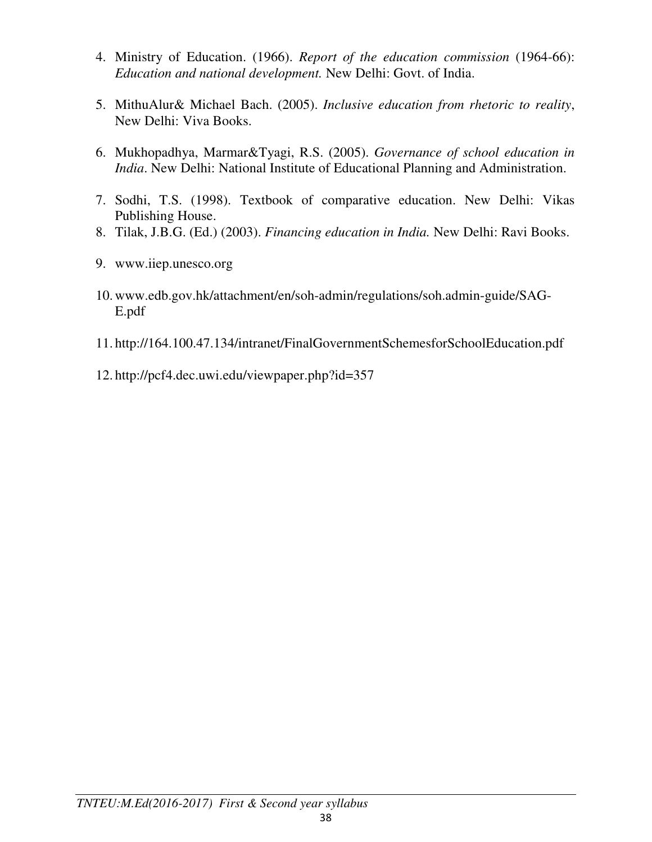- 4. Ministry of Education. (1966). *Report of the education commission* (1964-66): *Education and national development.* New Delhi: Govt. of India.
- 5. MithuAlur& Michael Bach. (2005). *Inclusive education from rhetoric to reality*, New Delhi: Viva Books.
- 6. Mukhopadhya, Marmar&Tyagi, R.S. (2005). *Governance of school education in India*. New Delhi: National Institute of Educational Planning and Administration.
- 7. Sodhi, T.S. (1998). Textbook of comparative education. New Delhi: Vikas Publishing House.
- 8. Tilak, J.B.G. (Ed.) (2003). *Financing education in India.* New Delhi: Ravi Books.
- 9. www.iiep.unesco.org
- 10.www.edb.gov.hk/attachment/en/soh-admin/regulations/soh.admin-guide/SAG-E.pdf
- 11. http://164.100.47.134/intranet/FinalGovernmentSchemesforSchoolEducation.pdf
- 12. http://pcf4.dec.uwi.edu/viewpaper.php?id=357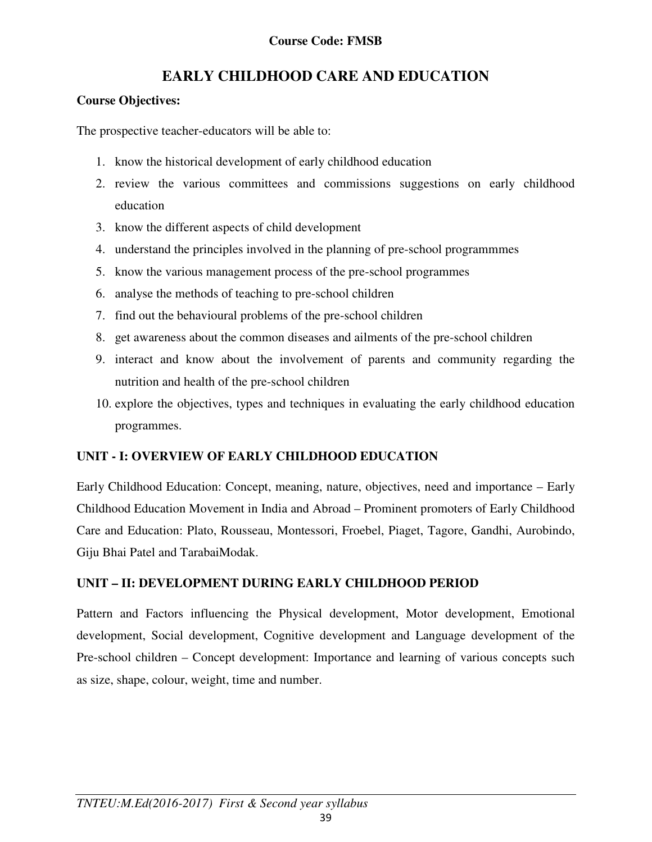# **EARLY CHILDHOOD CARE AND EDUCATION**

### **Course Objectives:**

The prospective teacher-educators will be able to:

- 1. know the historical development of early childhood education
- 2. review the various committees and commissions suggestions on early childhood education
- 3. know the different aspects of child development
- 4. understand the principles involved in the planning of pre-school programmmes
- 5. know the various management process of the pre-school programmes
- 6. analyse the methods of teaching to pre-school children
- 7. find out the behavioural problems of the pre-school children
- 8. get awareness about the common diseases and ailments of the pre-school children
- 9. interact and know about the involvement of parents and community regarding the nutrition and health of the pre-school children
- 10. explore the objectives, types and techniques in evaluating the early childhood education programmes.

### **UNIT - I: OVERVIEW OF EARLY CHILDHOOD EDUCATION**

Early Childhood Education: Concept, meaning, nature, objectives, need and importance – Early Childhood Education Movement in India and Abroad – Prominent promoters of Early Childhood Care and Education: Plato, Rousseau, Montessori, Froebel, Piaget, Tagore, Gandhi, Aurobindo, Giju Bhai Patel and TarabaiModak.

### **UNIT – II: DEVELOPMENT DURING EARLY CHILDHOOD PERIOD**

Pattern and Factors influencing the Physical development, Motor development, Emotional development, Social development, Cognitive development and Language development of the Pre-school children – Concept development: Importance and learning of various concepts such as size, shape, colour, weight, time and number.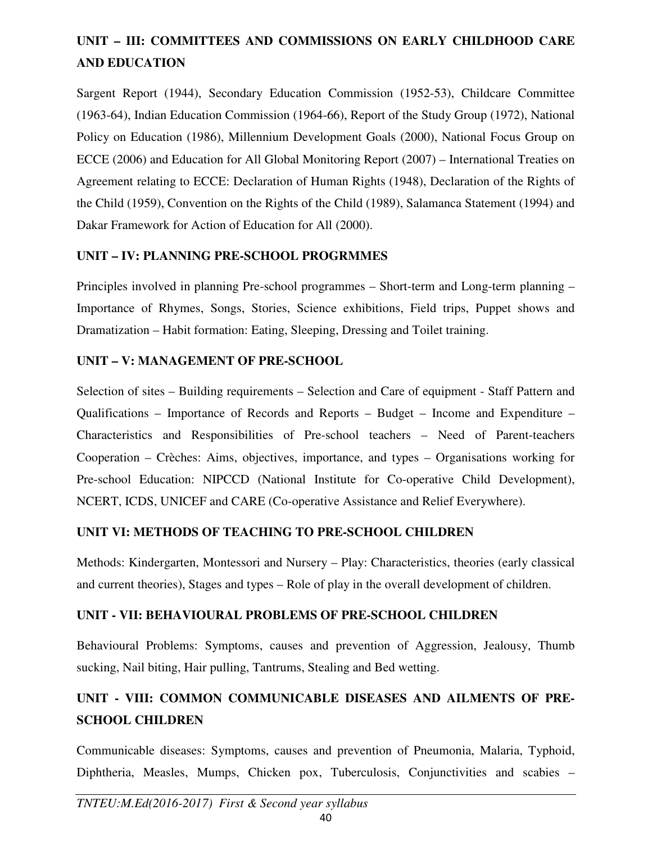# **UNIT – III: COMMITTEES AND COMMISSIONS ON EARLY CHILDHOOD CARE AND EDUCATION**

Sargent Report (1944), Secondary Education Commission (1952-53), Childcare Committee (1963-64), Indian Education Commission (1964-66), Report of the Study Group (1972), National Policy on Education (1986), Millennium Development Goals (2000), National Focus Group on ECCE (2006) and Education for All Global Monitoring Report (2007) – International Treaties on Agreement relating to ECCE: Declaration of Human Rights (1948), Declaration of the Rights of the Child (1959), Convention on the Rights of the Child (1989), Salamanca Statement (1994) and Dakar Framework for Action of Education for All (2000).

### **UNIT – IV: PLANNING PRE-SCHOOL PROGRMMES**

Principles involved in planning Pre-school programmes – Short-term and Long-term planning – Importance of Rhymes, Songs, Stories, Science exhibitions, Field trips, Puppet shows and Dramatization – Habit formation: Eating, Sleeping, Dressing and Toilet training.

### **UNIT – V: MANAGEMENT OF PRE-SCHOOL**

Selection of sites – Building requirements – Selection and Care of equipment - Staff Pattern and Qualifications – Importance of Records and Reports – Budget – Income and Expenditure – Characteristics and Responsibilities of Pre-school teachers – Need of Parent-teachers Cooperation – Crèches: Aims, objectives, importance, and types – Organisations working for Pre-school Education: NIPCCD (National Institute for Co-operative Child Development), NCERT, ICDS, UNICEF and CARE (Co-operative Assistance and Relief Everywhere).

### **UNIT VI: METHODS OF TEACHING TO PRE-SCHOOL CHILDREN**

Methods: Kindergarten, Montessori and Nursery – Play: Characteristics, theories (early classical and current theories), Stages and types – Role of play in the overall development of children.

### **UNIT - VII: BEHAVIOURAL PROBLEMS OF PRE-SCHOOL CHILDREN**

Behavioural Problems: Symptoms, causes and prevention of Aggression, Jealousy, Thumb sucking, Nail biting, Hair pulling, Tantrums, Stealing and Bed wetting.

# **UNIT - VIII: COMMON COMMUNICABLE DISEASES AND AILMENTS OF PRE-SCHOOL CHILDREN**

Communicable diseases: Symptoms, causes and prevention of Pneumonia, Malaria, Typhoid, Diphtheria, Measles, Mumps, Chicken pox, Tuberculosis, Conjunctivities and scabies –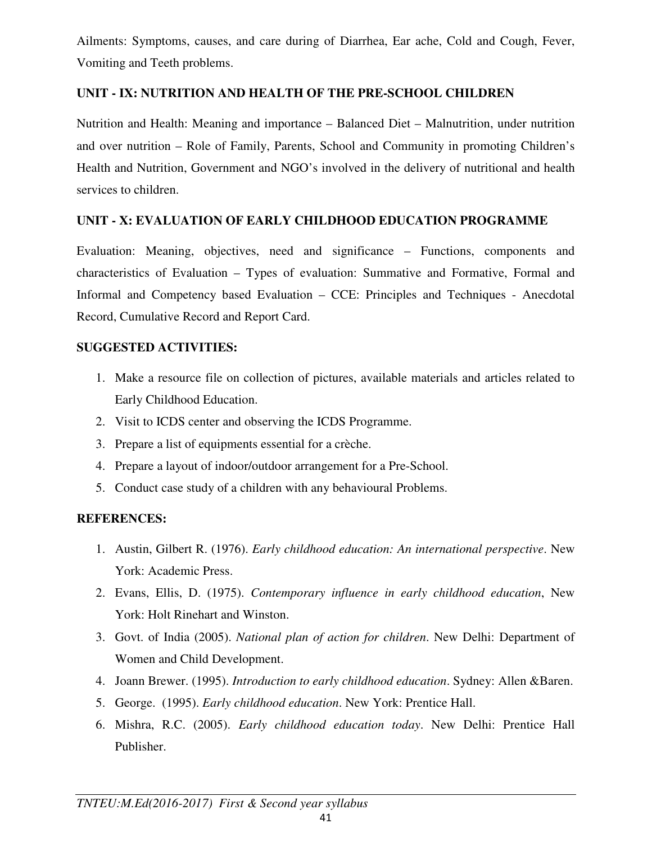Ailments: Symptoms, causes, and care during of Diarrhea, Ear ache, Cold and Cough, Fever, Vomiting and Teeth problems.

### **UNIT - IX: NUTRITION AND HEALTH OF THE PRE-SCHOOL CHILDREN**

Nutrition and Health: Meaning and importance – Balanced Diet – Malnutrition, under nutrition and over nutrition – Role of Family, Parents, School and Community in promoting Children's Health and Nutrition, Government and NGO's involved in the delivery of nutritional and health services to children.

### **UNIT - X: EVALUATION OF EARLY CHILDHOOD EDUCATION PROGRAMME**

Evaluation: Meaning, objectives, need and significance – Functions, components and characteristics of Evaluation – Types of evaluation: Summative and Formative, Formal and Informal and Competency based Evaluation – CCE: Principles and Techniques - Anecdotal Record, Cumulative Record and Report Card.

### **SUGGESTED ACTIVITIES:**

- 1. Make a resource file on collection of pictures, available materials and articles related to Early Childhood Education.
- 2. Visit to ICDS center and observing the ICDS Programme.
- 3. Prepare a list of equipments essential for a crèche.
- 4. Prepare a layout of indoor/outdoor arrangement for a Pre-School.
- 5. Conduct case study of a children with any behavioural Problems.

### **REFERENCES:**

- 1. Austin, Gilbert R. (1976). *Early childhood education: An international perspective*. New York: Academic Press.
- 2. Evans, Ellis, D. (1975). *Contemporary influence in early childhood education*, New York: Holt Rinehart and Winston.
- 3. Govt. of India (2005). *National plan of action for children*. New Delhi: Department of Women and Child Development.
- 4. Joann Brewer. (1995). *Introduction to early childhood education*. Sydney: Allen &Baren.
- 5. George. (1995). *Early childhood education*. New York: Prentice Hall.
- 6. Mishra, R.C. (2005). *Early childhood education today*. New Delhi: Prentice Hall Publisher.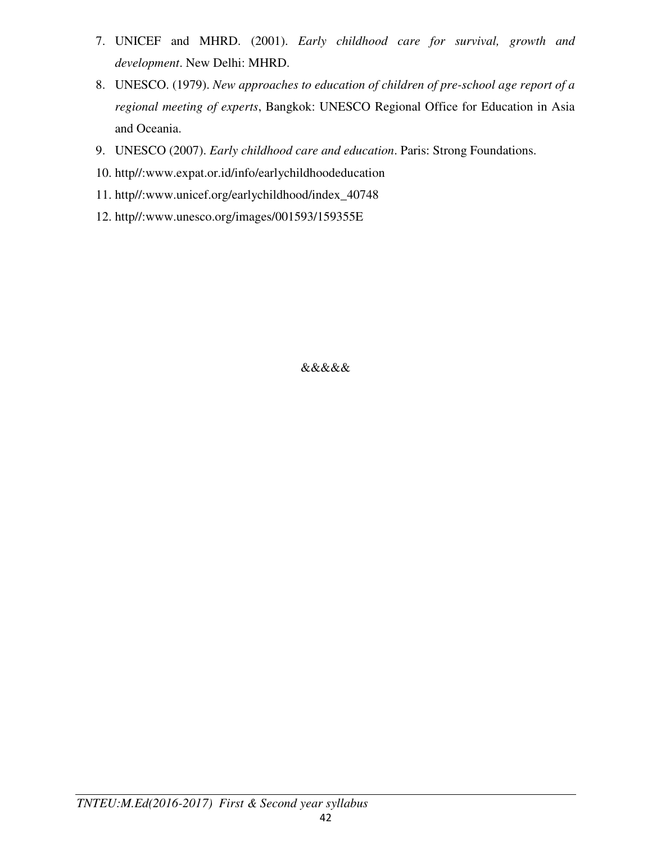- 7. UNICEF and MHRD. (2001). *Early childhood care for survival, growth and development*. New Delhi: MHRD.
- 8. UNESCO. (1979). *New approaches to education of children of pre-school age report of a regional meeting of experts*, Bangkok: UNESCO Regional Office for Education in Asia and Oceania.
- 9. UNESCO (2007). *Early childhood care and education*. Paris: Strong Foundations.
- 10. http//:www.expat.or.id/info/earlychildhoodeducation
- 11. http//:www.unicef.org/earlychildhood/index\_40748
- 12. http//:www.unesco.org/images/001593/159355E

&&&&&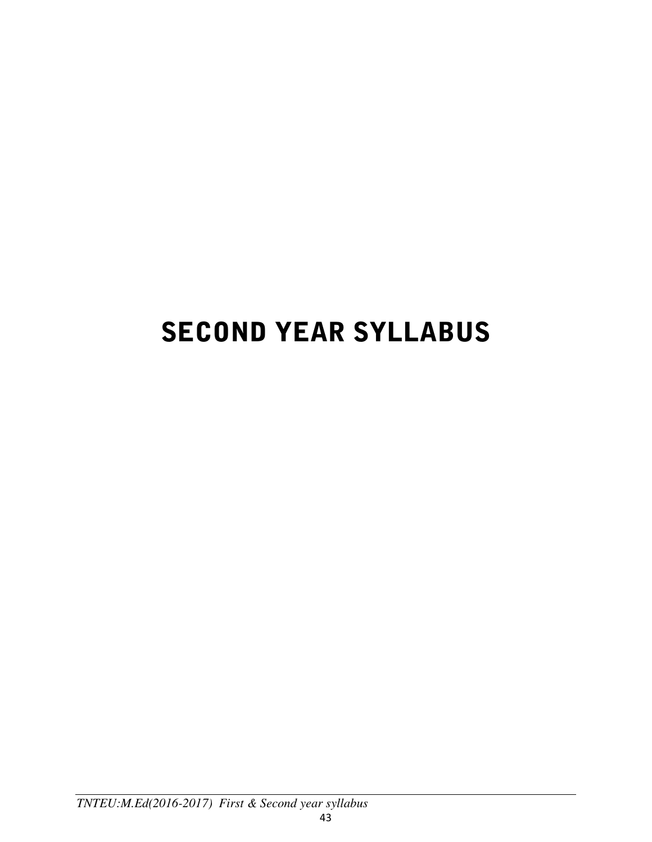# SECOND YEAR SYLLABUS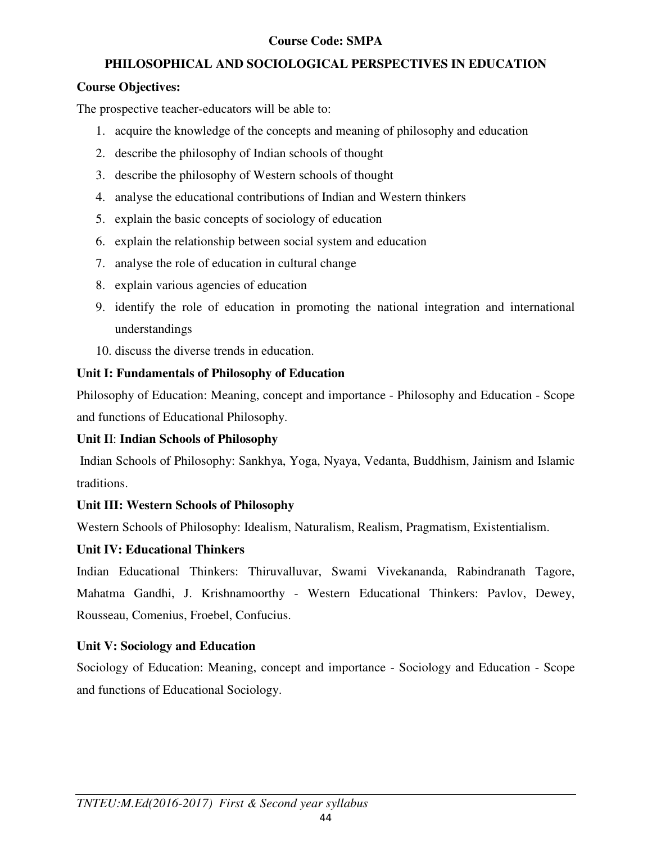### **Course Code: SMPA**

### **PHILOSOPHICAL AND SOCIOLOGICAL PERSPECTIVES IN EDUCATION**

### **Course Objectives:**

The prospective teacher-educators will be able to:

- 1. acquire the knowledge of the concepts and meaning of philosophy and education
- 2. describe the philosophy of Indian schools of thought
- 3. describe the philosophy of Western schools of thought
- 4. analyse the educational contributions of Indian and Western thinkers
- 5. explain the basic concepts of sociology of education
- 6. explain the relationship between social system and education
- 7. analyse the role of education in cultural change
- 8. explain various agencies of education
- 9. identify the role of education in promoting the national integration and international understandings
- 10. discuss the diverse trends in education.

# **Unit I: Fundamentals of Philosophy of Education**

Philosophy of Education: Meaning, concept and importance - Philosophy and Education - Scope and functions of Educational Philosophy.

### **Unit I**I: **Indian Schools of Philosophy**

 Indian Schools of Philosophy: Sankhya, Yoga, Nyaya, Vedanta, Buddhism, Jainism and Islamic traditions.

### **Unit III: Western Schools of Philosophy**

Western Schools of Philosophy: Idealism, Naturalism, Realism, Pragmatism, Existentialism.

### **Unit IV: Educational Thinkers**

Indian Educational Thinkers: Thiruvalluvar, Swami Vivekananda, Rabindranath Tagore, Mahatma Gandhi, J. Krishnamoorthy - Western Educational Thinkers: Pavlov, Dewey, Rousseau, Comenius, Froebel, Confucius.

### **Unit V: Sociology and Education**

Sociology of Education: Meaning, concept and importance - Sociology and Education - Scope and functions of Educational Sociology.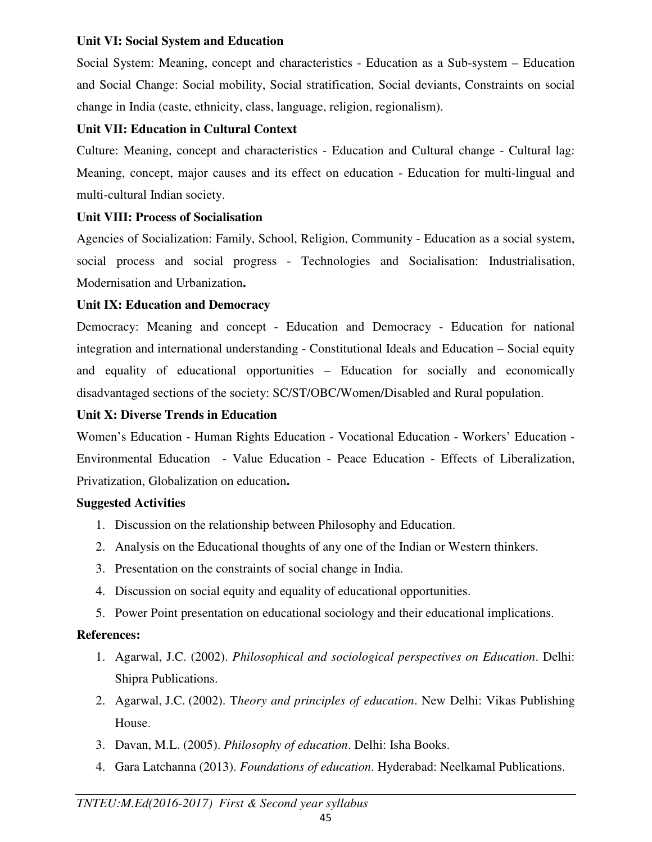### **Unit VI: Social System and Education**

Social System: Meaning, concept and characteristics - Education as a Sub-system – Education and Social Change: Social mobility, Social stratification, Social deviants, Constraints on social change in India (caste, ethnicity, class, language, religion, regionalism).

# **Unit VII: Education in Cultural Context**

Culture: Meaning, concept and characteristics - Education and Cultural change - Cultural lag: Meaning, concept, major causes and its effect on education - Education for multi-lingual and multi-cultural Indian society.

# **Unit VIII: Process of Socialisation**

Agencies of Socialization: Family, School, Religion, Community - Education as a social system, social process and social progress - Technologies and Socialisation: Industrialisation, Modernisation and Urbanization**.** 

# **Unit IX: Education and Democracy**

Democracy: Meaning and concept - Education and Democracy - Education for national integration and international understanding - Constitutional Ideals and Education – Social equity and equality of educational opportunities – Education for socially and economically disadvantaged sections of the society: SC/ST/OBC/Women/Disabled and Rural population.

# **Unit X: Diverse Trends in Education**

Women's Education - Human Rights Education - Vocational Education - Workers' Education - Environmental Education - Value Education - Peace Education - Effects of Liberalization, Privatization, Globalization on education**.**

### **Suggested Activities**

- 1. Discussion on the relationship between Philosophy and Education.
- 2. Analysis on the Educational thoughts of any one of the Indian or Western thinkers.
- 3. Presentation on the constraints of social change in India.
- 4. Discussion on social equity and equality of educational opportunities.
- 5. Power Point presentation on educational sociology and their educational implications.

### **References:**

- 1. Agarwal, J.C. (2002). *Philosophical and sociological perspectives on Education*. Delhi: Shipra Publications.
- 2. Agarwal, J.C. (2002). T*heory and principles of education*. New Delhi: Vikas Publishing House.
- 3. Davan, M.L. (2005). *Philosophy of education*. Delhi: Isha Books.
- 4. Gara Latchanna (2013). *Foundations of education*. Hyderabad: Neelkamal Publications.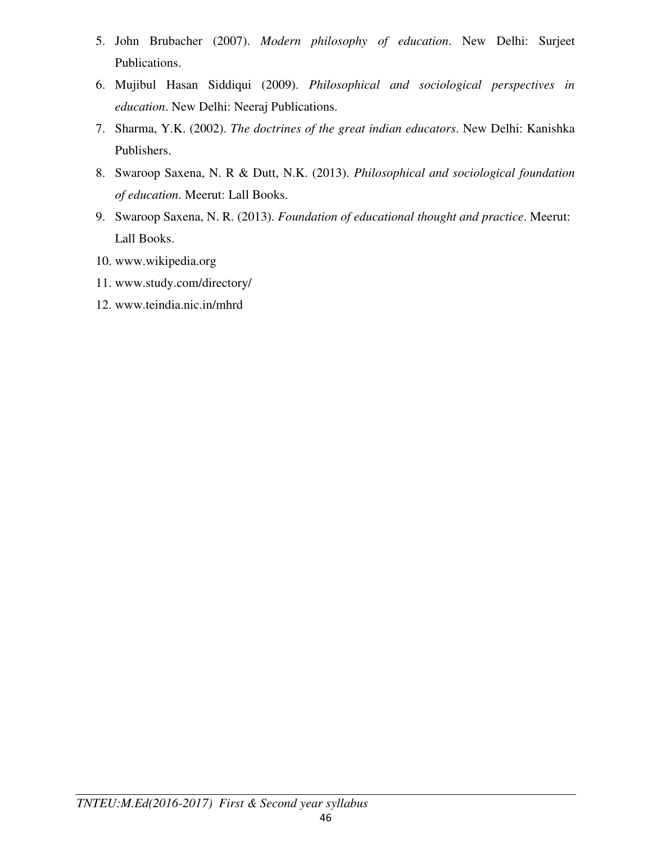- 5. John Brubacher (2007). *Modern philosophy of education*. New Delhi: Surjeet Publications.
- 6. Mujibul Hasan Siddiqui (2009). *Philosophical and sociological perspectives in education*. New Delhi: Neeraj Publications.
- 7. Sharma, Y.K. (2002). *The doctrines of the great indian educators*. New Delhi: Kanishka Publishers.
- 8. Swaroop Saxena, N. R & Dutt, N.K. (2013). *Philosophical and sociological foundation of education*. Meerut: Lall Books.
- 9. Swaroop Saxena, N. R. (2013). *Foundation of educational thought and practice*. Meerut: Lall Books.
- 10. www.wikipedia.org
- 11. www.study.com/directory/
- 12. www.teindia.nic.in/mhrd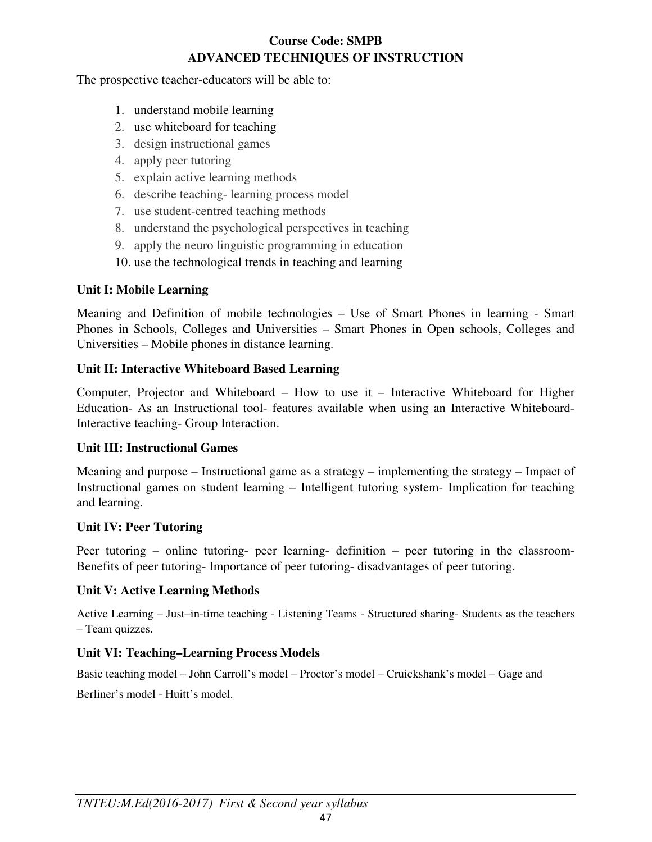# **Course Code: SMPB ADVANCED TECHNIQUES OF INSTRUCTION**

The prospective teacher-educators will be able to:

- 1. understand mobile learning
- 2. use whiteboard for teaching
- 3. design instructional games
- 4. apply peer tutoring
- 5. explain active learning methods
- 6. describe teaching- learning process model
- 7. use student-centred teaching methods
- 8. understand the psychological perspectives in teaching
- 9. apply the neuro linguistic programming in education
- 10. use the technological trends in teaching and learning

# **Unit I: Mobile Learning**

Meaning and Definition of mobile technologies – Use of Smart Phones in learning - Smart Phones in Schools, Colleges and Universities – Smart Phones in Open schools, Colleges and Universities – Mobile phones in distance learning.

# **Unit II: Interactive Whiteboard Based Learning**

Computer, Projector and Whiteboard – How to use it – Interactive Whiteboard for Higher Education- As an Instructional tool- features available when using an Interactive Whiteboard-Interactive teaching- Group Interaction.

# **Unit III: Instructional Games**

Meaning and purpose – Instructional game as a strategy – implementing the strategy – Impact of Instructional games on student learning – Intelligent tutoring system- Implication for teaching and learning.

### **Unit IV: Peer Tutoring**

Peer tutoring – online tutoring- peer learning- definition – peer tutoring in the classroom-Benefits of peer tutoring- Importance of peer tutoring- disadvantages of peer tutoring.

# **Unit V: Active Learning Methods**

Active Learning – Just–in-time teaching - Listening Teams - Structured sharing- Students as the teachers – Team quizzes.

# **Unit VI: Teaching–Learning Process Models**

Basic teaching model – John Carroll's model – Proctor's model – Cruickshank's model – Gage and

Berliner's model - Huitt's model.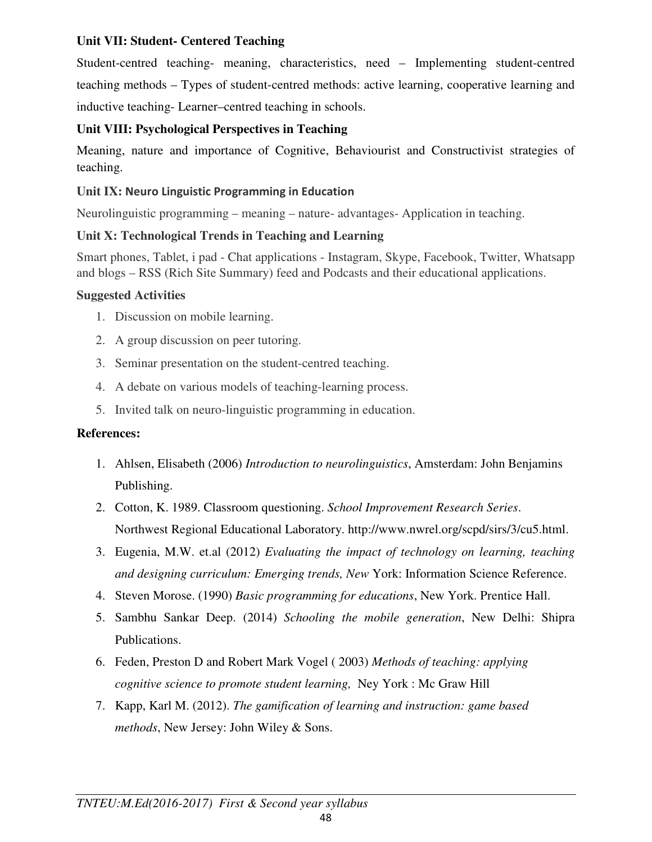### **Unit VII: Student- Centered Teaching**

Student-centred teaching- meaning, characteristics, need – Implementing student-centred teaching methods – Types of student-centred methods: active learning, cooperative learning and inductive teaching- Learner–centred teaching in schools.

# **Unit VIII: Psychological Perspectives in Teaching**

Meaning, nature and importance of Cognitive, Behaviourist and Constructivist strategies of teaching.

### **Unit IX: Neuro Linguistic Programming in Education**

Neurolinguistic programming – meaning – nature- advantages- Application in teaching.

# **Unit X: Technological Trends in Teaching and Learning**

Smart phones, Tablet, i pad - Chat applications - Instagram, Skype, Facebook, Twitter, Whatsapp and blogs – RSS (Rich Site Summary) feed and Podcasts and their educational applications.

# **Suggested Activities**

- 1. Discussion on mobile learning.
- 2. A group discussion on peer tutoring.
- 3. Seminar presentation on the student-centred teaching.
- 4. A debate on various models of teaching-learning process.
- 5. Invited talk on neuro-linguistic programming in education.

# **References:**

- 1. Ahlsen, Elisabeth (2006) *Introduction to neurolinguistics*, Amsterdam: John Benjamins Publishing.
- 2. Cotton, K. 1989. Classroom questioning. *School Improvement Research Series*. Northwest Regional Educational Laboratory. http://www.nwrel.org/scpd/sirs/3/cu5.html.
- 3. Eugenia, M.W. et.al (2012) *Evaluating the impact of technology on learning, teaching and designing curriculum: Emerging trends, New* York: Information Science Reference.
- 4. Steven Morose. (1990) *Basic programming for educations*, New York. Prentice Hall.
- 5. Sambhu Sankar Deep. (2014) *Schooling the mobile generation*, New Delhi: Shipra Publications.
- 6. Feden, Preston D and Robert Mark Vogel ( 2003) *Methods of teaching: applying cognitive science to promote student learning,* Ney York : Mc Graw Hill
- 7. Kapp, Karl M. (2012). *The gamification of learning and instruction: game based methods*, New Jersey: John Wiley & Sons.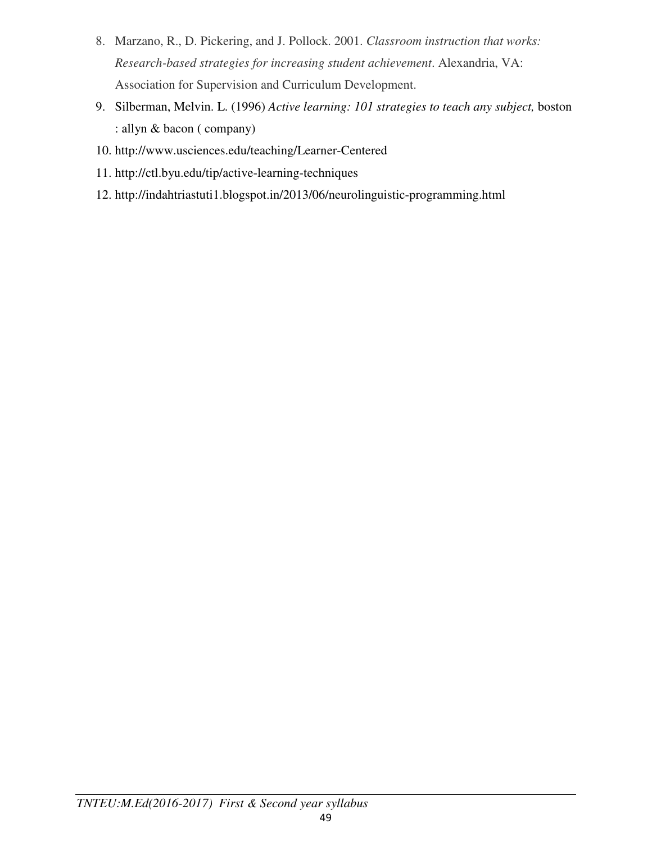- 8. Marzano, R., D. Pickering, and J. Pollock. 2001. *Classroom instruction that works: Research-based strategies for increasing student achievement*. Alexandria, VA: Association for Supervision and Curriculum Development.
- 9. Silberman, Melvin. L. (1996) *Active learning: 101 strategies to teach any subject,* boston : allyn & bacon ( company)
- 10. http://www.usciences.edu/teaching/Learner-Centered
- 11. http://ctl.byu.edu/tip/active-learning-techniques
- 12. http://indahtriastuti1.blogspot.in/2013/06/neurolinguistic-programming.html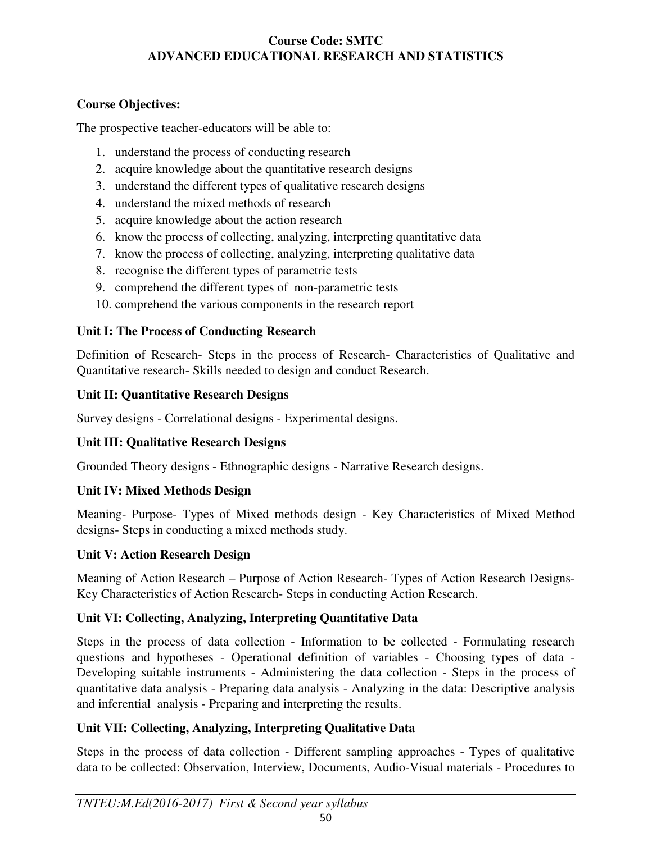# **Course Code: SMTC ADVANCED EDUCATIONAL RESEARCH AND STATISTICS**

# **Course Objectives:**

The prospective teacher-educators will be able to:

- 1. understand the process of conducting research
- 2. acquire knowledge about the quantitative research designs
- 3. understand the different types of qualitative research designs
- 4. understand the mixed methods of research
- 5. acquire knowledge about the action research
- 6. know the process of collecting, analyzing, interpreting quantitative data
- 7. know the process of collecting, analyzing, interpreting qualitative data
- 8. recognise the different types of parametric tests
- 9. comprehend the different types of non-parametric tests
- 10. comprehend the various components in the research report

# **Unit I: The Process of Conducting Research**

Definition of Research- Steps in the process of Research- Characteristics of Qualitative and Quantitative research- Skills needed to design and conduct Research.

# **Unit II: Quantitative Research Designs**

Survey designs - Correlational designs - Experimental designs.

# **Unit III: Qualitative Research Designs**

Grounded Theory designs - Ethnographic designs - Narrative Research designs.

# **Unit IV: Mixed Methods Design**

Meaning- Purpose- Types of Mixed methods design - Key Characteristics of Mixed Method designs- Steps in conducting a mixed methods study.

### **Unit V: Action Research Design**

Meaning of Action Research – Purpose of Action Research- Types of Action Research Designs-Key Characteristics of Action Research- Steps in conducting Action Research.

# **Unit VI: Collecting, Analyzing, Interpreting Quantitative Data**

Steps in the process of data collection - Information to be collected - Formulating research questions and hypotheses - Operational definition of variables - Choosing types of data - Developing suitable instruments - Administering the data collection - Steps in the process of quantitative data analysis - Preparing data analysis - Analyzing in the data: Descriptive analysis and inferential analysis - Preparing and interpreting the results.

# **Unit VII: Collecting, Analyzing, Interpreting Qualitative Data**

Steps in the process of data collection - Different sampling approaches - Types of qualitative data to be collected: Observation, Interview, Documents, Audio-Visual materials - Procedures to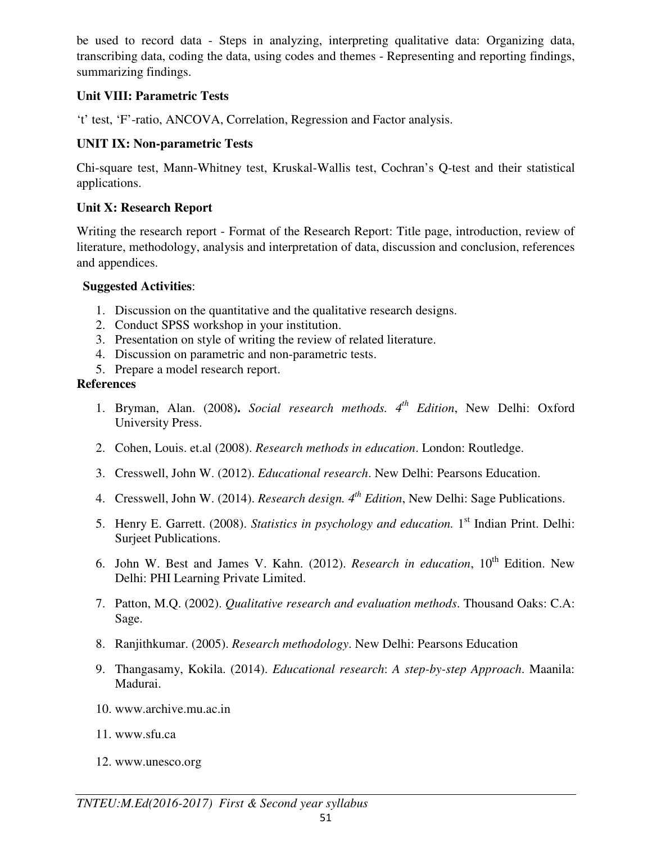be used to record data - Steps in analyzing, interpreting qualitative data: Organizing data, transcribing data, coding the data, using codes and themes - Representing and reporting findings, summarizing findings.

### **Unit VIII: Parametric Tests**

't' test, 'F'-ratio, ANCOVA, Correlation, Regression and Factor analysis.

### **UNIT IX: Non-parametric Tests**

Chi-square test, Mann-Whitney test, Kruskal-Wallis test, Cochran's Q-test and their statistical applications.

### **Unit X: Research Report**

Writing the research report - Format of the Research Report: Title page, introduction, review of literature, methodology, analysis and interpretation of data, discussion and conclusion, references and appendices.

### **Suggested Activities**:

- 1. Discussion on the quantitative and the qualitative research designs.
- 2. Conduct SPSS workshop in your institution.
- 3. Presentation on style of writing the review of related literature.
- 4. Discussion on parametric and non-parametric tests.
- 5. Prepare a model research report.

### **References**

- 1. Bryman, Alan. (2008)**.** *Social research methods. 4th Edition*, New Delhi: Oxford University Press.
- 2. Cohen, Louis. et.al (2008). *Research methods in education*. London: Routledge.
- 3. Cresswell, John W. (2012). *Educational research*. New Delhi: Pearsons Education.
- 4. Cresswell, John W. (2014). *Research design. 4th Edition*, New Delhi: Sage Publications.
- 5. Henry E. Garrett. (2008). *Statistics in psychology and education.* 1st Indian Print. Delhi: Surjeet Publications.
- 6. John W. Best and James V. Kahn. (2012). *Research in education*, 10<sup>th</sup> Edition. New Delhi: PHI Learning Private Limited.
- 7. Patton, M.Q. (2002). *Qualitative research and evaluation methods*. Thousand Oaks: C.A: Sage.
- 8. Ranjithkumar. (2005). *Research methodology*. New Delhi: Pearsons Education
- 9. Thangasamy, Kokila. (2014). *Educational research*: *A step-by-step Approach*. Maanila: Madurai.
- 10. www.archive.mu.ac.in
- 11. www.sfu.ca
- 12. www.unesco.org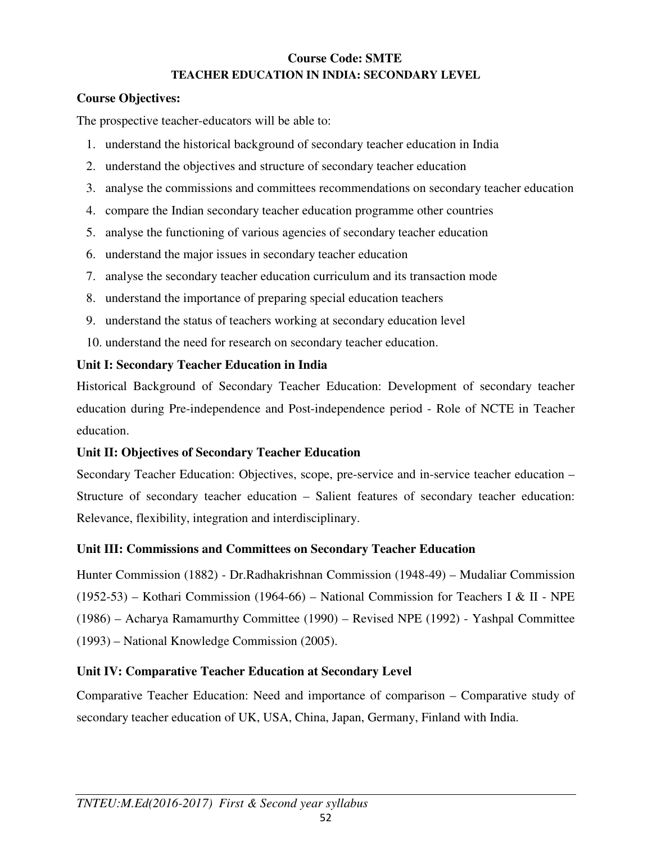### **Course Code: SMTE TEACHER EDUCATION IN INDIA: SECONDARY LEVEL**

### **Course Objectives:**

The prospective teacher-educators will be able to:

- 1. understand the historical background of secondary teacher education in India
- 2. understand the objectives and structure of secondary teacher education
- 3. analyse the commissions and committees recommendations on secondary teacher education
- 4. compare the Indian secondary teacher education programme other countries
- 5. analyse the functioning of various agencies of secondary teacher education
- 6. understand the major issues in secondary teacher education
- 7. analyse the secondary teacher education curriculum and its transaction mode
- 8. understand the importance of preparing special education teachers
- 9. understand the status of teachers working at secondary education level
- 10. understand the need for research on secondary teacher education.

# **Unit I: Secondary Teacher Education in India**

Historical Background of Secondary Teacher Education: Development of secondary teacher education during Pre-independence and Post-independence period - Role of NCTE in Teacher education.

# **Unit II: Objectives of Secondary Teacher Education**

Secondary Teacher Education: Objectives, scope, pre-service and in-service teacher education – Structure of secondary teacher education – Salient features of secondary teacher education: Relevance, flexibility, integration and interdisciplinary.

# **Unit III: Commissions and Committees on Secondary Teacher Education**

Hunter Commission (1882) - Dr.Radhakrishnan Commission (1948-49) – Mudaliar Commission (1952-53) – Kothari Commission (1964-66) – National Commission for Teachers I & II - NPE (1986) – Acharya Ramamurthy Committee (1990) – Revised NPE (1992) - Yashpal Committee (1993) – National Knowledge Commission (2005).

# **Unit IV: Comparative Teacher Education at Secondary Level**

Comparative Teacher Education: Need and importance of comparison – Comparative study of secondary teacher education of UK, USA, China, Japan, Germany, Finland with India.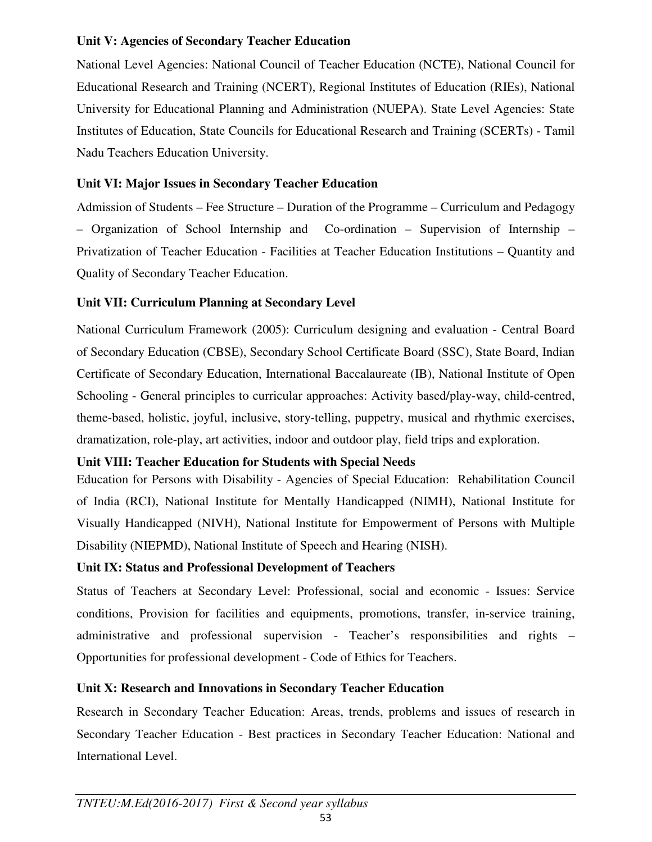### **Unit V: Agencies of Secondary Teacher Education**

National Level Agencies: National Council of Teacher Education (NCTE), National Council for Educational Research and Training (NCERT), Regional Institutes of Education (RIEs), National University for Educational Planning and Administration (NUEPA). State Level Agencies: State Institutes of Education, State Councils for Educational Research and Training (SCERTs) - Tamil Nadu Teachers Education University.

# **Unit VI: Major Issues in Secondary Teacher Education**

Admission of Students – Fee Structure – Duration of the Programme – Curriculum and Pedagogy – Organization of School Internship and Co-ordination – Supervision of Internship – Privatization of Teacher Education - Facilities at Teacher Education Institutions – Quantity and Quality of Secondary Teacher Education.

# **Unit VII: Curriculum Planning at Secondary Level**

National Curriculum Framework (2005): Curriculum designing and evaluation - Central Board of Secondary Education (CBSE), Secondary School Certificate Board (SSC), State Board, Indian Certificate of Secondary Education, International Baccalaureate (IB), National Institute of Open Schooling - General principles to curricular approaches: Activity based/play-way, child-centred, theme-based, holistic, joyful, inclusive, story-telling, puppetry, musical and rhythmic exercises, dramatization, role-play, art activities, indoor and outdoor play, field trips and exploration.

# **Unit VIII: Teacher Education for Students with Special Needs**

Education for Persons with Disability - Agencies of Special Education: Rehabilitation Council of India (RCI), National Institute for Mentally Handicapped (NIMH), National Institute for Visually Handicapped (NIVH), National Institute for Empowerment of Persons with Multiple Disability (NIEPMD), National Institute of Speech and Hearing (NISH).

# **Unit IX: Status and Professional Development of Teachers**

Status of Teachers at Secondary Level: Professional, social and economic - Issues: Service conditions, Provision for facilities and equipments, promotions, transfer, in-service training, administrative and professional supervision - Teacher's responsibilities and rights – Opportunities for professional development - Code of Ethics for Teachers.

# **Unit X: Research and Innovations in Secondary Teacher Education**

Research in Secondary Teacher Education: Areas, trends, problems and issues of research in Secondary Teacher Education - Best practices in Secondary Teacher Education: National and International Level.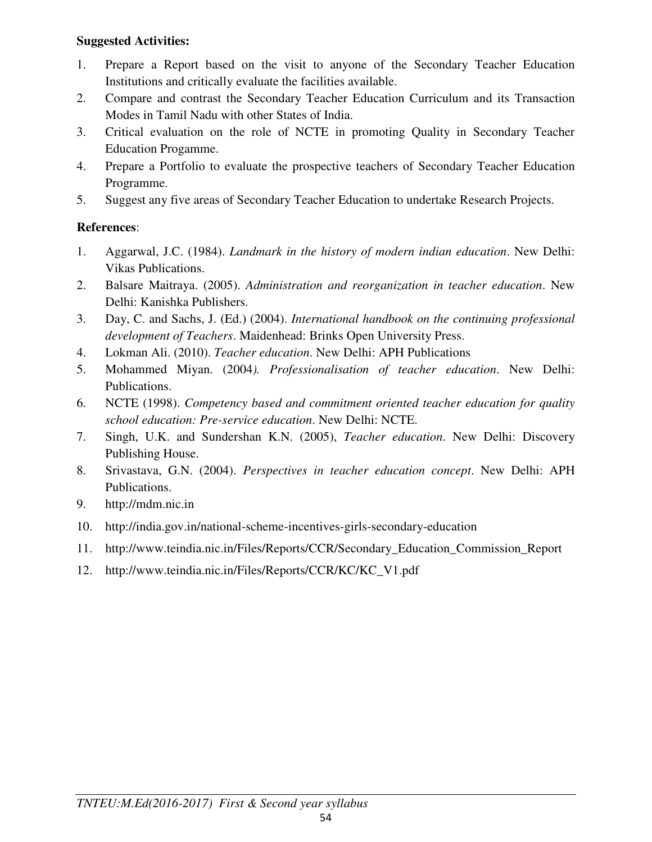### **Suggested Activities:**

- 1. Prepare a Report based on the visit to anyone of the Secondary Teacher Education Institutions and critically evaluate the facilities available.
- 2. Compare and contrast the Secondary Teacher Education Curriculum and its Transaction Modes in Tamil Nadu with other States of India.
- 3. Critical evaluation on the role of NCTE in promoting Quality in Secondary Teacher Education Progamme.
- 4. Prepare a Portfolio to evaluate the prospective teachers of Secondary Teacher Education Programme.
- 5. Suggest any five areas of Secondary Teacher Education to undertake Research Projects.

### **References**:

- 1. Aggarwal, J.C. (1984). *Landmark in the history of modern indian education*. New Delhi: Vikas Publications.
- 2. Balsare Maitraya. (2005). *Administration and reorganization in teacher education*. New Delhi: Kanishka Publishers.
- 3. Day, C. and Sachs, J. (Ed.) (2004). *International handbook on the continuing professional development of Teachers*. Maidenhead: Brinks Open University Press.
- 4. Lokman Ali. (2010). *Teacher education*. New Delhi: APH Publications
- 5. Mohammed Miyan. (2004*). Professionalisation of teacher education*. New Delhi: Publications.
- 6. NCTE (1998). *Competency based and commitment oriented teacher education for quality school education: Pre-service education*. New Delhi: NCTE.
- 7. Singh, U.K. and Sundershan K.N. (2005), *Teacher education*. New Delhi: Discovery Publishing House.
- 8. Srivastava, G.N. (2004). *Perspectives in teacher education concept*. New Delhi: APH Publications.
- 9. http://mdm.nic.in
- 10. http://india.gov.in/national-scheme-incentives-girls-secondary-education
- 11. http://www.teindia.nic.in/Files/Reports/CCR/Secondary\_Education\_Commission\_Report
- 12. http://www.teindia.nic.in/Files/Reports/CCR/KC/KC\_V1.pdf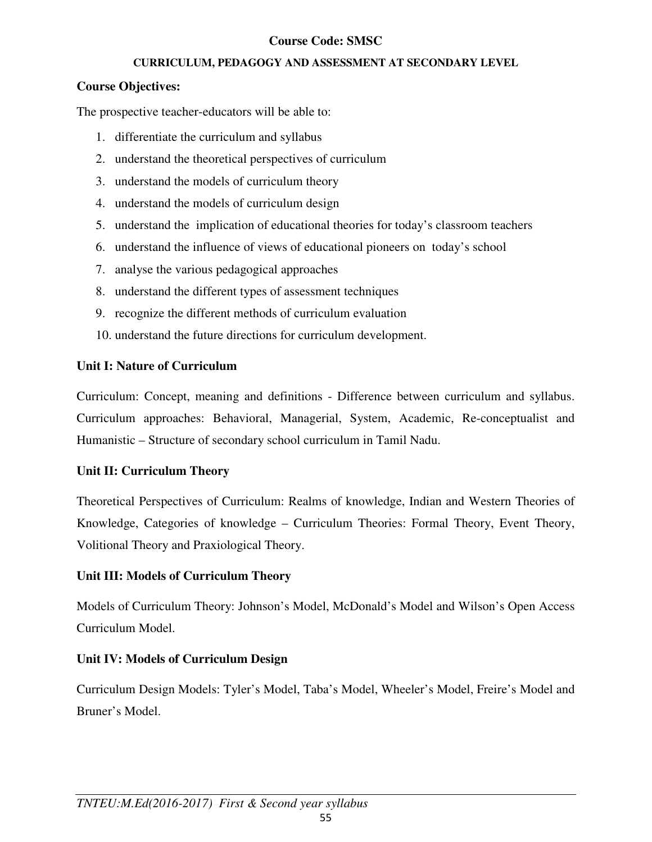### **Course Code: SMSC**

### **CURRICULUM, PEDAGOGY AND ASSESSMENT AT SECONDARY LEVEL**

### **Course Objectives:**

The prospective teacher-educators will be able to:

- 1. differentiate the curriculum and syllabus
- 2. understand the theoretical perspectives of curriculum
- 3. understand the models of curriculum theory
- 4. understand the models of curriculum design
- 5. understand the implication of educational theories for today's classroom teachers
- 6. understand the influence of views of educational pioneers on today's school
- 7. analyse the various pedagogical approaches
- 8. understand the different types of assessment techniques
- 9. recognize the different methods of curriculum evaluation
- 10. understand the future directions for curriculum development.

### **Unit I: Nature of Curriculum**

Curriculum: Concept, meaning and definitions - Difference between curriculum and syllabus. Curriculum approaches: Behavioral, Managerial, System, Academic, Re-conceptualist and Humanistic – Structure of secondary school curriculum in Tamil Nadu.

### **Unit II: Curriculum Theory**

Theoretical Perspectives of Curriculum: Realms of knowledge, Indian and Western Theories of Knowledge, Categories of knowledge – Curriculum Theories: Formal Theory, Event Theory, Volitional Theory and Praxiological Theory.

### **Unit III: Models of Curriculum Theory**

Models of Curriculum Theory: Johnson's Model, McDonald's Model and Wilson's Open Access Curriculum Model.

### **Unit IV: Models of Curriculum Design**

Curriculum Design Models: Tyler's Model, Taba's Model, Wheeler's Model, Freire's Model and Bruner's Model.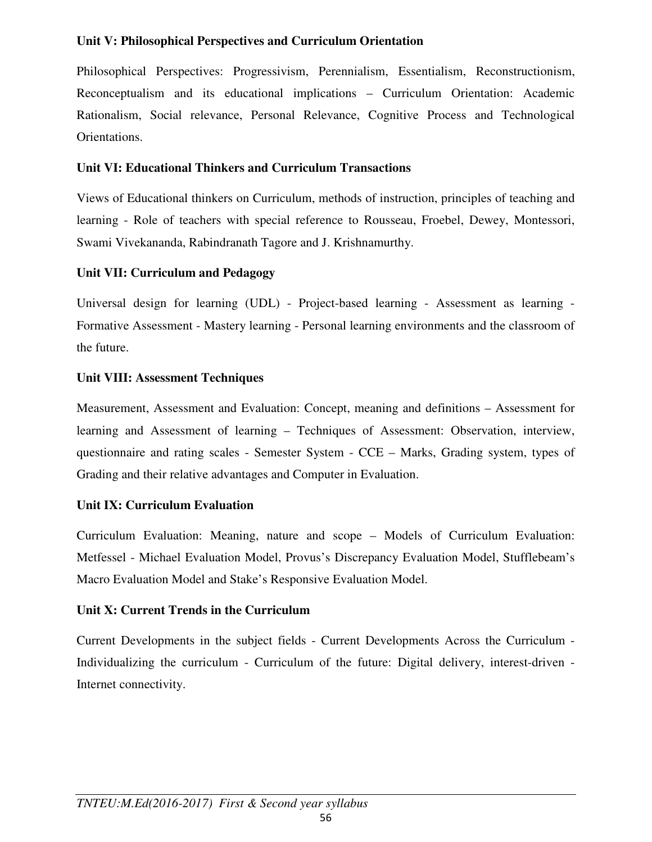### **Unit V: Philosophical Perspectives and Curriculum Orientation**

Philosophical Perspectives: Progressivism, Perennialism, Essentialism, Reconstructionism, Reconceptualism and its educational implications – Curriculum Orientation: Academic Rationalism, Social relevance, Personal Relevance, Cognitive Process and Technological Orientations.

### **Unit VI: Educational Thinkers and Curriculum Transactions**

Views of Educational thinkers on Curriculum, methods of instruction, principles of teaching and learning - Role of teachers with special reference to Rousseau, Froebel, Dewey, Montessori, Swami Vivekananda, Rabindranath Tagore and J. Krishnamurthy.

### **Unit VII: Curriculum and Pedagogy**

Universal design for learning (UDL) - Project-based learning - Assessment as learning - Formative Assessment - Mastery learning - Personal learning environments and the classroom of the future.

### **Unit VIII: Assessment Techniques**

Measurement, Assessment and Evaluation: Concept, meaning and definitions – Assessment for learning and Assessment of learning – Techniques of Assessment: Observation, interview, questionnaire and rating scales - Semester System - CCE – Marks, Grading system, types of Grading and their relative advantages and Computer in Evaluation.

### **Unit IX: Curriculum Evaluation**

Curriculum Evaluation: Meaning, nature and scope – Models of Curriculum Evaluation: Metfessel - Michael Evaluation Model, Provus's Discrepancy Evaluation Model, Stufflebeam's Macro Evaluation Model and Stake's Responsive Evaluation Model.

### **Unit X: Current Trends in the Curriculum**

Current Developments in the subject fields - Current Developments Across the Curriculum - Individualizing the curriculum - Curriculum of the future: Digital delivery, interest-driven - Internet connectivity.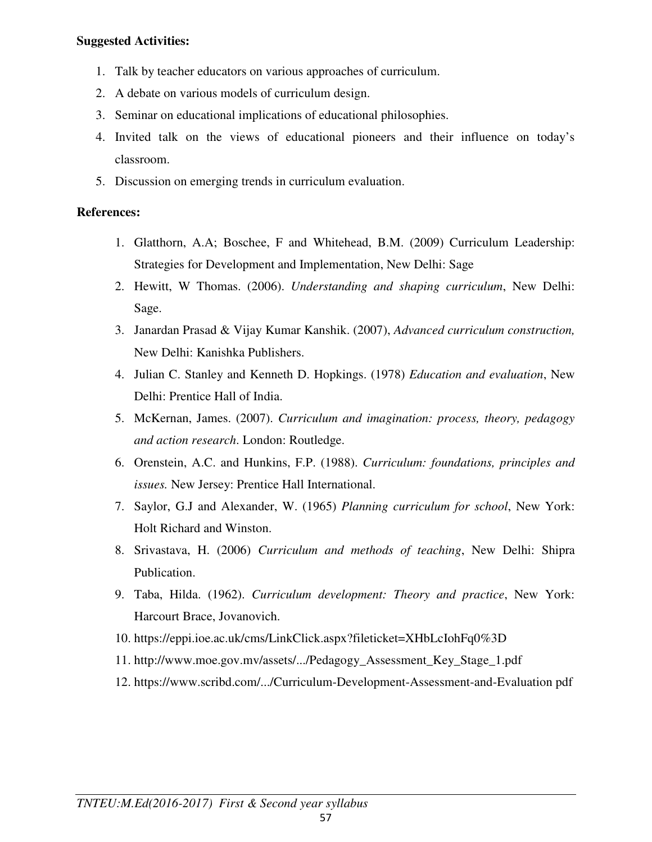#### **Suggested Activities:**

- 1. Talk by teacher educators on various approaches of curriculum.
- 2. A debate on various models of curriculum design.
- 3. Seminar on educational implications of educational philosophies.
- 4. Invited talk on the views of educational pioneers and their influence on today's classroom.
- 5. Discussion on emerging trends in curriculum evaluation.

#### **References:**

- 1. Glatthorn, A.A; Boschee, F and Whitehead, B.M. (2009) Curriculum Leadership: Strategies for Development and Implementation, New Delhi: Sage
- 2. Hewitt, W Thomas. (2006). *Understanding and shaping curriculum*, New Delhi: Sage.
- 3. Janardan Prasad & Vijay Kumar Kanshik. (2007), *Advanced curriculum construction,* New Delhi: Kanishka Publishers.
- 4. Julian C. Stanley and Kenneth D. Hopkings. (1978) *Education and evaluation*, New Delhi: Prentice Hall of India.
- 5. McKernan, James. (2007). *Curriculum and imagination: process, theory, pedagogy and action research*. London: Routledge.
- 6. Orenstein, A.C. and Hunkins, F.P. (1988). *Curriculum: foundations, principles and issues.* New Jersey: Prentice Hall International.
- 7. Saylor, G.J and Alexander, W. (1965) *Planning curriculum for school*, New York: Holt Richard and Winston.
- 8. Srivastava, H. (2006) *Curriculum and methods of teaching*, New Delhi: Shipra Publication.
- 9. Taba, Hilda. (1962). *Curriculum development: Theory and practice*, New York: Harcourt Brace, Jovanovich.
- 10. https://eppi.ioe.ac.uk/cms/LinkClick.aspx?fileticket=XHbLcIohFq0%3D
- 11. http://www.moe.gov.mv/assets/.../Pedagogy\_Assessment\_Key\_Stage\_1.pdf
- 12. https://www.scribd.com/.../Curriculum-Development-Assessment-and-Evaluation pdf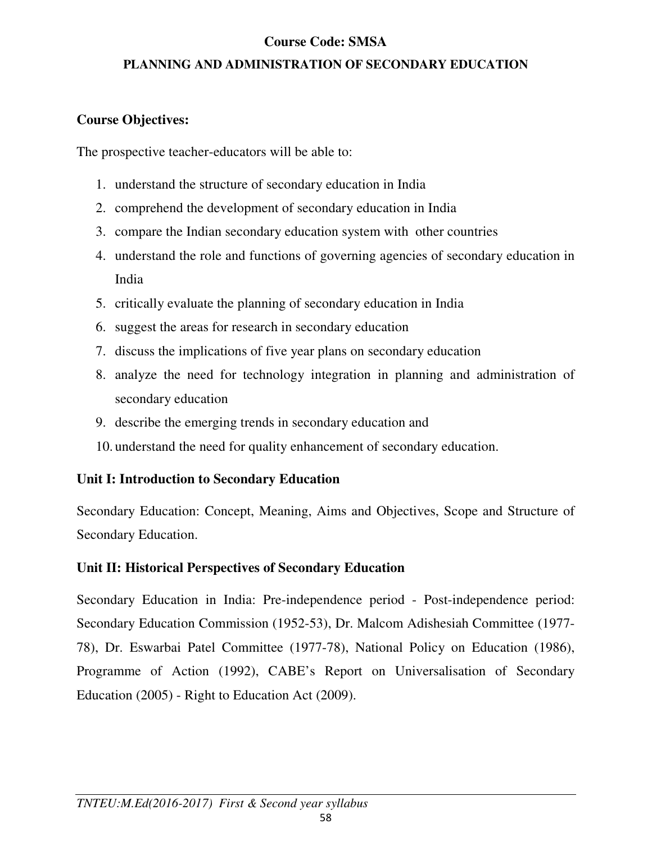# **Course Code: SMSA**

# **PLANNING AND ADMINISTRATION OF SECONDARY EDUCATION**

# **Course Objectives:**

The prospective teacher-educators will be able to:

- 1. understand the structure of secondary education in India
- 2. comprehend the development of secondary education in India
- 3. compare the Indian secondary education system with other countries
- 4. understand the role and functions of governing agencies of secondary education in India
- 5. critically evaluate the planning of secondary education in India
- 6. suggest the areas for research in secondary education
- 7. discuss the implications of five year plans on secondary education
- 8. analyze the need for technology integration in planning and administration of secondary education
- 9. describe the emerging trends in secondary education and
- 10. understand the need for quality enhancement of secondary education.

# **Unit I: Introduction to Secondary Education**

Secondary Education: Concept, Meaning, Aims and Objectives, Scope and Structure of Secondary Education.

# **Unit II: Historical Perspectives of Secondary Education**

Secondary Education in India: Pre-independence period - Post-independence period: Secondary Education Commission (1952-53), Dr. Malcom Adishesiah Committee (1977- 78), Dr. Eswarbai Patel Committee (1977-78), National Policy on Education (1986), Programme of Action (1992), CABE's Report on Universalisation of Secondary Education (2005) - Right to Education Act (2009).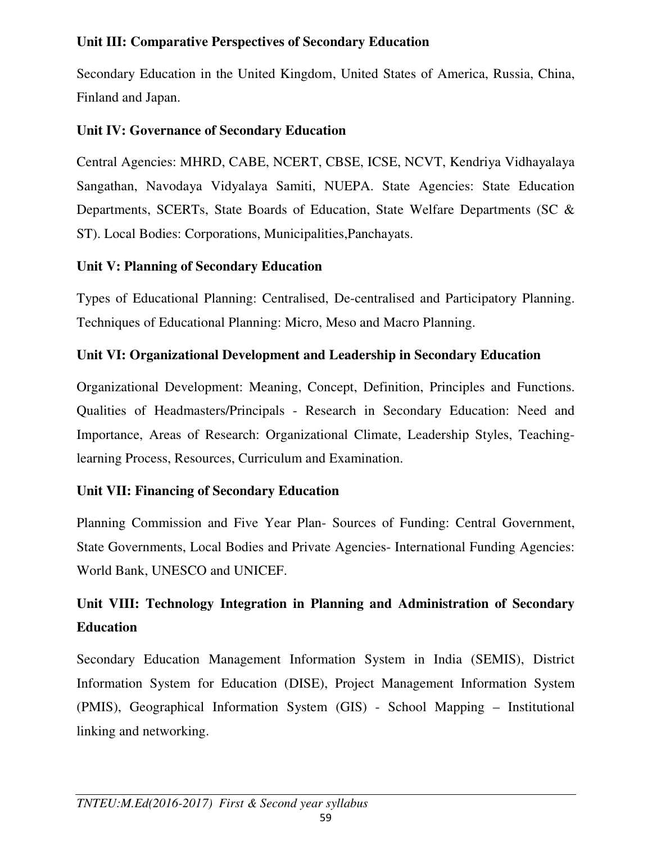# **Unit III: Comparative Perspectives of Secondary Education**

Secondary Education in the United Kingdom, United States of America, Russia, China, Finland and Japan.

# **Unit IV: Governance of Secondary Education**

Central Agencies: MHRD, CABE, NCERT, CBSE, ICSE, NCVT, Kendriya Vidhayalaya Sangathan, Navodaya Vidyalaya Samiti, NUEPA. State Agencies: State Education Departments, SCERTs, State Boards of Education, State Welfare Departments (SC & ST). Local Bodies: Corporations, Municipalities,Panchayats.

# **Unit V: Planning of Secondary Education**

Types of Educational Planning: Centralised, De-centralised and Participatory Planning. Techniques of Educational Planning: Micro, Meso and Macro Planning.

# **Unit VI: Organizational Development and Leadership in Secondary Education**

Organizational Development: Meaning, Concept, Definition, Principles and Functions. Qualities of Headmasters/Principals - Research in Secondary Education: Need and Importance, Areas of Research: Organizational Climate, Leadership Styles, Teachinglearning Process, Resources, Curriculum and Examination.

# **Unit VII: Financing of Secondary Education**

Planning Commission and Five Year Plan- Sources of Funding: Central Government, State Governments, Local Bodies and Private Agencies- International Funding Agencies: World Bank, UNESCO and UNICEF.

# **Unit VIII: Technology Integration in Planning and Administration of Secondary Education**

Secondary Education Management Information System in India (SEMIS), District Information System for Education (DISE), Project Management Information System (PMIS), Geographical Information System (GIS) - School Mapping – Institutional linking and networking.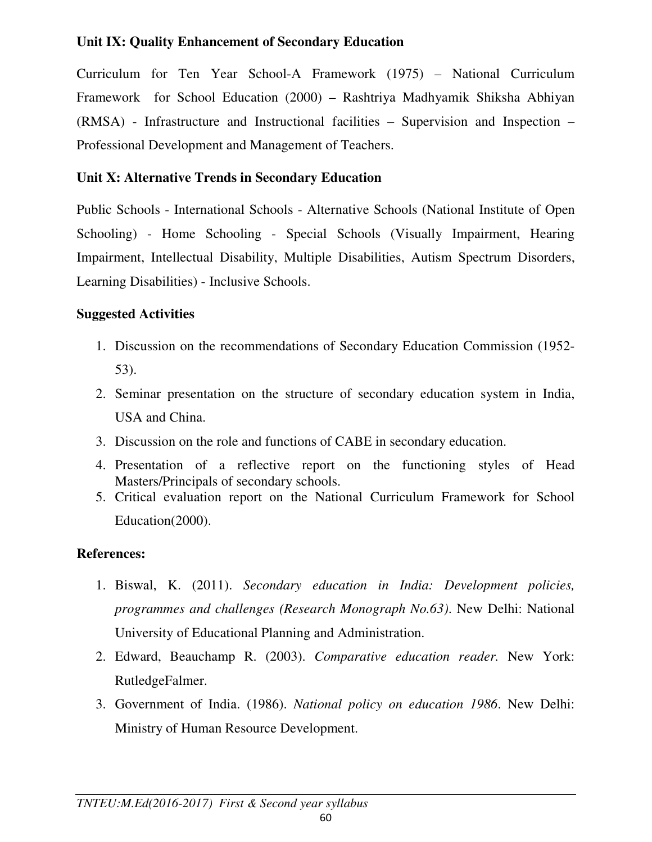# **Unit IX: Quality Enhancement of Secondary Education**

Curriculum for Ten Year School-A Framework (1975) – National Curriculum Framework for School Education (2000) – Rashtriya Madhyamik Shiksha Abhiyan (RMSA) - Infrastructure and Instructional facilities – Supervision and Inspection – Professional Development and Management of Teachers.

# **Unit X: Alternative Trends in Secondary Education**

Public Schools - International Schools - Alternative Schools (National Institute of Open Schooling) - Home Schooling - Special Schools (Visually Impairment, Hearing Impairment, Intellectual Disability, Multiple Disabilities, Autism Spectrum Disorders, Learning Disabilities) - Inclusive Schools.

# **Suggested Activities**

- 1. Discussion on the recommendations of Secondary Education Commission (1952- 53).
- 2. Seminar presentation on the structure of secondary education system in India, USA and China.
- 3. Discussion on the role and functions of CABE in secondary education.
- 4. Presentation of a reflective report on the functioning styles of Head Masters/Principals of secondary schools.
- 5. Critical evaluation report on the National Curriculum Framework for School Education(2000).

# **References:**

- 1. Biswal, K. (2011). *Secondary education in India: Development policies, programmes and challenges (Research Monograph No.63)*. New Delhi: National University of Educational Planning and Administration.
- 2. Edward, Beauchamp R. (2003). *Comparative education reader.* New York: RutledgeFalmer.
- 3. Government of India. (1986). *National policy on education 1986*. New Delhi: Ministry of Human Resource Development.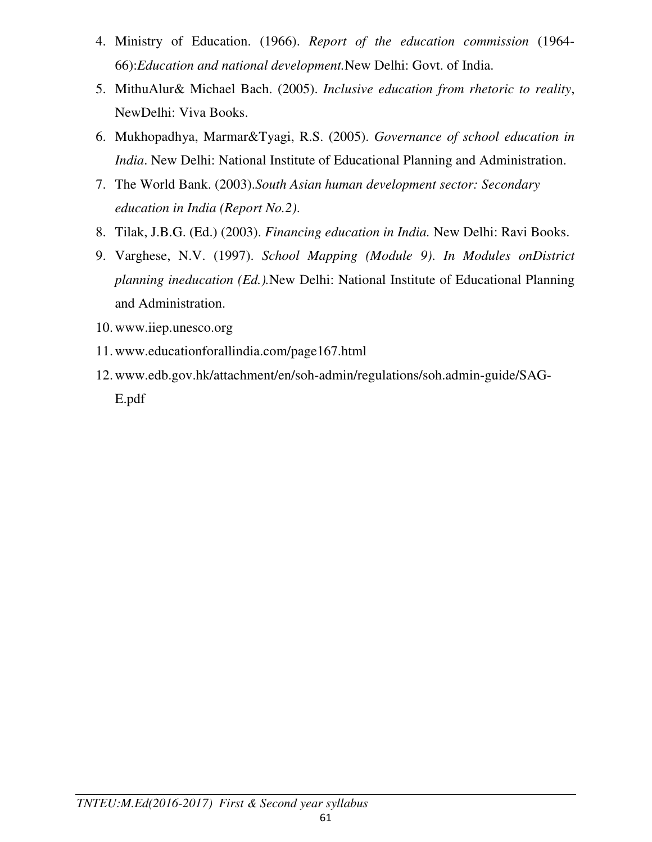- 4. Ministry of Education. (1966). *Report of the education commission* (1964- 66):*Education and national development.*New Delhi: Govt. of India.
- 5. MithuAlur& Michael Bach. (2005). *Inclusive education from rhetoric to reality*, NewDelhi: Viva Books.
- 6. Mukhopadhya, Marmar&Tyagi, R.S. (2005). *Governance of school education in India*. New Delhi: National Institute of Educational Planning and Administration.
- 7. The World Bank. (2003).*South Asian human development sector: Secondary education in India (Report No.2)*.
- 8. Tilak, J.B.G. (Ed.) (2003). *Financing education in India.* New Delhi: Ravi Books.
- 9. Varghese, N.V. (1997). *School Mapping (Module 9)*. *In Modules onDistrict planning ineducation (Ed.).*New Delhi: National Institute of Educational Planning and Administration.
- 10.www.iiep.unesco.org
- 11.www.educationforallindia.com/page167.html
- 12.www.edb.gov.hk/attachment/en/soh-admin/regulations/soh.admin-guide/SAG-E.pdf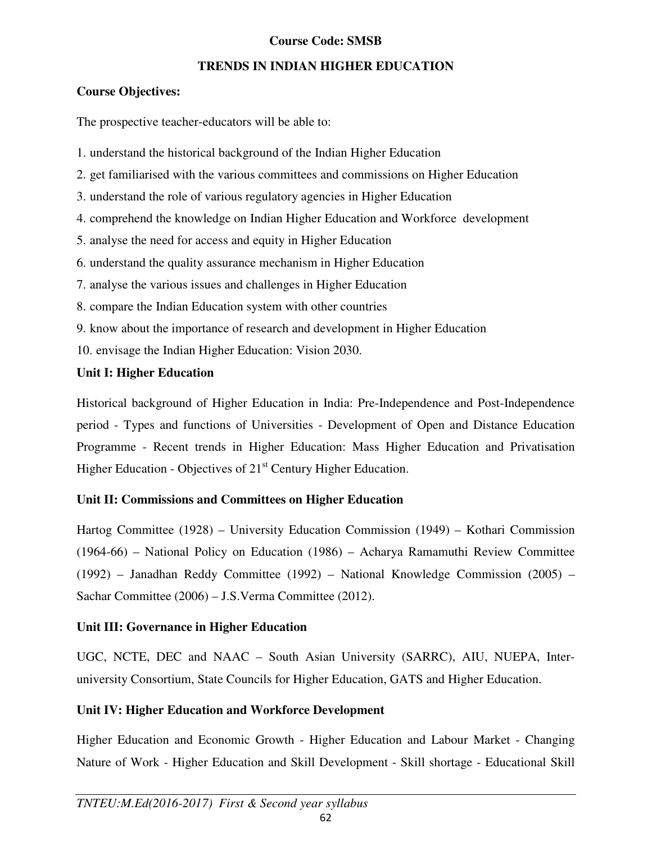### **Course Code: SMSB**

### **TRENDS IN INDIAN HIGHER EDUCATION**

### **Course Objectives:**

The prospective teacher-educators will be able to:

- 1. understand the historical background of the Indian Higher Education
- 2. get familiarised with the various committees and commissions on Higher Education
- 3. understand the role of various regulatory agencies in Higher Education
- 4. comprehend the knowledge on Indian Higher Education and Workforce development
- 5. analyse the need for access and equity in Higher Education
- 6. understand the quality assurance mechanism in Higher Education
- 7. analyse the various issues and challenges in Higher Education
- 8. compare the Indian Education system with other countries
- 9. know about the importance of research and development in Higher Education
- 10. envisage the Indian Higher Education: Vision 2030.

# **Unit I: Higher Education**

Historical background of Higher Education in India: Pre-Independence and Post-Independence period - Types and functions of Universities - Development of Open and Distance Education Programme - Recent trends in Higher Education: Mass Higher Education and Privatisation Higher Education - Objectives of  $21<sup>st</sup>$  Century Higher Education.

# **Unit II: Commissions and Committees on Higher Education**

Hartog Committee (1928) – University Education Commission (1949) – Kothari Commission (1964-66) – National Policy on Education (1986) – Acharya Ramamuthi Review Committee (1992) – Janadhan Reddy Committee (1992) – National Knowledge Commission (2005) – Sachar Committee (2006) – J.S.Verma Committee (2012).

# **Unit III: Governance in Higher Education**

UGC, NCTE, DEC and NAAC – South Asian University (SARRC), AIU, NUEPA, Interuniversity Consortium, State Councils for Higher Education, GATS and Higher Education.

# **Unit IV: Higher Education and Workforce Development**

Higher Education and Economic Growth - Higher Education and Labour Market - Changing Nature of Work - Higher Education and Skill Development - Skill shortage - Educational Skill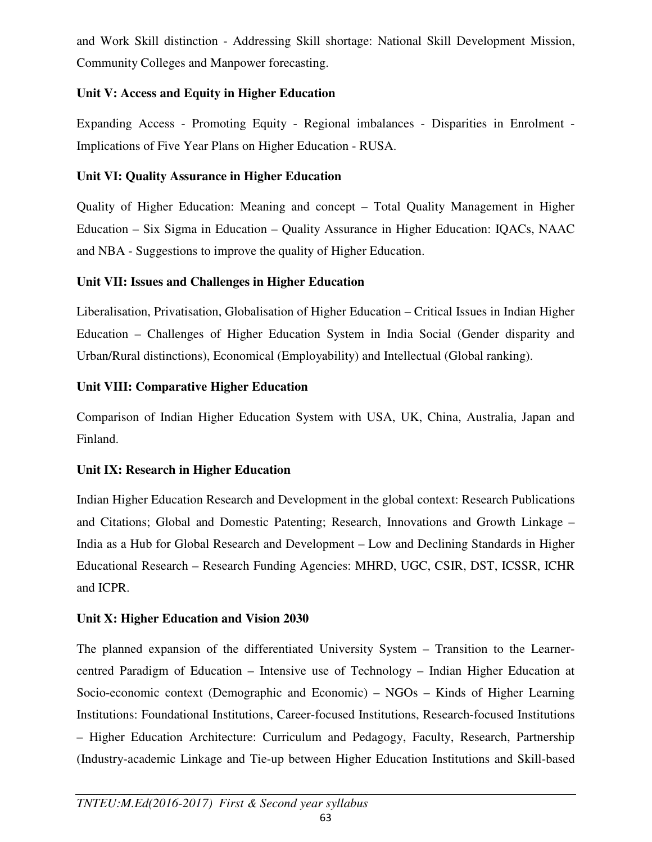and Work Skill distinction - Addressing Skill shortage: National Skill Development Mission, Community Colleges and Manpower forecasting.

# **Unit V: Access and Equity in Higher Education**

Expanding Access - Promoting Equity - Regional imbalances - Disparities in Enrolment - Implications of Five Year Plans on Higher Education - RUSA.

# **Unit VI: Quality Assurance in Higher Education**

Quality of Higher Education: Meaning and concept – Total Quality Management in Higher Education – Six Sigma in Education – Quality Assurance in Higher Education: IQACs, NAAC and NBA - Suggestions to improve the quality of Higher Education.

# **Unit VII: Issues and Challenges in Higher Education**

Liberalisation, Privatisation, Globalisation of Higher Education – Critical Issues in Indian Higher Education – Challenges of Higher Education System in India Social (Gender disparity and Urban/Rural distinctions), Economical (Employability) and Intellectual (Global ranking).

# **Unit VIII: Comparative Higher Education**

Comparison of Indian Higher Education System with USA, UK, China, Australia, Japan and Finland.

# **Unit IX: Research in Higher Education**

Indian Higher Education Research and Development in the global context: Research Publications and Citations; Global and Domestic Patenting; Research, Innovations and Growth Linkage – India as a Hub for Global Research and Development – Low and Declining Standards in Higher Educational Research – Research Funding Agencies: MHRD, UGC, CSIR, DST, ICSSR, ICHR and ICPR.

# **Unit X: Higher Education and Vision 2030**

The planned expansion of the differentiated University System – Transition to the Learnercentred Paradigm of Education – Intensive use of Technology – Indian Higher Education at Socio-economic context (Demographic and Economic) – NGOs – Kinds of Higher Learning Institutions: Foundational Institutions, Career-focused Institutions, Research-focused Institutions – Higher Education Architecture: Curriculum and Pedagogy, Faculty, Research, Partnership (Industry-academic Linkage and Tie-up between Higher Education Institutions and Skill-based